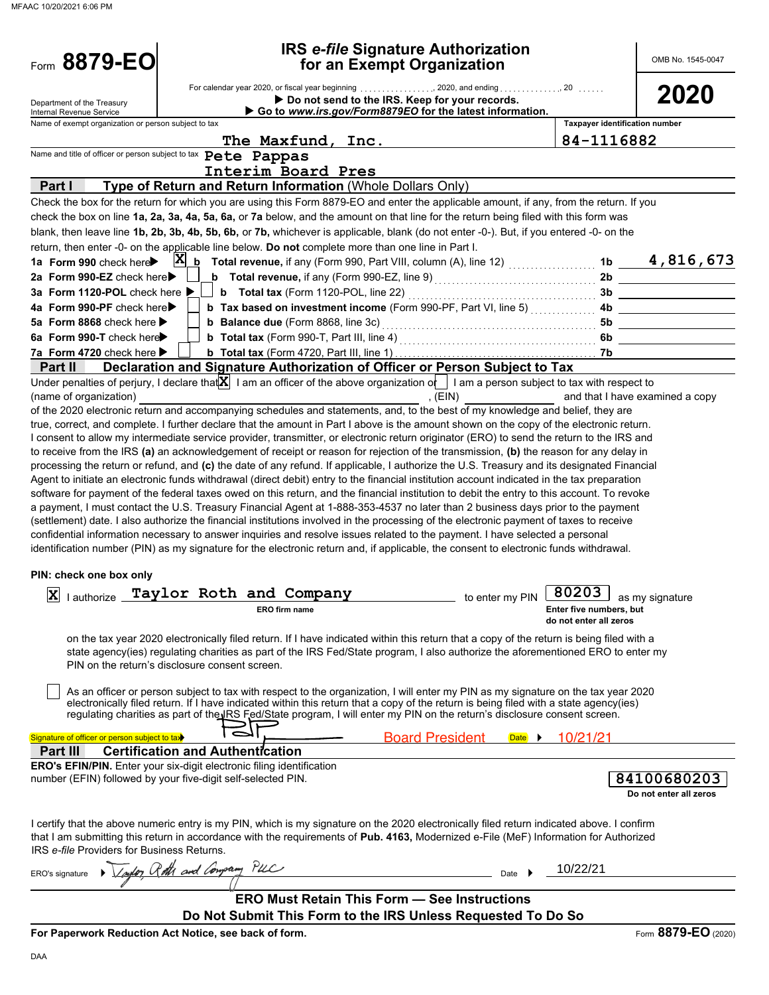| Form 8879-EO                                           |                                                                                                                                                                                                                                                                                     | <b>IRS e-file Signature Authorization</b><br>for an Exempt Organization                                    |                                                   | OMB No. 1545-0047               |
|--------------------------------------------------------|-------------------------------------------------------------------------------------------------------------------------------------------------------------------------------------------------------------------------------------------------------------------------------------|------------------------------------------------------------------------------------------------------------|---------------------------------------------------|---------------------------------|
| Department of the Treasury<br>Internal Revenue Service |                                                                                                                                                                                                                                                                                     | Do not send to the IRS. Keep for your records.<br>Go to www.irs.gov/Form8879EO for the latest information. |                                                   | 2020                            |
| Name of exempt organization or person subject to tax   |                                                                                                                                                                                                                                                                                     |                                                                                                            | Taxpayer identification number                    |                                 |
|                                                        | The Maxfund, Inc.                                                                                                                                                                                                                                                                   |                                                                                                            | 84-1116882                                        |                                 |
|                                                        | Name and title of officer or person subject to tax Pete Pappas                                                                                                                                                                                                                      |                                                                                                            |                                                   |                                 |
|                                                        | Interim Board Pres                                                                                                                                                                                                                                                                  |                                                                                                            |                                                   |                                 |
| Part I                                                 | Type of Return and Return Information (Whole Dollars Only)                                                                                                                                                                                                                          |                                                                                                            |                                                   |                                 |
|                                                        | Check the box for the return for which you are using this Form 8879-EO and enter the applicable amount, if any, from the return. If you                                                                                                                                             |                                                                                                            |                                                   |                                 |
|                                                        | check the box on line 1a, 2a, 3a, 4a, 5a, 6a, or 7a below, and the amount on that line for the return being filed with this form was                                                                                                                                                |                                                                                                            |                                                   |                                 |
|                                                        | blank, then leave line 1b, 2b, 3b, 4b, 5b, 6b, or 7b, whichever is applicable, blank (do not enter -0-). But, if you entered -0- on the                                                                                                                                             |                                                                                                            |                                                   |                                 |
|                                                        | return, then enter -0- on the applicable line below. Do not complete more than one line in Part I.                                                                                                                                                                                  |                                                                                                            |                                                   |                                 |
| 1a Form 990 check here<br>2a Form 990-EZ check here▶   | $X_{b}$ Total revenue, if any (Form 990, Part VIII, column (A), line 12) $\ldots$                                                                                                                                                                                                   |                                                                                                            |                                                   | 1b 4,816,673                    |
| 3a Form 1120-POL check here ▶                          | <b>b</b> Total revenue, if any (Form 990-EZ, line 9) $\ldots$ $\ldots$ $\ldots$ $\ldots$ $\ldots$ $\ldots$                                                                                                                                                                          |                                                                                                            | 2b<br>3b                                          |                                 |
| 4a Form 990-PF check here                              | b Tax based on investment income (Form 990-PF, Part VI, line 5)                                                                                                                                                                                                                     |                                                                                                            | 4b                                                |                                 |
| 5a Form 8868 check here >                              |                                                                                                                                                                                                                                                                                     |                                                                                                            | 5b                                                |                                 |
| 6a Form 990-T check here                               |                                                                                                                                                                                                                                                                                     |                                                                                                            | 6b                                                |                                 |
| 7a Form 4720 check here ▶                              |                                                                                                                                                                                                                                                                                     |                                                                                                            | -7b                                               |                                 |
| Part II                                                | Declaration and Signature Authorization of Officer or Person Subject to Tax                                                                                                                                                                                                         |                                                                                                            |                                                   |                                 |
| (name of organization)                                 | Under penalties of perjury, I declare that $X$ I am an officer of the above organization of I am a person subject to tax with respect to                                                                                                                                            | , (EIN)                                                                                                    |                                                   | and that I have examined a copy |
|                                                        | of the 2020 electronic return and accompanying schedules and statements, and, to the best of my knowledge and belief, they are                                                                                                                                                      |                                                                                                            |                                                   |                                 |
|                                                        | true, correct, and complete. I further declare that the amount in Part I above is the amount shown on the copy of the electronic return.                                                                                                                                            |                                                                                                            |                                                   |                                 |
|                                                        | I consent to allow my intermediate service provider, transmitter, or electronic return originator (ERO) to send the return to the IRS and                                                                                                                                           |                                                                                                            |                                                   |                                 |
|                                                        | to receive from the IRS (a) an acknowledgement of receipt or reason for rejection of the transmission, (b) the reason for any delay in                                                                                                                                              |                                                                                                            |                                                   |                                 |
|                                                        | processing the return or refund, and (c) the date of any refund. If applicable, I authorize the U.S. Treasury and its designated Financial                                                                                                                                          |                                                                                                            |                                                   |                                 |
|                                                        | Agent to initiate an electronic funds withdrawal (direct debit) entry to the financial institution account indicated in the tax preparation                                                                                                                                         |                                                                                                            |                                                   |                                 |
|                                                        | software for payment of the federal taxes owed on this return, and the financial institution to debit the entry to this account. To revoke                                                                                                                                          |                                                                                                            |                                                   |                                 |
|                                                        | a payment, I must contact the U.S. Treasury Financial Agent at 1-888-353-4537 no later than 2 business days prior to the payment<br>(settlement) date. I also authorize the financial institutions involved in the processing of the electronic payment of taxes to receive         |                                                                                                            |                                                   |                                 |
|                                                        | confidential information necessary to answer inquiries and resolve issues related to the payment. I have selected a personal                                                                                                                                                        |                                                                                                            |                                                   |                                 |
|                                                        | identification number (PIN) as my signature for the electronic return and, if applicable, the consent to electronic funds withdrawal.                                                                                                                                               |                                                                                                            |                                                   |                                 |
| PIN: check one box only                                |                                                                                                                                                                                                                                                                                     |                                                                                                            |                                                   |                                 |
|                                                        |                                                                                                                                                                                                                                                                                     |                                                                                                            |                                                   |                                 |
|                                                        | X lauthorize Taylor Roth and Company                                                                                                                                                                                                                                                |                                                                                                            | to enter my PIN $\boxed{80203}$ as my signature   |                                 |
|                                                        | <b>ERO</b> firm name                                                                                                                                                                                                                                                                |                                                                                                            | Enter five numbers, but<br>do not enter all zeros |                                 |
|                                                        | on the tax year 2020 electronically filed return. If I have indicated within this return that a copy of the return is being filed with a                                                                                                                                            |                                                                                                            |                                                   |                                 |
|                                                        | state agency(ies) regulating charities as part of the IRS Fed/State program, I also authorize the aforementioned ERO to enter my                                                                                                                                                    |                                                                                                            |                                                   |                                 |
|                                                        | PIN on the return's disclosure consent screen.                                                                                                                                                                                                                                      |                                                                                                            |                                                   |                                 |
|                                                        |                                                                                                                                                                                                                                                                                     |                                                                                                            |                                                   |                                 |
|                                                        | As an officer or person subject to tax with respect to the organization, I will enter my PIN as my signature on the tax year 2020                                                                                                                                                   |                                                                                                            |                                                   |                                 |
|                                                        | electronically filed return. If I have indicated within this return that a copy of the return is being filed with a state agency(ies)<br>regulating charities as part of the IRS Fed/State program, I will enter my PIN on the return's disclosure consent screen.                  |                                                                                                            |                                                   |                                 |
|                                                        |                                                                                                                                                                                                                                                                                     |                                                                                                            |                                                   |                                 |
| Signature of officer or person subject to tax          |                                                                                                                                                                                                                                                                                     | <b>Board President</b><br>Date $\rightarrow$                                                               | 10/21/21                                          |                                 |
| Part II                                                | <b>Certification and Authentication</b>                                                                                                                                                                                                                                             |                                                                                                            |                                                   |                                 |
|                                                        | ERO's EFIN/PIN. Enter your six-digit electronic filing identification                                                                                                                                                                                                               |                                                                                                            |                                                   |                                 |
|                                                        | number (EFIN) followed by your five-digit self-selected PIN.                                                                                                                                                                                                                        |                                                                                                            |                                                   | 84100680203                     |
|                                                        |                                                                                                                                                                                                                                                                                     |                                                                                                            |                                                   | Do not enter all zeros          |
|                                                        |                                                                                                                                                                                                                                                                                     |                                                                                                            |                                                   |                                 |
|                                                        | I certify that the above numeric entry is my PIN, which is my signature on the 2020 electronically filed return indicated above. I confirm<br>that I am submitting this return in accordance with the requirements of Pub. 4163, Modernized e-File (MeF) Information for Authorized |                                                                                                            |                                                   |                                 |
| IRS e-file Providers for Business Returns.             |                                                                                                                                                                                                                                                                                     |                                                                                                            |                                                   |                                 |
|                                                        | Laylor Roth and Congram PUC                                                                                                                                                                                                                                                         |                                                                                                            | 10/22/21                                          |                                 |
| ERO's signature                                        |                                                                                                                                                                                                                                                                                     | Date                                                                                                       |                                                   |                                 |
|                                                        | <b>ERO Must Retain This Form - See Instructions</b>                                                                                                                                                                                                                                 |                                                                                                            |                                                   |                                 |
|                                                        | Do Not Submit This Form to the IRS Unless Requested To Do So                                                                                                                                                                                                                        |                                                                                                            |                                                   |                                 |
|                                                        | For Paperwork Reduction Act Notice, see back of form.                                                                                                                                                                                                                               |                                                                                                            |                                                   | Form 8879-EO (2020)             |
|                                                        |                                                                                                                                                                                                                                                                                     |                                                                                                            |                                                   |                                 |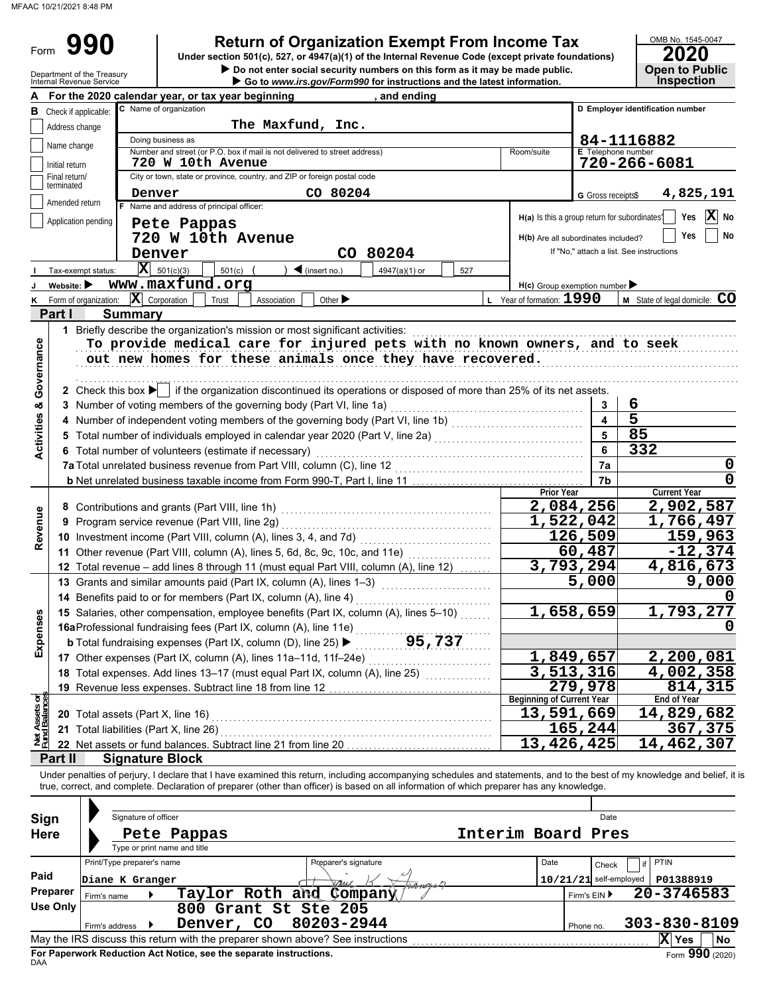Form 990

**990 2010 2020**<br>
Under section 501(c), 527, or 4947(a)(1) of the Internal Revenue Code (except private foundations) **2020** 

OMB No. 1545-0047

|                           | Department of the Treasury<br>Internal Revenue Service | Do not enter social security numbers on this form as it may be made public.<br>Go to www.irs.gov/Form990 for instructions and the latest information.                      |                                     | <b>Open to Public</b><br><b>Inspection</b>                     |
|---------------------------|--------------------------------------------------------|----------------------------------------------------------------------------------------------------------------------------------------------------------------------------|-------------------------------------|----------------------------------------------------------------|
|                           |                                                        | <u>, and ending</u><br>For the 2020 calendar year, or tax year beginning                                                                                                   |                                     |                                                                |
| В                         | Check if applicable:                                   | C Name of organization                                                                                                                                                     |                                     | D Employer identification number                               |
|                           | Address change                                         | The Maxfund, Inc.                                                                                                                                                          |                                     |                                                                |
|                           |                                                        | Doing business as                                                                                                                                                          |                                     | 84-1116882                                                     |
|                           | Name change                                            | Number and street (or P.O. box if mail is not delivered to street address)<br>Room/suite                                                                                   | E Telephone number                  |                                                                |
|                           | Initial return                                         | 720 W 10th Avenue                                                                                                                                                          |                                     | 720-266-6081                                                   |
|                           | Final return/<br>terminated                            | City or town, state or province, country, and ZIP or foreign postal code                                                                                                   |                                     |                                                                |
|                           | Amended return                                         | CO 80204<br>Denver                                                                                                                                                         | G Gross receipts\$                  | 4,825,191                                                      |
|                           |                                                        | F Name and address of principal officer:                                                                                                                                   |                                     | X No<br>Yes<br>$H(a)$ Is this a group return for subordinates? |
|                           | Application pending                                    | Pete Pappas                                                                                                                                                                |                                     |                                                                |
|                           |                                                        | 720 W 10th Avenue                                                                                                                                                          | H(b) Are all subordinates included? | No<br>Yes                                                      |
|                           |                                                        | CO 80204<br>Denver                                                                                                                                                         |                                     | If "No," attach a list. See instructions                       |
|                           | Tax-exempt status:                                     | $\overline{\mathbf{X}}$ 501(c)(3)<br>501(c)<br>$\triangleleft$ (insert no.)<br>4947(a)(1) or<br>527                                                                        |                                     |                                                                |
|                           | Website: $\blacktriangleright$                         | www.maxfund.org                                                                                                                                                            | $H(c)$ Group exemption number       |                                                                |
|                           | K Form of organization:                                | $ \mathbf{X} $ Corporation<br>$L$ Year of formation: $1990$<br>Trust<br>Association<br>Other $\blacktriangleright$                                                         |                                     | M State of legal domicile: CO                                  |
|                           | Part I                                                 | <b>Summary</b>                                                                                                                                                             |                                     |                                                                |
|                           |                                                        | 1 Briefly describe the organization's mission or most significant activities:                                                                                              |                                     |                                                                |
|                           |                                                        | To provide medical care for injured pets with no known owners, and to seek                                                                                                 |                                     |                                                                |
|                           |                                                        | out new homes for these animals once they have recovered.                                                                                                                  |                                     |                                                                |
|                           |                                                        |                                                                                                                                                                            |                                     |                                                                |
| Governance                |                                                        | 2 Check this box if it the organization discontinued its operations or disposed of more than 25% of its net assets.                                                        |                                     |                                                                |
|                           |                                                        | 3 Number of voting members of the governing body (Part VI, line 1a) [10] (10] [10] [10] [10] [10] [10] [10] [1                                                             | 3                                   | 6                                                              |
|                           |                                                        | 4 Number of independent voting members of the governing body (Part VI, line 1b) [[[[[[[[[[[[[[[[[[[[[[[[[[[[[[                                                             | 4                                   | 5                                                              |
| <b>Activities &amp;</b>   |                                                        |                                                                                                                                                                            | 5                                   | 85                                                             |
|                           |                                                        | 6 Total number of volunteers (estimate if necessary)                                                                                                                       | 6                                   | $\overline{332}$                                               |
|                           |                                                        |                                                                                                                                                                            | 7a                                  | 0                                                              |
|                           |                                                        |                                                                                                                                                                            | 7b                                  | $\mathbf 0$                                                    |
|                           |                                                        | Prior Year                                                                                                                                                                 |                                     | <b>Current Year</b>                                            |
|                           |                                                        |                                                                                                                                                                            | 2,084,256                           | 2,902,587                                                      |
| Revenue                   |                                                        | 9 Program service revenue (Part VIII, line 2g)                                                                                                                             | 1,522,042                           | 1,766,497                                                      |
|                           |                                                        | 10 Investment income (Part VIII, column (A), lines 3, 4, and 7d)                                                                                                           | 126,509                             | 159,963                                                        |
|                           |                                                        | 11 Other revenue (Part VIII, column (A), lines 5, 6d, 8c, 9c, 10c, and 11e)                                                                                                | 60,487                              | $-12,374$                                                      |
|                           |                                                        | 12 Total revenue - add lines 8 through 11 (must equal Part VIII, column (A), line 12)                                                                                      | $\overline{3,793}, 294$             | 4,816,673                                                      |
|                           |                                                        | 13 Grants and similar amounts paid (Part IX, column (A), lines 1-3)                                                                                                        | 5,000                               | 9,000                                                          |
|                           |                                                        | 14 Benefits paid to or for members (Part IX, column (A), line 4)                                                                                                           |                                     |                                                                |
| ses                       |                                                        | 15 Salaries, other compensation, employee benefits (Part IX, column (A), lines 5-10)                                                                                       | 1,658,659                           | 1,793,277                                                      |
|                           |                                                        | 16aProfessional fundraising fees (Part IX, column (A), line 11e)                                                                                                           |                                     |                                                                |
| Expens                    |                                                        | 95,737<br><b>b</b> Total fundraising expenses (Part IX, column (D), line 25) $\blacktriangleright$                                                                         |                                     |                                                                |
|                           |                                                        | 17 Other expenses (Part IX, column (A), lines 11a-11d, 11f-24e)                                                                                                            | 1,849,657                           | 2,200,081                                                      |
|                           |                                                        | 18 Total expenses. Add lines 13-17 (must equal Part IX, column (A), line 25)                                                                                               | $\overline{3}$ , 513, 316           | 4,002,358                                                      |
|                           |                                                        | 19 Revenue less expenses. Subtract line 18 from line 12                                                                                                                    | 279,978                             | 814,315                                                        |
| t Assets or<br>d Balances |                                                        | Beginning of Current Year                                                                                                                                                  |                                     | End of Year                                                    |
|                           |                                                        | 13,591,669<br>20 Total assets (Part X, line 16)                                                                                                                            |                                     | 14,829,682                                                     |
|                           |                                                        | 21 Total liabilities (Part X, line 26)                                                                                                                                     | 165,244                             | 367,375                                                        |
| Net<br>Func               |                                                        | 13,426,425<br>22 Net assets or fund balances. Subtract line 21 from line 20                                                                                                |                                     | 14,462,307                                                     |
|                           | Part II                                                | <b>Signature Block</b>                                                                                                                                                     |                                     |                                                                |
|                           |                                                        | Under penalties of perjury, I declare that I have examined this return, including accompanying schedules and statements, and to the best of my knowledge and belief, it is |                                     |                                                                |
|                           |                                                        | true, correct, and complete. Declaration of preparer (other than officer) is based on all information of which preparer has any knowledge.                                 |                                     |                                                                |
|                           |                                                        |                                                                                                                                                                            |                                     |                                                                |
| Sign                      |                                                        | Signature of officer                                                                                                                                                       | Date                                |                                                                |
| <b>Here</b>               |                                                        | Interim Board Pres<br>Pete Pappas                                                                                                                                          |                                     |                                                                |
|                           |                                                        | Type or print name and title                                                                                                                                               |                                     |                                                                |
|                           |                                                        | Print/Type preparer's name<br><b>Preparer's signature</b><br>Date                                                                                                          | Check                               | <b>PTIN</b><br>if                                              |
| Paid                      |                                                        | Diane K Granger                                                                                                                                                            | $10/21/21$ self-employed            | P01388919                                                      |
|                           | Preparer<br>Firm's name                                | Taylor Roth and Company                                                                                                                                                    | Firm's EIN ▶                        | 20-3746583                                                     |
|                           | <b>Use Only</b>                                        | 800 Grant St Ste 205                                                                                                                                                       |                                     |                                                                |
|                           | Firm's address                                         | 80203-2944<br>Denver, CO<br>▶                                                                                                                                              | Phone no.                           | $303 - 830 - 8109$                                             |
|                           |                                                        |                                                                                                                                                                            |                                     | $ X $ Yes<br>No                                                |

| Sign        |                                                                                                          | Signature of officer |                                                                    |  |                         | Date<br>Interim Board Pres  |  |      |           |                          |                    |                 |
|-------------|----------------------------------------------------------------------------------------------------------|----------------------|--------------------------------------------------------------------|--|-------------------------|-----------------------------|--|------|-----------|--------------------------|--------------------|-----------------|
| <b>Here</b> |                                                                                                          |                      | Pete Pappas                                                        |  |                         |                             |  |      |           |                          |                    |                 |
|             |                                                                                                          |                      | Type or print name and title                                       |  |                         |                             |  |      |           |                          |                    |                 |
|             | Print/Type preparer's name                                                                               |                      |                                                                    |  |                         | <b>Preparer's signature</b> |  | Date |           | Check                    | PTIN<br>if         |                 |
| Paid        | Diane K Granger                                                                                          |                      |                                                                    |  |                         | Arry                        |  |      |           | $10/21/21$ self-employed | P01388919          |                 |
| Preparer    | Firm's name                                                                                              |                      |                                                                    |  | Taylor Roth and Company |                             |  |      |           | Firm's $EIN$             | 20-3746583         |                 |
| Use Only    |                                                                                                          |                      | 800 Grant St Ste 205                                               |  |                         |                             |  |      |           |                          |                    |                 |
|             | Firm's address                                                                                           |                      | Denver, CO                                                         |  |                         | 80203-2944                  |  |      | Phone no. |                          | $303 - 830 - 8109$ |                 |
|             | May the IRS discuss this return with the preparer shown above? See instructions<br>X<br>No<br><b>Yes</b> |                      |                                                                    |  |                         |                             |  |      |           |                          |                    |                 |
| <b>DAA</b>  |                                                                                                          |                      | For Paperwork Reduction Act Notice, see the separate instructions. |  |                         |                             |  |      |           |                          |                    | Form 990 (2020) |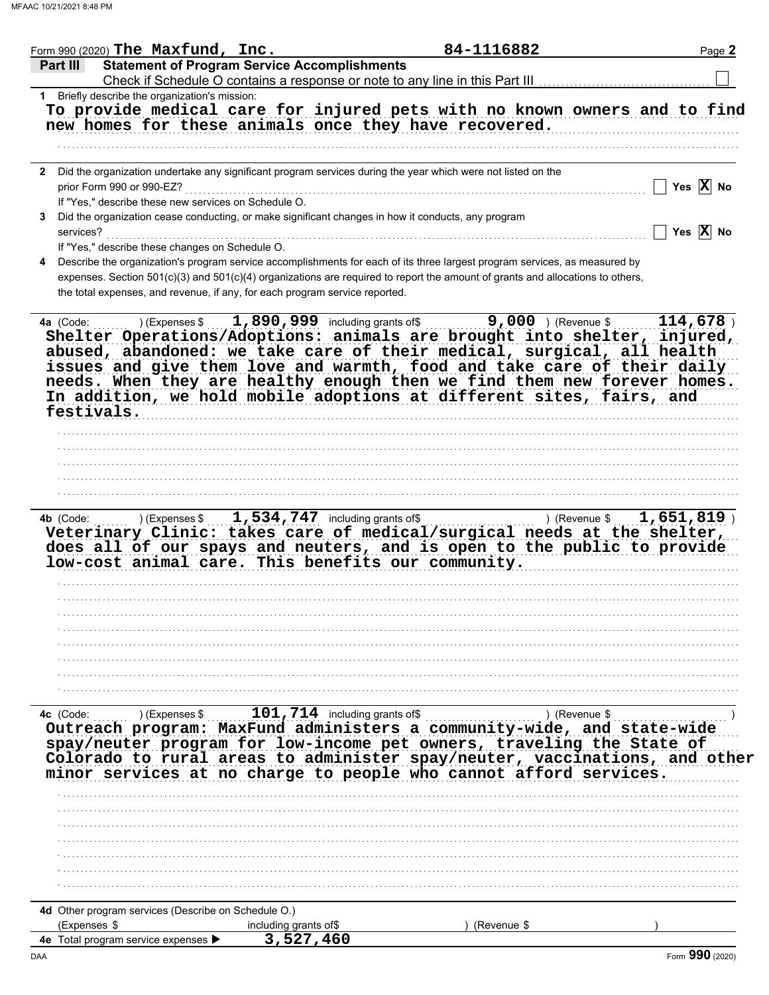| <b>Statement of Program Service Accomplishments</b><br>Part III<br>Check if Schedule O contains a response or note to any line in this Part III [11] [11] [11] [11] [11] [11] [1<br>1 Briefly describe the organization's mission:<br>To provide medical care for injured pets with no known owners and to find<br>new homes for these animals once they have recovered.                                                                                             |                            |                       |
|----------------------------------------------------------------------------------------------------------------------------------------------------------------------------------------------------------------------------------------------------------------------------------------------------------------------------------------------------------------------------------------------------------------------------------------------------------------------|----------------------------|-----------------------|
|                                                                                                                                                                                                                                                                                                                                                                                                                                                                      |                            |                       |
|                                                                                                                                                                                                                                                                                                                                                                                                                                                                      |                            |                       |
|                                                                                                                                                                                                                                                                                                                                                                                                                                                                      |                            |                       |
|                                                                                                                                                                                                                                                                                                                                                                                                                                                                      |                            |                       |
| Did the organization undertake any significant program services during the year which were not listed on the<br>$\mathbf{2}$                                                                                                                                                                                                                                                                                                                                         |                            |                       |
| prior Form 990 or 990-EZ?                                                                                                                                                                                                                                                                                                                                                                                                                                            |                            | Yes $X$ No            |
| If "Yes," describe these new services on Schedule O.                                                                                                                                                                                                                                                                                                                                                                                                                 |                            |                       |
| Did the organization cease conducting, or make significant changes in how it conducts, any program<br>services?                                                                                                                                                                                                                                                                                                                                                      |                            | Yes $\overline{X}$ No |
| If "Yes," describe these changes on Schedule O.                                                                                                                                                                                                                                                                                                                                                                                                                      |                            |                       |
| Describe the organization's program service accomplishments for each of its three largest program services, as measured by<br>expenses. Section 501(c)(3) and 501(c)(4) organizations are required to report the amount of grants and allocations to others,<br>the total expenses, and revenue, if any, for each program service reported.                                                                                                                          |                            |                       |
| $1,890,999$ including grants of \$<br>4a (Code:<br>) (Expenses \$<br>Shelter Operations/Adoptions: animals are brought into shelter, injured,<br>abused, abandoned: we take care of their medical, surgical, all health<br>issues and give them love and warmth, food and take care of their daily<br>needs. When they are healthy enough then we find them new forever homes.<br>In addition, we hold mobile adoptions at different sites, fairs, and<br>festivals. | <b>9,000</b> ) (Revenue \$ | 114,678               |
|                                                                                                                                                                                                                                                                                                                                                                                                                                                                      |                            |                       |
|                                                                                                                                                                                                                                                                                                                                                                                                                                                                      |                            |                       |
|                                                                                                                                                                                                                                                                                                                                                                                                                                                                      |                            |                       |
|                                                                                                                                                                                                                                                                                                                                                                                                                                                                      |                            |                       |
| Veterinary Clinic: takes care of medical/surgical needs at the shelter,<br>does all of our spays and neuters, and is open to the public to provide<br>low-cost animal care. This benefits our community.                                                                                                                                                                                                                                                             |                            |                       |
|                                                                                                                                                                                                                                                                                                                                                                                                                                                                      |                            |                       |
|                                                                                                                                                                                                                                                                                                                                                                                                                                                                      |                            |                       |
|                                                                                                                                                                                                                                                                                                                                                                                                                                                                      |                            |                       |
|                                                                                                                                                                                                                                                                                                                                                                                                                                                                      |                            |                       |
|                                                                                                                                                                                                                                                                                                                                                                                                                                                                      |                            |                       |
| Ic (Code: )(Expenses \$101,714 including grants of \$101,714 including grants of \$101,714 including grants of \$101,714 including grants of \$1,815 (Revenue \$1,815 (Revenue \$1,815 (Revenue \$1,815 (Revenue \$1,815 (Revenue \$1,81<br>4c (Code:<br>spay/neuter program for low-income pet owners, traveling the State of                                                                                                                                       |                            |                       |
| Colorado to rural areas to administer spay/neuter, vaccinations, and other<br>minor services at no charge to people who cannot afford services.                                                                                                                                                                                                                                                                                                                      |                            |                       |
|                                                                                                                                                                                                                                                                                                                                                                                                                                                                      |                            |                       |
|                                                                                                                                                                                                                                                                                                                                                                                                                                                                      |                            |                       |
|                                                                                                                                                                                                                                                                                                                                                                                                                                                                      |                            |                       |
|                                                                                                                                                                                                                                                                                                                                                                                                                                                                      |                            |                       |
|                                                                                                                                                                                                                                                                                                                                                                                                                                                                      |                            |                       |
|                                                                                                                                                                                                                                                                                                                                                                                                                                                                      |                            |                       |
| 4d Other program services (Describe on Schedule O.)                                                                                                                                                                                                                                                                                                                                                                                                                  |                            |                       |
| (Expenses \$<br>including grants of\$                                                                                                                                                                                                                                                                                                                                                                                                                                | (Revenue \$                |                       |
| 3,527,460<br>4e Total program service expenses ▶                                                                                                                                                                                                                                                                                                                                                                                                                     |                            |                       |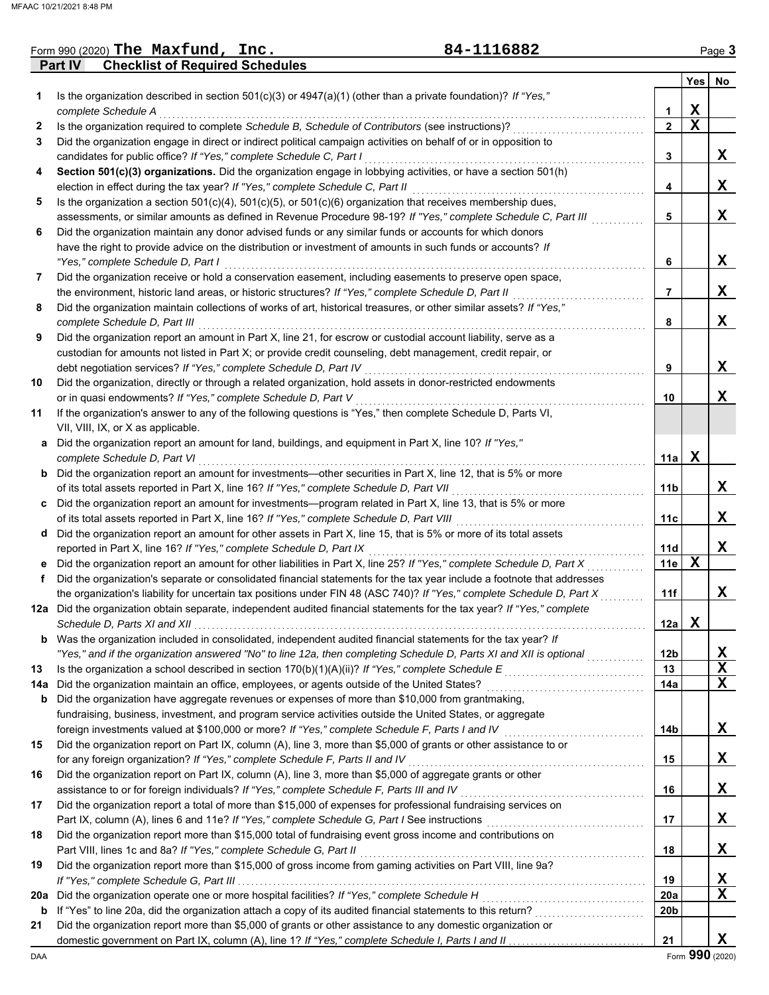|     | <b>Checklist of Required Schedules</b><br>Part IV                                                                       |              |             |                 |
|-----|-------------------------------------------------------------------------------------------------------------------------|--------------|-------------|-----------------|
|     |                                                                                                                         |              | Yes         | No              |
| 1   | Is the organization described in section $501(c)(3)$ or $4947(a)(1)$ (other than a private foundation)? If "Yes,"       |              |             |                 |
|     | complete Schedule A                                                                                                     | 1            | X           |                 |
| 2   | Is the organization required to complete Schedule B, Schedule of Contributors (see instructions)?                       | $\mathbf{2}$ | $\mathbf x$ |                 |
| 3   | Did the organization engage in direct or indirect political campaign activities on behalf of or in opposition to        |              |             |                 |
|     | candidates for public office? If "Yes," complete Schedule C, Part I                                                     | 3            |             | X               |
| 4   | Section 501(c)(3) organizations. Did the organization engage in lobbying activities, or have a section 501(h)           |              |             |                 |
|     | election in effect during the tax year? If "Yes," complete Schedule C, Part II                                          | 4            |             | X               |
| 5   | Is the organization a section $501(c)(4)$ , $501(c)(5)$ , or $501(c)(6)$ organization that receives membership dues,    |              |             |                 |
|     |                                                                                                                         |              |             | X               |
|     | assessments, or similar amounts as defined in Revenue Procedure 98-19? If "Yes," complete Schedule C, Part III          | 5            |             |                 |
| 6   | Did the organization maintain any donor advised funds or any similar funds or accounts for which donors                 |              |             |                 |
|     | have the right to provide advice on the distribution or investment of amounts in such funds or accounts? If             |              |             |                 |
|     | "Yes," complete Schedule D, Part I                                                                                      | 6            |             | X               |
| 7   | Did the organization receive or hold a conservation easement, including easements to preserve open space,               |              |             |                 |
|     | the environment, historic land areas, or historic structures? If "Yes," complete Schedule D, Part II                    | 7            |             | X               |
| 8   | Did the organization maintain collections of works of art, historical treasures, or other similar assets? If "Yes,"     |              |             |                 |
|     | complete Schedule D, Part III                                                                                           | 8            |             | X               |
| 9   | Did the organization report an amount in Part X, line 21, for escrow or custodial account liability, serve as a         |              |             |                 |
|     | custodian for amounts not listed in Part X; or provide credit counseling, debt management, credit repair, or            |              |             |                 |
|     | debt negotiation services? If "Yes," complete Schedule D, Part IV                                                       | 9            |             | X               |
| 10  | Did the organization, directly or through a related organization, hold assets in donor-restricted endowments            |              |             |                 |
|     | or in quasi endowments? If "Yes," complete Schedule D, Part V                                                           | 10           |             | X               |
| 11  | If the organization's answer to any of the following questions is "Yes," then complete Schedule D, Parts VI,            |              |             |                 |
|     | VII, VIII, IX, or X as applicable.                                                                                      |              |             |                 |
|     | Did the organization report an amount for land, buildings, and equipment in Part X, line 10? If "Yes,"                  |              |             |                 |
| a   |                                                                                                                         |              | X           |                 |
|     | complete Schedule D, Part VI                                                                                            | 11a l        |             |                 |
| b   | Did the organization report an amount for investments—other securities in Part X, line 12, that is 5% or more           |              |             |                 |
|     | of its total assets reported in Part X, line 16? If "Yes," complete Schedule D, Part VII                                | 11b          |             | X               |
| c   | Did the organization report an amount for investments—program related in Part X, line 13, that is 5% or more            |              |             |                 |
|     | of its total assets reported in Part X, line 16? If "Yes," complete Schedule D, Part VIII                               | 11c          |             | X               |
| d   | Did the organization report an amount for other assets in Part X, line 15, that is 5% or more of its total assets       |              |             |                 |
|     | reported in Part X, line 16? If "Yes," complete Schedule D, Part IX                                                     | 11d          |             | X               |
| е   | Did the organization report an amount for other liabilities in Part X, line 25? If "Yes," complete Schedule D, Part X   | 11e          | $\mathbf X$ |                 |
| f   | Did the organization's separate or consolidated financial statements for the tax year include a footnote that addresses |              |             |                 |
|     | the organization's liability for uncertain tax positions under FIN 48 (ASC 740)? If "Yes," complete Schedule D, Part X  | 11f          |             | X               |
|     | 12a Did the organization obtain separate, independent audited financial statements for the tax year? If "Yes," complete |              |             |                 |
|     |                                                                                                                         | 12a          | $\mathbf x$ |                 |
| b   | Was the organization included in consolidated, independent audited financial statements for the tax year? If            |              |             |                 |
|     | "Yes," and if the organization answered "No" to line 12a, then completing Schedule D, Parts XI and XII is optional      | <b>12b</b>   |             | X               |
| 13  | Is the organization a school described in section $170(b)(1)(A)(ii)?$ If "Yes," complete Schedule E                     | 13           |             | X               |
| 14a | Did the organization maintain an office, employees, or agents outside of the United States?                             | 14a          |             | X               |
|     |                                                                                                                         |              |             |                 |
| b   | Did the organization have aggregate revenues or expenses of more than \$10,000 from grantmaking,                        |              |             |                 |
|     | fundraising, business, investment, and program service activities outside the United States, or aggregate               |              |             |                 |
|     | foreign investments valued at \$100,000 or more? If "Yes," complete Schedule F, Parts I and IV                          | 14b          |             | X,              |
| 15  | Did the organization report on Part IX, column (A), line 3, more than \$5,000 of grants or other assistance to or       |              |             |                 |
|     | for any foreign organization? If "Yes," complete Schedule F, Parts II and IV                                            | 15           |             | X               |
| 16  | Did the organization report on Part IX, column (A), line 3, more than \$5,000 of aggregate grants or other              |              |             |                 |
|     | assistance to or for foreign individuals? If "Yes," complete Schedule F, Parts III and IV                               | 16           |             | X               |
| 17  | Did the organization report a total of more than \$15,000 of expenses for professional fundraising services on          |              |             |                 |
|     | Part IX, column (A), lines 6 and 11e? If "Yes," complete Schedule G, Part I See instructions [[[[[[[[[[[[[[[[[          | 17           |             | X               |
| 18  | Did the organization report more than \$15,000 total of fundraising event gross income and contributions on             |              |             |                 |
|     | Part VIII, lines 1c and 8a? If "Yes," complete Schedule G, Part II                                                      | 18           |             | X               |
| 19  | Did the organization report more than \$15,000 of gross income from gaming activities on Part VIII, line 9a?            |              |             |                 |
|     |                                                                                                                         | 19           |             | X               |
| 20a | Did the organization operate one or more hospital facilities? If "Yes," complete Schedule H                             | 20a          |             | X               |
| b   | If "Yes" to line 20a, did the organization attach a copy of its audited financial statements to this return?            | 20b          |             |                 |
|     | Did the organization report more than \$5,000 of grants or other assistance to any domestic organization or             |              |             |                 |
| 21  |                                                                                                                         | 21           |             | X               |
|     |                                                                                                                         |              |             | Form 990 (2020) |
| DAA |                                                                                                                         |              |             |                 |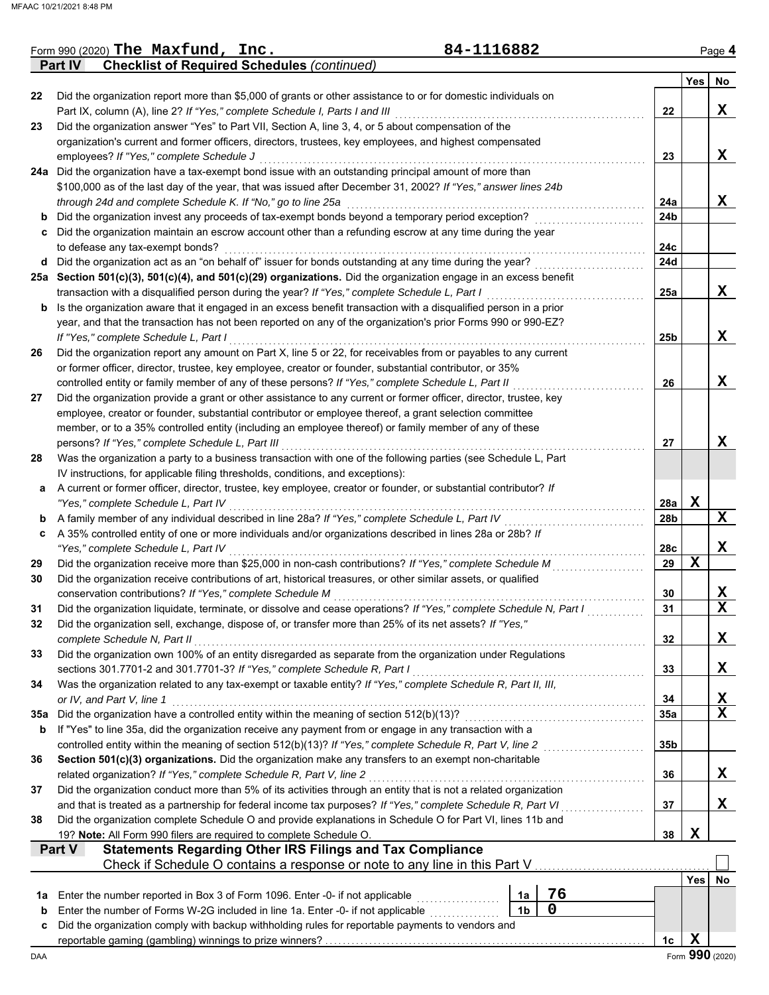|     | <b>Checklist of Required Schedules (continued)</b><br><b>Part IV</b>                                                                                                                    |                 |             |                 |
|-----|-----------------------------------------------------------------------------------------------------------------------------------------------------------------------------------------|-----------------|-------------|-----------------|
|     |                                                                                                                                                                                         |                 | <b>Yes</b>  | No              |
| 22  | Did the organization report more than \$5,000 of grants or other assistance to or for domestic individuals on                                                                           |                 |             |                 |
|     | Part IX, column (A), line 2? If "Yes," complete Schedule I, Parts I and III                                                                                                             | 22              |             | X               |
| 23  | Did the organization answer "Yes" to Part VII, Section A, line 3, 4, or 5 about compensation of the                                                                                     |                 |             |                 |
|     | organization's current and former officers, directors, trustees, key employees, and highest compensated                                                                                 |                 |             |                 |
|     | employees? If "Yes," complete Schedule J                                                                                                                                                | 23              |             | X               |
|     | 24a Did the organization have a tax-exempt bond issue with an outstanding principal amount of more than                                                                                 |                 |             |                 |
|     | \$100,000 as of the last day of the year, that was issued after December 31, 2002? If "Yes," answer lines 24b                                                                           |                 |             |                 |
|     | through 24d and complete Schedule K. If "No," go to line 25a                                                                                                                            | 24a             |             | X               |
| b   | Did the organization invest any proceeds of tax-exempt bonds beyond a temporary period exception?                                                                                       | 24b             |             |                 |
| c   | Did the organization maintain an escrow account other than a refunding escrow at any time during the year                                                                               |                 |             |                 |
|     | to defease any tax-exempt bonds?                                                                                                                                                        | 24c             |             |                 |
| d   | Did the organization act as an "on behalf of" issuer for bonds outstanding at any time during the year?                                                                                 | 24d             |             |                 |
|     | 25a Section 501(c)(3), 501(c)(4), and 501(c)(29) organizations. Did the organization engage in an excess benefit                                                                        |                 |             |                 |
|     | transaction with a disqualified person during the year? If "Yes," complete Schedule L, Part I                                                                                           | 25a             |             | X               |
| b   | Is the organization aware that it engaged in an excess benefit transaction with a disqualified person in a prior                                                                        |                 |             |                 |
|     | year, and that the transaction has not been reported on any of the organization's prior Forms 990 or 990-EZ?                                                                            |                 |             |                 |
|     | If "Yes," complete Schedule L, Part I                                                                                                                                                   | 25b             |             | X               |
| 26  | Did the organization report any amount on Part X, line 5 or 22, for receivables from or payables to any current                                                                         |                 |             |                 |
|     | or former officer, director, trustee, key employee, creator or founder, substantial contributor, or 35%                                                                                 |                 |             |                 |
|     | controlled entity or family member of any of these persons? If "Yes," complete Schedule L, Part II                                                                                      | 26              |             | X               |
| 27  | Did the organization provide a grant or other assistance to any current or former officer, director, trustee, key                                                                       |                 |             |                 |
|     | employee, creator or founder, substantial contributor or employee thereof, a grant selection committee                                                                                  |                 |             |                 |
|     | member, or to a 35% controlled entity (including an employee thereof) or family member of any of these                                                                                  |                 |             |                 |
|     | persons? If "Yes," complete Schedule L, Part III                                                                                                                                        | 27              |             | X               |
| 28  | Was the organization a party to a business transaction with one of the following parties (see Schedule L, Part                                                                          |                 |             |                 |
|     | IV instructions, for applicable filing thresholds, conditions, and exceptions):                                                                                                         |                 |             |                 |
| а   | A current or former officer, director, trustee, key employee, creator or founder, or substantial contributor? If                                                                        |                 |             |                 |
|     | "Yes," complete Schedule L, Part IV                                                                                                                                                     | 28a             | $\mathbf X$ |                 |
| b   | A family member of any individual described in line 28a? If "Yes," complete Schedule L, Part IV                                                                                         | 28b             |             | X               |
| c   | A 35% controlled entity of one or more individuals and/or organizations described in lines 28a or 28b? If                                                                               |                 |             |                 |
|     | "Yes," complete Schedule L, Part IV                                                                                                                                                     | 28c             |             | X               |
| 29  | Did the organization receive more than \$25,000 in non-cash contributions? If "Yes," complete Schedule M                                                                                | 29              | X           |                 |
| 30  | Did the organization receive contributions of art, historical treasures, or other similar assets, or qualified                                                                          |                 |             |                 |
|     | conservation contributions? If "Yes," complete Schedule M                                                                                                                               | 30              |             | X               |
| 31  | Did the organization liquidate, terminate, or dissolve and cease operations? If "Yes," complete Schedule N, Part I                                                                      | 31              |             | $\mathbf x$     |
|     | Did the organization sell, exchange, dispose of, or transfer more than 25% of its net assets? If "Yes,"                                                                                 |                 |             |                 |
|     | complete Schedule N, Part II                                                                                                                                                            | 32              |             | X               |
| 33  | Did the organization own 100% of an entity disregarded as separate from the organization under Regulations                                                                              |                 |             |                 |
|     | sections 301.7701-2 and 301.7701-3? If "Yes," complete Schedule R, Part I                                                                                                               | 33              |             | X               |
| 34  | Was the organization related to any tax-exempt or taxable entity? If "Yes," complete Schedule R, Part II, III,                                                                          |                 |             |                 |
|     | or IV, and Part V, line 1                                                                                                                                                               | 34              |             | X               |
| 35а | Did the organization have a controlled entity within the meaning of section 512(b)(13)?                                                                                                 | 35a             |             | $\mathbf x$     |
| b   | If "Yes" to line 35a, did the organization receive any payment from or engage in any transaction with a                                                                                 |                 |             |                 |
|     | controlled entity within the meaning of section 512(b)(13)? If "Yes," complete Schedule R, Part V, line 2                                                                               | 35 <sub>b</sub> |             |                 |
| 36  | Section 501(c)(3) organizations. Did the organization make any transfers to an exempt non-charitable                                                                                    |                 |             |                 |
|     |                                                                                                                                                                                         |                 |             |                 |
|     | related organization? If "Yes," complete Schedule R, Part V, line 2<br>Did the organization conduct more than 5% of its activities through an entity that is not a related organization | 36              |             | X               |
| 37  |                                                                                                                                                                                         |                 |             |                 |
|     | and that is treated as a partnership for federal income tax purposes? If "Yes," complete Schedule R, Part VI                                                                            | 37              |             | X               |
| 38  | Did the organization complete Schedule O and provide explanations in Schedule O for Part VI, lines 11b and                                                                              |                 |             |                 |
|     | 19? Note: All Form 990 filers are required to complete Schedule O.                                                                                                                      | 38              | X           |                 |
|     | <b>Statements Regarding Other IRS Filings and Tax Compliance</b><br>Part V                                                                                                              |                 |             |                 |
|     | Check if Schedule O contains a response or note to any line in this Part V                                                                                                              |                 |             |                 |
|     |                                                                                                                                                                                         |                 | <b>Yes</b>  | No              |
| 1a  | 76<br>Enter the number reported in Box 3 of Form 1096. Enter -0- if not applicable<br>1a                                                                                                |                 |             |                 |
| b   | $\mathbf 0$<br>Enter the number of Forms W-2G included in line 1a. Enter -0- if not applicable<br>1 <sub>b</sub>                                                                        |                 |             |                 |
| c   | Did the organization comply with backup withholding rules for reportable payments to vendors and                                                                                        |                 |             |                 |
|     |                                                                                                                                                                                         | 1c              | X           |                 |
| DAA |                                                                                                                                                                                         |                 |             | Form 990 (2020) |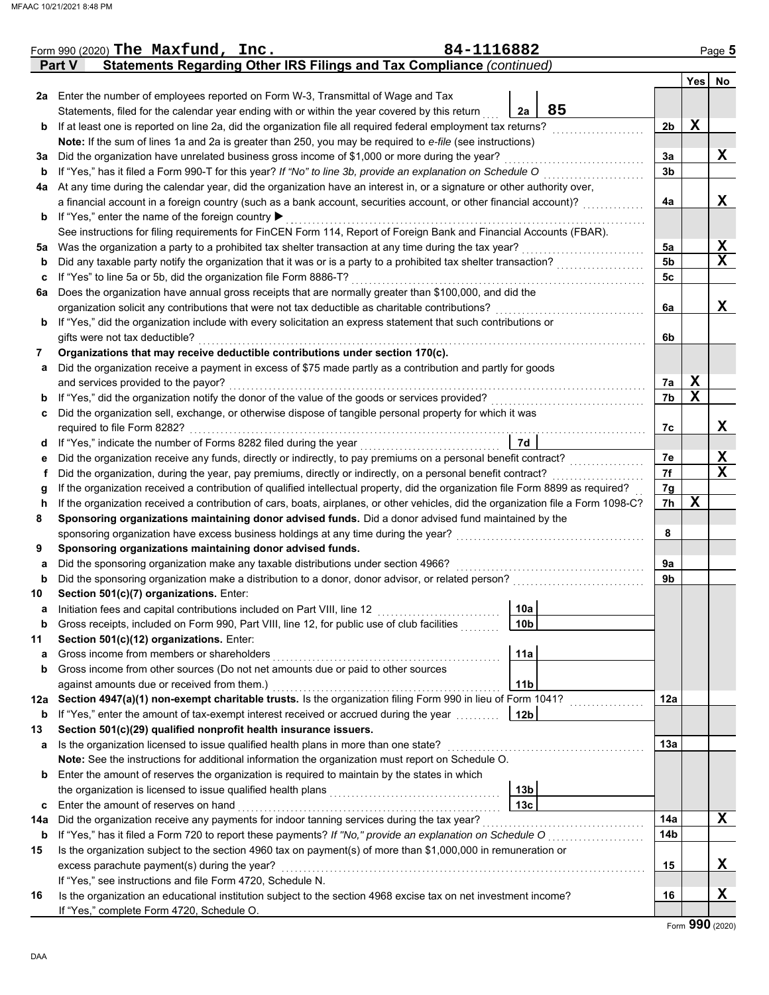|     | 84-1116882<br>Form 990 (2020) The Maxfund, $Inc.$<br>Statements Regarding Other IRS Filings and Tax Compliance (continued)<br><b>Part V</b> |                |             | Page 5                  |
|-----|---------------------------------------------------------------------------------------------------------------------------------------------|----------------|-------------|-------------------------|
|     |                                                                                                                                             |                | <b>Yes</b>  | No                      |
|     | 2a Enter the number of employees reported on Form W-3, Transmittal of Wage and Tax                                                          |                |             |                         |
|     | 85<br>Statements, filed for the calendar year ending with or within the year covered by this return<br>2a                                   |                |             |                         |
| b   | If at least one is reported on line 2a, did the organization file all required federal employment tax returns?                              | 2b             | $\mathbf x$ |                         |
|     | Note: If the sum of lines 1a and 2a is greater than 250, you may be required to e-file (see instructions)                                   |                |             |                         |
| За  | Did the organization have unrelated business gross income of \$1,000 or more during the year?                                               | 3a             |             | X                       |
| b   | If "Yes," has it filed a Form 990-T for this year? If "No" to line 3b, provide an explanation on Schedule O                                 | 3 <sub>b</sub> |             |                         |
| 4a  | At any time during the calendar year, did the organization have an interest in, or a signature or other authority over,                     |                |             |                         |
|     | a financial account in a foreign country (such as a bank account, securities account, or other financial account)?                          | 4a             |             | X                       |
| b   | If "Yes," enter the name of the foreign country ▶                                                                                           |                |             |                         |
|     | See instructions for filing requirements for FinCEN Form 114, Report of Foreign Bank and Financial Accounts (FBAR).                         |                |             |                         |
| 5a  | Was the organization a party to a prohibited tax shelter transaction at any time during the tax year?                                       | 5a             |             | X                       |
| b   | Did any taxable party notify the organization that it was or is a party to a prohibited tax shelter transaction?                            | 5 <sub>b</sub> |             | $\mathbf X$             |
| c   | If "Yes" to line 5a or 5b, did the organization file Form 8886-T?                                                                           | 5с             |             |                         |
| 6а  | Does the organization have annual gross receipts that are normally greater than \$100,000, and did the                                      |                |             |                         |
|     | organization solicit any contributions that were not tax deductible as charitable contributions?                                            | 6a             |             | X                       |
| b   | If "Yes," did the organization include with every solicitation an express statement that such contributions or                              |                |             |                         |
|     | gifts were not tax deductible?                                                                                                              | 6b             |             |                         |
| 7   | Organizations that may receive deductible contributions under section 170(c).                                                               |                |             |                         |
| а   | Did the organization receive a payment in excess of \$75 made partly as a contribution and partly for goods                                 |                |             |                         |
|     | and services provided to the payor?                                                                                                         | 7а             | X           |                         |
| b   | If "Yes," did the organization notify the donor of the value of the goods or services provided?                                             | 7b             | $\mathbf x$ |                         |
| c   | Did the organization sell, exchange, or otherwise dispose of tangible personal property for which it was                                    |                |             |                         |
|     | required to file Form 8282?                                                                                                                 | 7c             |             | X                       |
| d   | 7d<br>If "Yes," indicate the number of Forms 8282 filed during the year                                                                     |                |             |                         |
| е   | Did the organization receive any funds, directly or indirectly, to pay premiums on a personal benefit contract?                             | 7е             |             | $\overline{\mathbf{X}}$ |
| f   | Did the organization, during the year, pay premiums, directly or indirectly, on a personal benefit contract?                                | 7f             |             | $\mathbf x$             |
| g   | If the organization received a contribution of qualified intellectual property, did the organization file Form 8899 as required?            | 7g             |             |                         |
| h   | If the organization received a contribution of cars, boats, airplanes, or other vehicles, did the organization file a Form 1098-C?          | 7h             | $\mathbf x$ |                         |
| 8   | Sponsoring organizations maintaining donor advised funds. Did a donor advised fund maintained by the                                        |                |             |                         |
|     | sponsoring organization have excess business holdings at any time during the year?                                                          | 8              |             |                         |
| 9   | Sponsoring organizations maintaining donor advised funds.                                                                                   |                |             |                         |
| а   | Did the sponsoring organization make any taxable distributions under section 4966?                                                          | 9а             |             |                         |
| b   | Did the sponsoring organization make a distribution to a donor, donor advisor, or related person?                                           | 9b             |             |                         |
| 10  | Section 501(c)(7) organizations. Enter:                                                                                                     |                |             |                         |
| а   | Initiation fees and capital contributions included on Part VIII, line 12<br>10a                                                             |                |             |                         |
| b   | Gross receipts, included on Form 990, Part VIII, line 12, for public use of club facilities<br>10 <sub>b</sub>                              |                |             |                         |
| 11  | Section 501(c)(12) organizations. Enter:                                                                                                    |                |             |                         |
| a   | 11a<br>Gross income from members or shareholders                                                                                            |                |             |                         |
| b   | Gross income from other sources (Do not net amounts due or paid to other sources                                                            |                |             |                         |
|     | 11 <sub>b</sub><br>against amounts due or received from them.)                                                                              |                |             |                         |
| 12a | Section 4947(a)(1) non-exempt charitable trusts. Is the organization filing Form 990 in lieu of Form 1041?                                  | 12a            |             |                         |
| b   | If "Yes," enter the amount of tax-exempt interest received or accrued during the year<br>12 <sub>b</sub>                                    |                |             |                         |
| 13  | Section 501(c)(29) qualified nonprofit health insurance issuers.                                                                            |                |             |                         |
| а   | Is the organization licensed to issue qualified health plans in more than one state?                                                        | 13a            |             |                         |
|     | Note: See the instructions for additional information the organization must report on Schedule O.                                           |                |             |                         |
| b   | Enter the amount of reserves the organization is required to maintain by the states in which                                                |                |             |                         |
|     | 13 <sub>b</sub>                                                                                                                             |                |             |                         |
| c   | 13 <sub>c</sub><br>Enter the amount of reserves on hand                                                                                     |                |             |                         |
| 14a | Did the organization receive any payments for indoor tanning services during the tax year?                                                  | 14a            |             | X                       |
| b   | If "Yes," has it filed a Form 720 to report these payments? If "No," provide an explanation on Schedule O                                   | 14b            |             |                         |
| 15  | Is the organization subject to the section 4960 tax on payment(s) of more than \$1,000,000 in remuneration or                               |                |             |                         |
|     | excess parachute payment(s) during the year?                                                                                                | 15             |             | X                       |
|     | If "Yes," see instructions and file Form 4720, Schedule N.                                                                                  |                |             |                         |
| 16  | Is the organization an educational institution subject to the section 4968 excise tax on net investment income?                             | 16             |             | X                       |
|     | If "Yes," complete Form 4720, Schedule O.                                                                                                   |                |             |                         |

Form **990** (2020)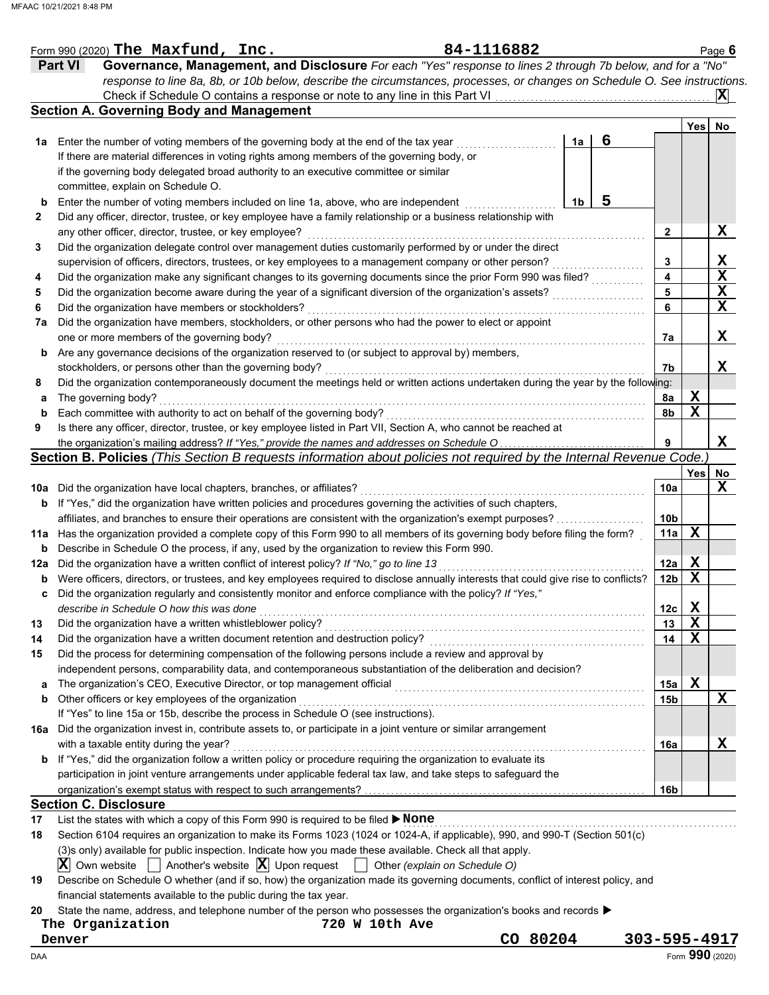|     | Form 990 (2020) The Maxfund, Inc.                                                                                                    | 84-1116882                    |    |   |                 |                 | Page 6         |
|-----|--------------------------------------------------------------------------------------------------------------------------------------|-------------------------------|----|---|-----------------|-----------------|----------------|
|     | Governance, Management, and Disclosure For each "Yes" response to lines 2 through 7b below, and for a "No"<br><b>Part VI</b>         |                               |    |   |                 |                 |                |
|     | response to line 8a, 8b, or 10b below, describe the circumstances, processes, or changes on Schedule O. See instructions.            |                               |    |   |                 |                 |                |
|     | Check if Schedule O contains a response or note to any line in this Part VI                                                          |                               |    |   |                 |                 | $ \mathbf{X} $ |
|     | <b>Section A. Governing Body and Management</b>                                                                                      |                               |    |   |                 |                 |                |
|     |                                                                                                                                      |                               |    |   |                 | Yes             | No             |
| 1а  | Enter the number of voting members of the governing body at the end of the tax year                                                  |                               | 1a | 6 |                 |                 |                |
|     | If there are material differences in voting rights among members of the governing body, or                                           |                               |    |   |                 |                 |                |
|     | if the governing body delegated broad authority to an executive committee or similar                                                 |                               |    |   |                 |                 |                |
|     |                                                                                                                                      |                               |    |   |                 |                 |                |
|     | committee, explain on Schedule O.                                                                                                    |                               |    | 5 |                 |                 |                |
| b   | Enter the number of voting members included on line 1a, above, who are independent                                                   |                               | 1b |   |                 |                 |                |
| 2   | Did any officer, director, trustee, or key employee have a family relationship or a business relationship with                       |                               |    |   |                 |                 |                |
|     | any other officer, director, trustee, or key employee?                                                                               |                               |    |   | 2               |                 | X              |
| 3   | Did the organization delegate control over management duties customarily performed by or under the direct                            |                               |    |   |                 |                 |                |
|     | supervision of officers, directors, trustees, or key employees to a management company or other person?                              |                               |    |   | 3               |                 | X              |
| 4   | Did the organization make any significant changes to its governing documents since the prior Form 990 was filed?                     |                               |    |   | 4               |                 | X              |
| 5   | Did the organization become aware during the year of a significant diversion of the organization's assets?                           |                               |    |   | 5               |                 | $\mathbf X$    |
| 6   | Did the organization have members or stockholders?                                                                                   |                               |    |   | 6               |                 | $\mathbf x$    |
| 7a  | Did the organization have members, stockholders, or other persons who had the power to elect or appoint                              |                               |    |   |                 |                 |                |
|     | one or more members of the governing body?                                                                                           |                               |    |   | 7а              |                 | X              |
| b   | Are any governance decisions of the organization reserved to (or subject to approval by) members,                                    |                               |    |   |                 |                 |                |
|     | stockholders, or persons other than the governing body?                                                                              |                               |    |   | 7b              |                 | X              |
| 8   | Did the organization contemporaneously document the meetings held or written actions undertaken during the year by the following:    |                               |    |   |                 |                 |                |
| a   | The governing body?                                                                                                                  |                               |    |   | 8a              | X               |                |
| b   | Each committee with authority to act on behalf of the governing body?                                                                |                               |    |   | 8b              | X               |                |
| 9   | Is there any officer, director, trustee, or key employee listed in Part VII, Section A, who cannot be reached at                     |                               |    |   |                 |                 |                |
|     | the organization's mailing address? If "Yes," provide the names and addresses on Schedule O                                          |                               |    |   | 9               |                 | X              |
|     | Section B. Policies (This Section B requests information about policies not required by the Internal Revenue Code.                   |                               |    |   |                 |                 |                |
|     |                                                                                                                                      |                               |    |   |                 |                 |                |
|     |                                                                                                                                      |                               |    |   |                 | Yes             | No             |
| 10a | Did the organization have local chapters, branches, or affiliates?                                                                   |                               |    |   | 10a             |                 | X              |
| b   | If "Yes," did the organization have written policies and procedures governing the activities of such chapters,                       |                               |    |   |                 |                 |                |
|     | affiliates, and branches to ensure their operations are consistent with the organization's exempt purposes?                          |                               |    |   | 10 <sub>b</sub> |                 |                |
| 11a | Has the organization provided a complete copy of this Form 990 to all members of its governing body before filing the form?          |                               |    |   | 11a             | X               |                |
| b   | Describe in Schedule O the process, if any, used by the organization to review this Form 990.                                        |                               |    |   |                 |                 |                |
| 12a | Did the organization have a written conflict of interest policy? If "No," go to line 13                                              |                               |    |   | 12a             | X               |                |
| b   | Were officers, directors, or trustees, and key employees required to disclose annually interests that could give rise to conflicts?  |                               |    |   | 12 <sub>b</sub> | X               |                |
|     | Did the organization regularly and consistently monitor and enforce compliance with the policy? If "Yes,"                            |                               |    |   |                 |                 |                |
|     | describe in Schedule O how this was done                                                                                             |                               |    |   | 12c             | X               |                |
| 13  | Did the organization have a written whistleblower policy?                                                                            |                               |    |   | 13              | X               |                |
| 14  | Did the organization have a written document retention and destruction policy?                                                       |                               |    |   | 14              | X               |                |
| 15  | Did the process for determining compensation of the following persons include a review and approval by                               |                               |    |   |                 |                 |                |
|     | independent persons, comparability data, and contemporaneous substantiation of the deliberation and decision?                        |                               |    |   |                 |                 |                |
| a   | The organization's CEO, Executive Director, or top management official                                                               |                               |    |   | 15a             | X               |                |
| b   | Other officers or key employees of the organization                                                                                  |                               |    |   | 15b             |                 | X              |
|     | If "Yes" to line 15a or 15b, describe the process in Schedule O (see instructions).                                                  |                               |    |   |                 |                 |                |
|     | Did the organization invest in, contribute assets to, or participate in a joint venture or similar arrangement                       |                               |    |   |                 |                 |                |
| 16a |                                                                                                                                      |                               |    |   |                 |                 |                |
|     | with a taxable entity during the year?                                                                                               |                               |    |   | 16a             |                 | X              |
| b   | If "Yes," did the organization follow a written policy or procedure requiring the organization to evaluate its                       |                               |    |   |                 |                 |                |
|     | participation in joint venture arrangements under applicable federal tax law, and take steps to safeguard the                        |                               |    |   |                 |                 |                |
|     |                                                                                                                                      |                               |    |   | 16b             |                 |                |
|     | <b>Section C. Disclosure</b>                                                                                                         |                               |    |   |                 |                 |                |
| 17  | List the states with which a copy of this Form 990 is required to be filed > None                                                    |                               |    |   |                 |                 |                |
| 18  | Section 6104 requires an organization to make its Forms 1023 (1024 or 1024-A, if applicable), 990, and 990-T (Section 501(c)         |                               |    |   |                 |                 |                |
|     | (3)s only) available for public inspection. Indicate how you made these available. Check all that apply.                             |                               |    |   |                 |                 |                |
|     | $ \mathbf{X} $ Own website $ \cdot $ Another's website $ \mathbf{X} $ Upon request                                                   | Other (explain on Schedule O) |    |   |                 |                 |                |
| 19  | Describe on Schedule O whether (and if so, how) the organization made its governing documents, conflict of interest policy, and      |                               |    |   |                 |                 |                |
|     | financial statements available to the public during the tax year.                                                                    |                               |    |   |                 |                 |                |
| 20  | State the name, address, and telephone number of the person who possesses the organization's books and records $\blacktriangleright$ |                               |    |   |                 |                 |                |
|     | The Organization<br>720 W 10th Ave                                                                                                   |                               |    |   |                 |                 |                |
|     | Denver                                                                                                                               | CO 80204                      |    |   | 303-595-4917    |                 |                |
| DAA |                                                                                                                                      |                               |    |   |                 | Form 990 (2020) |                |
|     |                                                                                                                                      |                               |    |   |                 |                 |                |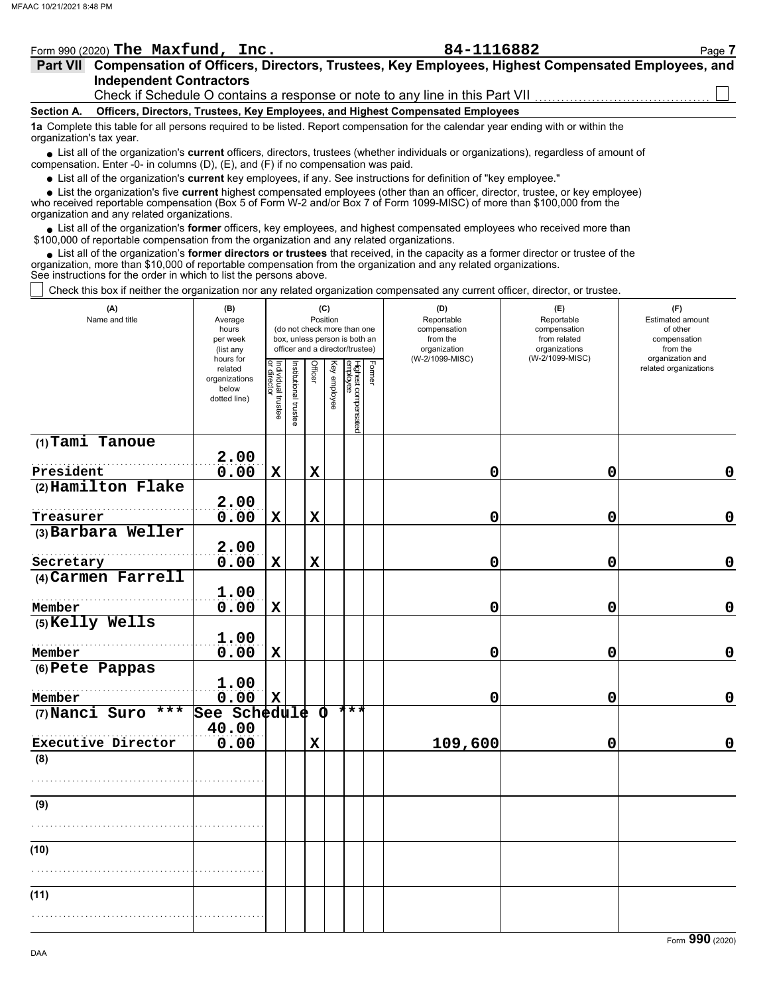|                                                                                                                                                               | Form 990 (2020) The Maxfund, $Inc.$                                                                                                                                        |  | 84-1116882                                                                      | Page 7 |  |  |  |  |  |  |  |  |
|---------------------------------------------------------------------------------------------------------------------------------------------------------------|----------------------------------------------------------------------------------------------------------------------------------------------------------------------------|--|---------------------------------------------------------------------------------|--------|--|--|--|--|--|--|--|--|
|                                                                                                                                                               | Part VII Compensation of Officers, Directors, Trustees, Key Employees, Highest Compensated Employees, and                                                                  |  |                                                                                 |        |  |  |  |  |  |  |  |  |
|                                                                                                                                                               | <b>Independent Contractors</b>                                                                                                                                             |  |                                                                                 |        |  |  |  |  |  |  |  |  |
|                                                                                                                                                               | Check if Schedule O contains a response or note to any line in this Part VII <i>CODD</i> 2010 Check if Schedule O contains a response or note to any line in this Part VII |  |                                                                                 |        |  |  |  |  |  |  |  |  |
| Section A.                                                                                                                                                    |                                                                                                                                                                            |  | Officers, Directors, Trustees, Key Employees, and Highest Compensated Employees |        |  |  |  |  |  |  |  |  |
| 1a Complete this table for all persons required to be listed. Report compensation for the calendar year ending with or within the<br>organization's tax year. |                                                                                                                                                                            |  |                                                                                 |        |  |  |  |  |  |  |  |  |
| • List all of the organization's current officers, directors, trustees (whether individuals or organizations), regardless of amount of                        |                                                                                                                                                                            |  |                                                                                 |        |  |  |  |  |  |  |  |  |

● List all of the organization's **current** officers, directors, trustees (whether indi<br>compensation. Enter -0- in columns (D), (E), and (F) if no compensation was paid.

List all of the organization's **current** key employees, if any. See instructions for definition of "key employee."

who received reportable compensation (Box 5 of Form W-2 and/or Box 7 of Form 1099-MISC) of more than \$100,000 from the organization and any related organizations. ■ List all of the organization's **current** key employees, if any. See instructions for definition of "key employee."<br>■ List the organization's five **current** highest compensated employees (other than an officer, director,

• List all of the organization's **former** officers, key employees, and highest compensated employees who received more than<br>00,000 of reportable compensation from the organization and any related erganizations. \$100,000 of reportable compensation from the organization and any related organizations.

• List all of the organization's **former directors or trustees** that received, in the capacity as a former director or trustee of the anization more than \$10,000 of reportable compensation from the organization and any rel organization, more than \$10,000 of reportable compensation from the organization and any related organizations. See instructions for the order in which to list the persons above.

Check this box if neither the organization nor any related organization compensated any current officer, director, or trustee.

| (A)<br>Name and title | (B)<br>Average<br>hours<br>per week<br>(list any<br>hours for | (C)<br>Position<br>(do not check more than one<br>box, unless person is both an<br>officer and a director/trustee) |                       |             |              |                                 |        | (D)<br>Reportable<br>compensation<br>from the<br>organization<br>(W-2/1099-MISC) | (E)<br>Reportable<br>compensation<br>from related<br>organizations<br>(W-2/1099-MISC) | (F)<br>Estimated amount<br>of other<br>compensation<br>from the<br>organization and |  |
|-----------------------|---------------------------------------------------------------|--------------------------------------------------------------------------------------------------------------------|-----------------------|-------------|--------------|---------------------------------|--------|----------------------------------------------------------------------------------|---------------------------------------------------------------------------------------|-------------------------------------------------------------------------------------|--|
|                       | related<br>organizations<br>below<br>dotted line)             | Individual trustee<br>or director                                                                                  | Institutional trustee | Officer     | Key employee | Highest compensated<br>employee | Former |                                                                                  |                                                                                       | related organizations                                                               |  |
| $(1)$ Tami Tanoue     | 2.00                                                          |                                                                                                                    |                       |             |              |                                 |        |                                                                                  |                                                                                       |                                                                                     |  |
| President             | 0.00                                                          | $\mathbf x$                                                                                                        |                       | $\mathbf x$ |              |                                 |        | 0                                                                                | 0                                                                                     | 0                                                                                   |  |
| (2) Hamilton Flake    | 2.00                                                          |                                                                                                                    |                       |             |              |                                 |        |                                                                                  |                                                                                       |                                                                                     |  |
| Treasurer             | 0.00                                                          | $\mathbf x$                                                                                                        |                       | $\mathbf x$ |              |                                 |        | 0                                                                                | $\mathbf 0$                                                                           | $\mathbf 0$                                                                         |  |
| (3) Barbara Weller    |                                                               |                                                                                                                    |                       |             |              |                                 |        |                                                                                  |                                                                                       |                                                                                     |  |
| Secretary             | 2.00<br>0.00                                                  | $\mathbf x$                                                                                                        |                       | $\mathbf x$ |              |                                 |        | 0                                                                                | $\mathbf 0$                                                                           | $\mathbf 0$                                                                         |  |
| (4) Carmen Farrell    |                                                               |                                                                                                                    |                       |             |              |                                 |        |                                                                                  |                                                                                       |                                                                                     |  |
| Member                | 1.00<br>0.00                                                  | $\mathbf x$                                                                                                        |                       |             |              |                                 |        | 0                                                                                | $\mathbf 0$                                                                           | $\mathbf 0$                                                                         |  |
| (5) Kelly Wells       | 1.00                                                          |                                                                                                                    |                       |             |              |                                 |        |                                                                                  |                                                                                       |                                                                                     |  |
| Member                | 0.00                                                          | $\mathbf X$                                                                                                        |                       |             |              |                                 |        | 0                                                                                | 0                                                                                     | $\mathbf 0$                                                                         |  |
| (6) Pete Pappas       | 1.00                                                          |                                                                                                                    |                       |             |              |                                 |        |                                                                                  |                                                                                       |                                                                                     |  |
| Member                | 0.00                                                          | $\mathbf X$                                                                                                        |                       |             |              |                                 |        | 0                                                                                | 0                                                                                     | $\mathbf 0$                                                                         |  |
| (7) Nanci Suro<br>*** | See Schedule<br>40.00                                         |                                                                                                                    |                       | Ο           |              | ***                             |        |                                                                                  |                                                                                       |                                                                                     |  |
| Executive Director    | 0.00                                                          |                                                                                                                    |                       | $\mathbf x$ |              |                                 |        | 109,600                                                                          | 0                                                                                     | $\mathbf 0$                                                                         |  |
| (8)                   |                                                               |                                                                                                                    |                       |             |              |                                 |        |                                                                                  |                                                                                       |                                                                                     |  |
|                       |                                                               |                                                                                                                    |                       |             |              |                                 |        |                                                                                  |                                                                                       |                                                                                     |  |
| (9)                   |                                                               |                                                                                                                    |                       |             |              |                                 |        |                                                                                  |                                                                                       |                                                                                     |  |
|                       |                                                               |                                                                                                                    |                       |             |              |                                 |        |                                                                                  |                                                                                       |                                                                                     |  |
| (10)                  |                                                               |                                                                                                                    |                       |             |              |                                 |        |                                                                                  |                                                                                       |                                                                                     |  |
|                       |                                                               |                                                                                                                    |                       |             |              |                                 |        |                                                                                  |                                                                                       |                                                                                     |  |
| (11)                  |                                                               |                                                                                                                    |                       |             |              |                                 |        |                                                                                  |                                                                                       |                                                                                     |  |
|                       |                                                               |                                                                                                                    |                       |             |              |                                 |        |                                                                                  |                                                                                       |                                                                                     |  |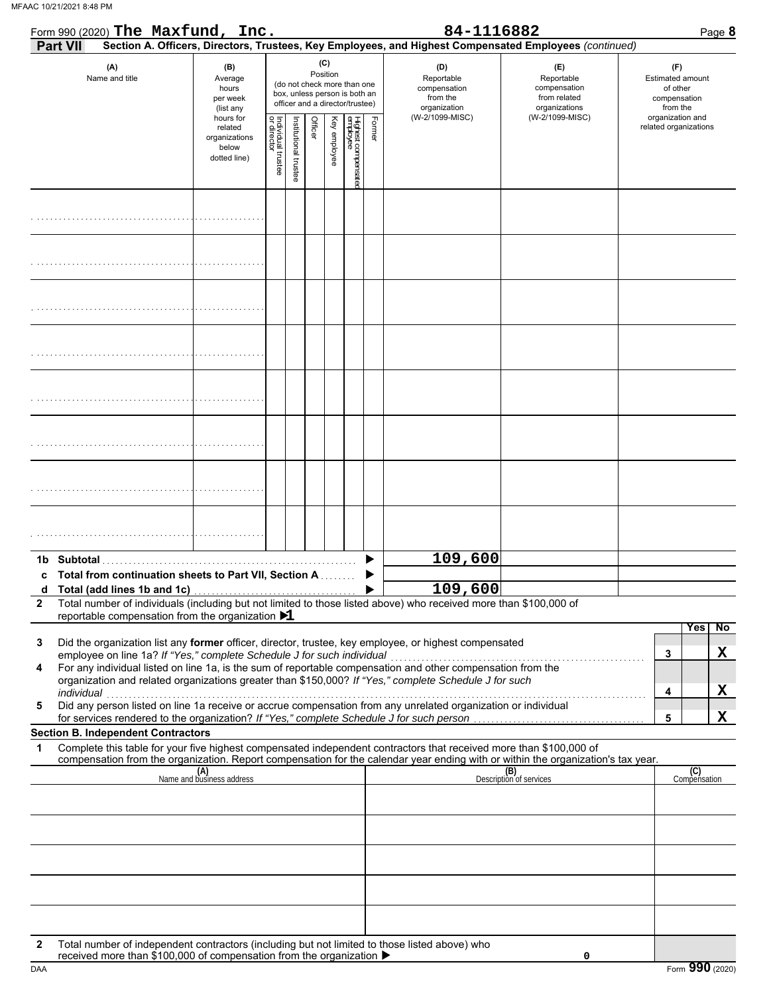| Form 990 (2020) The Maxfund, Inc.                                                                                                                                                                                                                                                                        |                                                                |                                   |                       |         |                 |                                                                                                 |        | 84-1116882                                                    | Page 8                                                                                                                           |                                                                 |
|----------------------------------------------------------------------------------------------------------------------------------------------------------------------------------------------------------------------------------------------------------------------------------------------------------|----------------------------------------------------------------|-----------------------------------|-----------------------|---------|-----------------|-------------------------------------------------------------------------------------------------|--------|---------------------------------------------------------------|----------------------------------------------------------------------------------------------------------------------------------|-----------------------------------------------------------------|
| Part VII                                                                                                                                                                                                                                                                                                 |                                                                |                                   |                       |         |                 |                                                                                                 |        |                                                               | Section A. Officers, Directors, Trustees, Key Employees, and Highest Compensated Employees (continued)                           |                                                                 |
| (A)<br>Name and title                                                                                                                                                                                                                                                                                    | (B)<br>Average<br>hours<br>per week<br>(list any               |                                   |                       |         | (C)<br>Position | (do not check more than one<br>box, unless person is both an<br>officer and a director/trustee) |        | (D)<br>Reportable<br>compensation<br>from the<br>organization | (E)<br>Reportable<br>compensation<br>from related<br>organizations                                                               | (F)<br>Estimated amount<br>of other<br>compensation<br>from the |
|                                                                                                                                                                                                                                                                                                          | hours for<br>related<br>organizations<br>below<br>dotted line) | Individual trustee<br>or director | Institutional trustee | Officer | Key employee    | Highest compensate<br>employee                                                                  | Former | (W-2/1099-MISC)                                               | (W-2/1099-MISC)                                                                                                                  | organization and<br>related organizations                       |
|                                                                                                                                                                                                                                                                                                          |                                                                |                                   |                       |         |                 |                                                                                                 |        |                                                               |                                                                                                                                  |                                                                 |
|                                                                                                                                                                                                                                                                                                          |                                                                |                                   |                       |         |                 |                                                                                                 |        |                                                               |                                                                                                                                  |                                                                 |
|                                                                                                                                                                                                                                                                                                          |                                                                |                                   |                       |         |                 |                                                                                                 |        |                                                               |                                                                                                                                  |                                                                 |
|                                                                                                                                                                                                                                                                                                          |                                                                |                                   |                       |         |                 |                                                                                                 |        |                                                               |                                                                                                                                  |                                                                 |
|                                                                                                                                                                                                                                                                                                          |                                                                |                                   |                       |         |                 |                                                                                                 |        |                                                               |                                                                                                                                  |                                                                 |
|                                                                                                                                                                                                                                                                                                          |                                                                |                                   |                       |         |                 |                                                                                                 |        |                                                               |                                                                                                                                  |                                                                 |
|                                                                                                                                                                                                                                                                                                          |                                                                |                                   |                       |         |                 |                                                                                                 |        |                                                               |                                                                                                                                  |                                                                 |
|                                                                                                                                                                                                                                                                                                          |                                                                |                                   |                       |         |                 |                                                                                                 |        |                                                               |                                                                                                                                  |                                                                 |
| Total from continuation sheets to Part VII, Section A                                                                                                                                                                                                                                                    |                                                                |                                   |                       |         |                 |                                                                                                 |        | 109,600                                                       |                                                                                                                                  |                                                                 |
| Total number of individuals (including but not limited to those listed above) who received more than \$100,000 of<br>$\mathbf{2}$                                                                                                                                                                        |                                                                |                                   |                       |         |                 |                                                                                                 |        | 109,600                                                       |                                                                                                                                  |                                                                 |
| reportable compensation from the organization $\blacktriangleright$ 1                                                                                                                                                                                                                                    |                                                                |                                   |                       |         |                 |                                                                                                 |        |                                                               |                                                                                                                                  | <b>No</b><br>Yes                                                |
| Did the organization list any former officer, director, trustee, key employee, or highest compensated<br>3<br>employee on line 1a? If "Yes," complete Schedule J for such individual<br>For any individual listed on line 1a, is the sum of reportable compensation and other compensation from the<br>4 |                                                                |                                   |                       |         |                 |                                                                                                 |        |                                                               |                                                                                                                                  | X<br>3                                                          |
| organization and related organizations greater than \$150,000? If "Yes," complete Schedule J for such                                                                                                                                                                                                    |                                                                |                                   |                       |         |                 |                                                                                                 |        |                                                               |                                                                                                                                  | X<br>4                                                          |
| individual<br>Did any person listed on line 1a receive or accrue compensation from any unrelated organization or individual<br>5<br>for services rendered to the organization? If "Yes," complete Schedule J for such person                                                                             |                                                                |                                   |                       |         |                 |                                                                                                 |        |                                                               |                                                                                                                                  | X<br>5                                                          |
| <b>Section B. Independent Contractors</b><br>Complete this table for your five highest compensated independent contractors that received more than \$100,000 of                                                                                                                                          |                                                                |                                   |                       |         |                 |                                                                                                 |        |                                                               |                                                                                                                                  |                                                                 |
| 1                                                                                                                                                                                                                                                                                                        |                                                                |                                   |                       |         |                 |                                                                                                 |        |                                                               | compensation from the organization. Report compensation for the calendar year ending with or within the organization's tax year. |                                                                 |
|                                                                                                                                                                                                                                                                                                          | (A)<br>Name and business address                               |                                   |                       |         |                 |                                                                                                 |        |                                                               | (B)<br>Description of services                                                                                                   | (C)<br>Compensation                                             |
|                                                                                                                                                                                                                                                                                                          |                                                                |                                   |                       |         |                 |                                                                                                 |        |                                                               |                                                                                                                                  |                                                                 |
|                                                                                                                                                                                                                                                                                                          |                                                                |                                   |                       |         |                 |                                                                                                 |        |                                                               |                                                                                                                                  |                                                                 |
|                                                                                                                                                                                                                                                                                                          |                                                                |                                   |                       |         |                 |                                                                                                 |        |                                                               |                                                                                                                                  |                                                                 |
| Total number of independent contractors (including but not limited to those listed above) who<br>2<br>received more than \$100,000 of compensation from the organization ▶                                                                                                                               |                                                                |                                   |                       |         |                 |                                                                                                 |        |                                                               | 0                                                                                                                                |                                                                 |

DAA Form **990** (2020)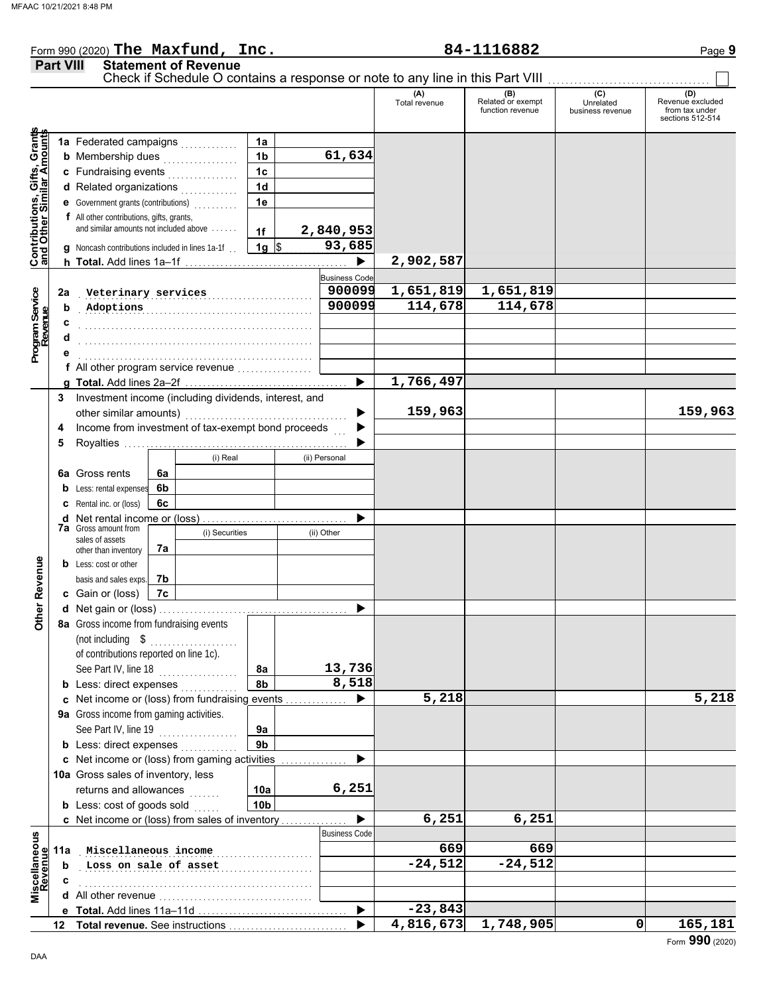#### Form 990 (2020) Page **9 The Maxfund, Inc. 84-1116882**

|                                                                  | <b>Part VIII</b> | <b>Statement of Revenue</b>                                                         |                 |                                |                      |                                              |                                      |                                                               |
|------------------------------------------------------------------|------------------|-------------------------------------------------------------------------------------|-----------------|--------------------------------|----------------------|----------------------------------------------|--------------------------------------|---------------------------------------------------------------|
|                                                                  |                  |                                                                                     |                 |                                | (A)<br>Total revenue | (B)<br>Related or exempt<br>function revenue | (C)<br>Unrelated<br>business revenue | (D)<br>Revenue excluded<br>from tax under<br>sections 512-514 |
|                                                                  |                  |                                                                                     |                 |                                |                      |                                              |                                      |                                                               |
|                                                                  |                  | 1a Federated campaigns                                                              | 1a              |                                |                      |                                              |                                      |                                                               |
| <b>Contributions, Gifts, Grants</b><br>and Other Similar Amounts |                  | <b>b</b> Membership dues<br>.                                                       | 1 <sub>b</sub>  | 61,634                         |                      |                                              |                                      |                                                               |
|                                                                  |                  | c Fundraising events                                                                | 1 <sub>c</sub>  |                                |                      |                                              |                                      |                                                               |
|                                                                  |                  | d Related organizations                                                             | 1 <sub>d</sub>  |                                |                      |                                              |                                      |                                                               |
|                                                                  |                  | e Government grants (contributions)                                                 | 1e              |                                |                      |                                              |                                      |                                                               |
|                                                                  |                  | f All other contributions, gifts, grants,<br>and similar amounts not included above | 1f              | 2,840,953                      |                      |                                              |                                      |                                                               |
|                                                                  |                  |                                                                                     |                 | 93,685                         |                      |                                              |                                      |                                                               |
|                                                                  |                  | <b>g</b> Noncash contributions included in lines 1a-1f                              | $1g$ \$         | $\blacktriangleright$          | 2,902,587            |                                              |                                      |                                                               |
|                                                                  |                  |                                                                                     |                 |                                |                      |                                              |                                      |                                                               |
|                                                                  | 2a               |                                                                                     |                 | <b>Business Code</b><br>900099 | 1,651,819            | 1,651,819                                    |                                      |                                                               |
|                                                                  | b                | Veterinary services<br>Adoptions                                                    |                 | 900099                         | 114,678              | 114,678                                      |                                      |                                                               |
| Program Service<br>Revenue                                       |                  |                                                                                     |                 |                                |                      |                                              |                                      |                                                               |
|                                                                  |                  |                                                                                     |                 |                                |                      |                                              |                                      |                                                               |
|                                                                  |                  |                                                                                     |                 |                                |                      |                                              |                                      |                                                               |
|                                                                  |                  | f All other program service revenue                                                 |                 |                                |                      |                                              |                                      |                                                               |
|                                                                  |                  |                                                                                     |                 | ▶                              | 1,766,497            |                                              |                                      |                                                               |
|                                                                  | 3                | Investment income (including dividends, interest, and                               |                 |                                |                      |                                              |                                      |                                                               |
|                                                                  |                  |                                                                                     |                 |                                | 159,963              |                                              |                                      | 159,963                                                       |
|                                                                  | 4                | Income from investment of tax-exempt bond proceeds                                  |                 |                                |                      |                                              |                                      |                                                               |
|                                                                  | 5                |                                                                                     |                 |                                |                      |                                              |                                      |                                                               |
|                                                                  |                  | (i) Real                                                                            |                 | (ii) Personal                  |                      |                                              |                                      |                                                               |
|                                                                  |                  | <b>6a</b> Gross rents<br>6a                                                         |                 |                                |                      |                                              |                                      |                                                               |
|                                                                  |                  | 6b<br><b>b</b> Less: rental expenses                                                |                 |                                |                      |                                              |                                      |                                                               |
|                                                                  |                  | <b>c</b> Rental inc. or (loss)<br>6c                                                |                 |                                |                      |                                              |                                      |                                                               |
|                                                                  |                  | <b>d</b> Net rental income or (loss)                                                |                 |                                |                      |                                              |                                      |                                                               |
|                                                                  |                  | <b>7a</b> Gross amount from<br>(i) Securities<br>sales of assets                    |                 | (ii) Other                     |                      |                                              |                                      |                                                               |
|                                                                  |                  | 7a<br>other than inventory                                                          |                 |                                |                      |                                              |                                      |                                                               |
|                                                                  |                  | <b>b</b> Less: cost or other                                                        |                 |                                |                      |                                              |                                      |                                                               |
| ther Revenue                                                     |                  | 7b<br>basis and sales exps.                                                         |                 |                                |                      |                                              |                                      |                                                               |
|                                                                  |                  | c Gain or (loss)<br>7c                                                              |                 |                                |                      |                                              |                                      |                                                               |
|                                                                  |                  |                                                                                     |                 |                                |                      |                                              |                                      |                                                               |
| o                                                                |                  | 8a Gross income from fundraising events                                             |                 |                                |                      |                                              |                                      |                                                               |
|                                                                  |                  | (not including $$$                                                                  |                 |                                |                      |                                              |                                      |                                                               |
|                                                                  |                  | of contributions reported on line 1c).                                              |                 |                                |                      |                                              |                                      |                                                               |
|                                                                  |                  | See Part IV, line 18<br>.                                                           | 8a              | 13,736                         |                      |                                              |                                      |                                                               |
|                                                                  |                  | <b>b</b> Less: direct expenses                                                      | 8b              | 8,518                          |                      |                                              |                                      |                                                               |
|                                                                  |                  | c Net income or (loss) from fundraising events                                      |                 |                                | 5,218                |                                              |                                      | 5,218                                                         |
|                                                                  |                  | 9a Gross income from gaming activities.                                             |                 |                                |                      |                                              |                                      |                                                               |
|                                                                  |                  | See Part IV, line 19<br>.                                                           | 9a              |                                |                      |                                              |                                      |                                                               |
|                                                                  |                  | <b>b</b> Less: direct expenses                                                      | 9 <sub>b</sub>  |                                |                      |                                              |                                      |                                                               |
|                                                                  |                  | c Net income or (loss) from gaming activities                                       |                 |                                |                      |                                              |                                      |                                                               |
|                                                                  |                  | 10a Gross sales of inventory, less                                                  |                 |                                |                      |                                              |                                      |                                                               |
|                                                                  |                  | returns and allowances<br>a a a a a a                                               | 10a             | 6,251                          |                      |                                              |                                      |                                                               |
|                                                                  |                  | <b>b</b> Less: cost of goods sold                                                   | 10 <sub>b</sub> |                                |                      |                                              |                                      |                                                               |
|                                                                  |                  | <b>c</b> Net income or (loss) from sales of inventory                               |                 |                                | 6,251                | 6,251                                        |                                      |                                                               |
| Miscellaneous<br>Revenue                                         |                  |                                                                                     |                 | <b>Business Code</b>           |                      |                                              |                                      |                                                               |
|                                                                  | 11a              | Miscellaneous income                                                                |                 |                                | 669                  | 669                                          |                                      |                                                               |
|                                                                  | b                | Loss on sale of asset                                                               |                 |                                | $-24,512$            | $-24,512$                                    |                                      |                                                               |
|                                                                  |                  |                                                                                     |                 |                                |                      |                                              |                                      |                                                               |
|                                                                  |                  |                                                                                     |                 |                                | $-23,843$            |                                              |                                      |                                                               |
|                                                                  |                  |                                                                                     |                 | ▶                              | 4,816,673            | 1,748,905                                    | 0                                    | 165,181                                                       |
|                                                                  |                  | 12 Total revenue. See instructions                                                  |                 |                                |                      |                                              |                                      |                                                               |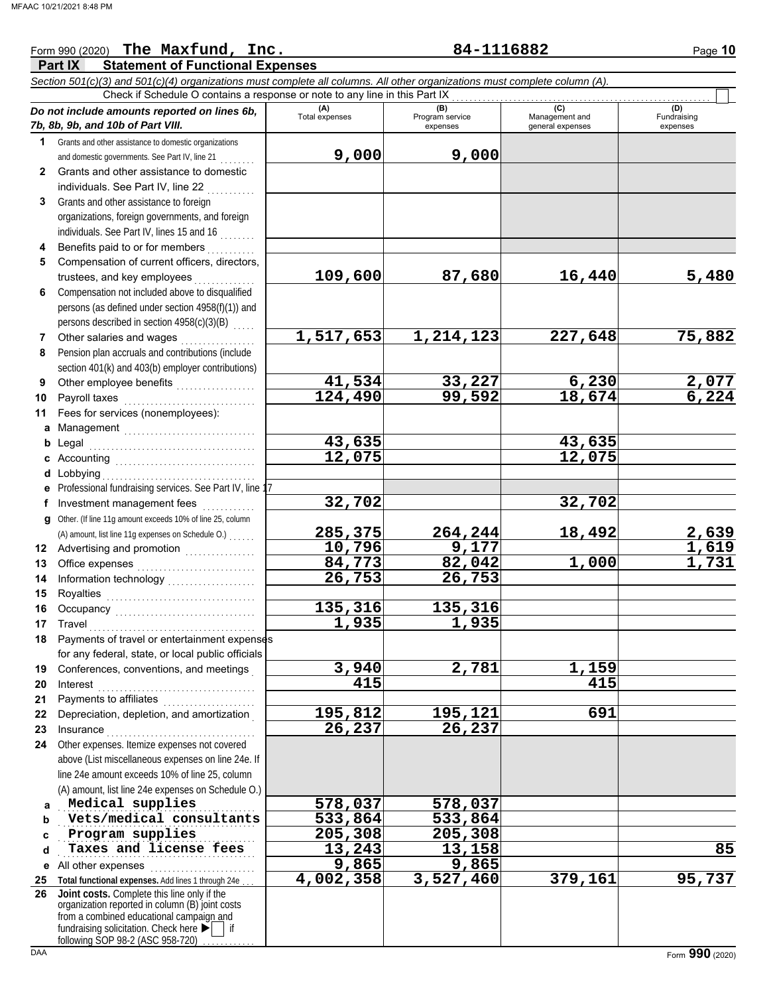#### **Part IX Statement of Functional Expenses** Form 990 (2020) Page **10 The Maxfund, Inc. 84-1116882** *Section 501(c)(3) and 501(c)(4) organizations must complete all columns. All other organizations must complete column (A). Do not include amounts reported on lines 6b, 7b, 8b, 9b, and 10b of Part VIII.* **1 2 3 4 5 6 7 8 9 10 11 a** Management .............................. **b** Legal **c** Accounting . . . . . . . . . . . . . . . . . . . . . . . . . . . . . . . . **d** Lobbying . . . . . . . . . . . . . . . . . . . . . . . . . . . . . . . . . . . **e** Professional fundraising services. See Part IV, line 17 **f g** Other. (If line 11g amount exceeds 10% of line 25, column **12** Advertising and promotion **. . . . . . . . . . . .** . . **13 14 15 16 17 18 19 20 21** Grants and other assistance to domestic organizations and domestic governments. See Part IV, line 21 . . . . . . . . Grants and other assistance to domestic individuals. See Part IV, line 22 Grants and other assistance to foreign organizations, foreign governments, and foreign individuals. See Part IV, lines 15 and 16 . . . . . . . . Benefits paid to or for members . . . . . . . . . . Compensation of current officers, directors, trustees, and key employees . . . . . . . Compensation not included above to disqualified persons (as defined under section 4958(f)(1)) and persons described in section 4958(c)(3)(B) Other salaries and wages .................. Pension plan accruals and contributions (include section 401(k) and 403(b) employer contributions) Other employee benefits ................... Payroll taxes Fees for services (nonemployees): Legal . . . . . . . . . . . . . . . . . . . . . . . . . . . . . . . . . . . . . . Investment management fees ............. Office expenses . . . . . . . . . . . . . . . . . . . . . . . . . . . Information technology . . . . . . . . . . . . . . . . . . . . Royalties . . . . . . . . . . . . . . . . . . . . . . . . . . . . . . . . . . Occupancy . . . . . . . . . . . . . . . . . . . . . . . . . . . . . . . . Travel . . . . . . . . . . . . . . . . . . . . . . . . . . . . . . . . . . . . . . Payments of travel or entertainment expenses for any federal, state, or local public officials Conferences, conventions, and meetings . Interest . . . . . . . . . . . . . . . . . . . . . . . . . . . . . . . . . . . . Payments to affiliates . . . . . . . . . . . . . . . **(A) (B)** (B) (B) (C) (C) (A) (D)<br>Total expenses Program service Management and Fundrai expenses and general expenses (D)<br>Fundraising expenses Check if Schedule O contains a response or note to any line in this Part IX (A) amount, list line 11g expenses on Schedule O.) . . . . . . . **9,000 9,000 109,600 87,680 16,440 5,480 1,517,653 1,214,123 227,648 75,882 41,534 33,227 6,230 2,077 124,490 99,592 18,674 6,224 43,635 43,635 12,075 12,075 32,702 32,702 285,375 264,244 18,492 2,639 10,796 9,177 1,619 84,773** 82,042<br>26,753 26,753 **26,753 26,753 135,316 135,316 1,935 1,935 3,940 2,781 1,159 415 415**

**23 24 a b c d e** All other expenses . . . . . . . . . . . . . . . . . . . . . . . . **25 Total functional expenses.** Add lines 1 through 24e . . . **26** Insurance . . . . . . . . . . . . . . . . . . . . . . . . . . . . . . . . . . Other expenses. Itemize expenses not covered above (List miscellaneous expenses on line 24e. If line 24e amount exceeds 10% of line 25, column (A) amount, list line 24e expenses on Schedule O.) fundraising solicitation. Check here  $\blacktriangleright$  | if organization reported in column (B) joint costs from a combined educational campaign and . . . . . . . . . . . . . . . . . . . . . . . . . . . . . . . . . . . . . . . . . . . . . **Medical supplies 578,037 578,037 Vets/medical consultants** 533,864 533,864 . . . . . . . . . . . . . . . . . . . . . . . . . . . . . . . . . . . . . . . . . . . . . **Program supplies 205,308 205,308 Taxes and license fees \_\_\_\_\_\_\_\_ 13,243 13,158 13,158 13,158 13,158** 85 **Joint costs.** Complete this line only if the **195,812 195,121 691 26,237 26,237 9,865 9,865 4,002,358 3,527,460 379,161 95,737**

Depreciation, depletion, and amortization .

following SOP 98-2 (ASC 958-720)

**22**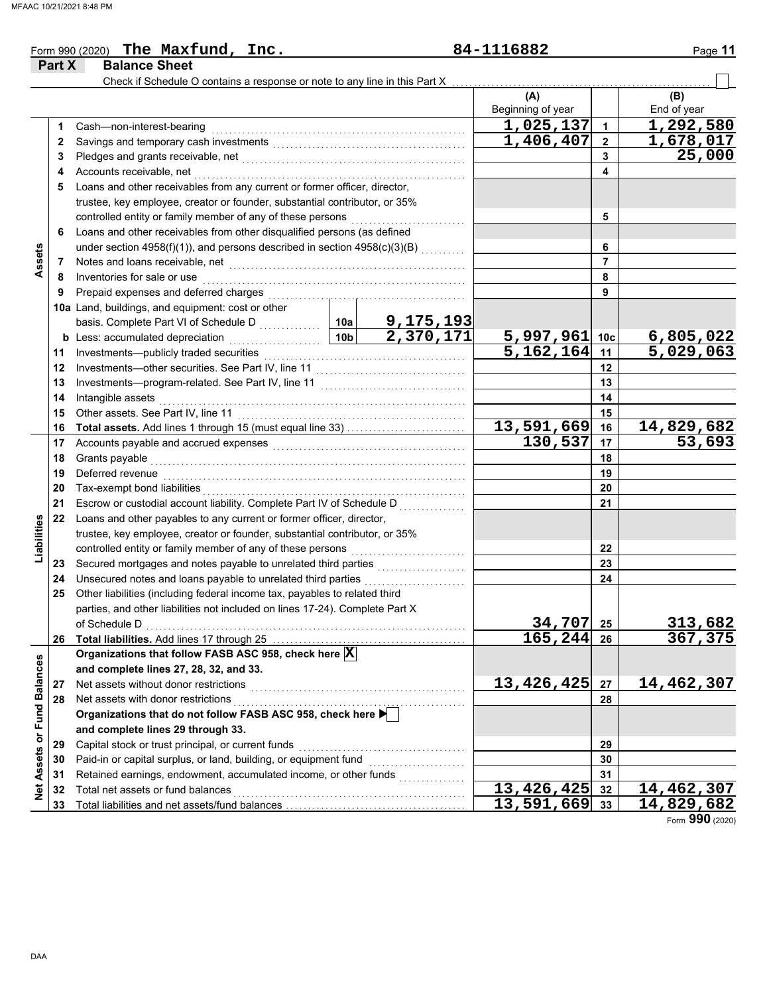| Check if Schedule O contains a response or note to any line in this Part X<br>(A)<br>(B)<br>Beginning of year<br>End of year<br>1,292,580<br>1,025,137<br>1<br>Cash-non-interest-bearing<br>1.<br>1,406,407<br>1,678,017<br>$\mathbf 2$<br>2<br>25,000<br>3<br>3<br>Accounts receivable, net<br>4<br>4<br>Loans and other receivables from any current or former officer, director,<br>5<br>trustee, key employee, creator or founder, substantial contributor, or 35%<br>controlled entity or family member of any of these persons<br>5<br>Loans and other receivables from other disqualified persons (as defined<br>6<br>under section 4958(f)(1)), and persons described in section 4958(c)(3)(B)<br>6<br>Assets<br>$\overline{7}$<br>7<br>8<br>Inventories for sale or use<br>8<br>Prepaid expenses and deferred charges<br>9<br>9<br>10a Land, buildings, and equipment: cost or other<br>9, 175, 193<br>2, 370, 171<br>10a<br>basis. Complete Part VI of Schedule D<br>$\frac{5,997,961}{5,162,164}$<br>$\frac{6,805,022}{5,029,063}$<br>10 <sub>b</sub><br>10c<br><b>b</b> Less: accumulated depreciation<br>.<br>11<br>Investments-publicly traded securities<br>11<br>Investments-other securities. See Part IV, line 11<br>12<br>12<br>Investments-program-related. See Part IV, line 11<br>13<br>13<br>14<br>14<br>Intangible assets<br>Other assets. See Part IV, line 11<br>15<br>15<br>14,829,682<br>13,591,669<br>16<br>16<br>130,537<br>53,693<br>17<br>17<br>Accounts payable and accrued expenses [[11] [11] Accounts payable and accrued expenses [[11] Accounts are not<br>18<br>Grants payable<br>18<br>Deferred revenue<br>19<br>19<br>20<br>Tax-exempt bond liabilities<br>20<br>21<br>Escrow or custodial account liability. Complete Part IV of Schedule D<br>21<br>22<br>Loans and other payables to any current or former officer, director,<br>Liabilities<br>trustee, key employee, creator or founder, substantial contributor, or 35%<br>controlled entity or family member of any of these persons<br>22<br>Secured mortgages and notes payable to unrelated third parties<br>23<br>23<br>Unsecured notes and loans payable to unrelated third parties<br>24<br>24<br>Other liabilities (including federal income tax, payables to related third<br>25<br>parties, and other liabilities not included on lines 17-24). Complete Part X<br>34,707<br>313,682<br>25<br>of Schedule D<br>165,244 26<br>367,375<br>Total liabilities. Add lines 17 through 25 [11, 12, 13, 13, 13, 14, 14, 14, 15, 16, 17, 18, 18, 18, 18, 18, 1<br>26<br>Organizations that follow FASB ASC 958, check here X<br>Net Assets or Fund Balances<br>and complete lines 27, 28, 32, and 33.<br>13,426,425<br>14,462,307<br>27<br>Net assets without donor restrictions<br>27<br>Net assets with donor restrictions<br>28<br>28<br>Organizations that do not follow FASB ASC 958, check here ▶<br>and complete lines 29 through 33.<br>Capital stock or trust principal, or current funds<br>29<br>29<br>Paid-in or capital surplus, or land, building, or equipment fund<br>30<br>30<br>Retained earnings, endowment, accumulated income, or other funds<br>31<br>31<br>$\overline{13, 426, 425}$<br>14,462,307<br>Total net assets or fund balances<br>32<br>32 | Part X | <b>Balance Sheet</b> |  |  |            |    |            |
|----------------------------------------------------------------------------------------------------------------------------------------------------------------------------------------------------------------------------------------------------------------------------------------------------------------------------------------------------------------------------------------------------------------------------------------------------------------------------------------------------------------------------------------------------------------------------------------------------------------------------------------------------------------------------------------------------------------------------------------------------------------------------------------------------------------------------------------------------------------------------------------------------------------------------------------------------------------------------------------------------------------------------------------------------------------------------------------------------------------------------------------------------------------------------------------------------------------------------------------------------------------------------------------------------------------------------------------------------------------------------------------------------------------------------------------------------------------------------------------------------------------------------------------------------------------------------------------------------------------------------------------------------------------------------------------------------------------------------------------------------------------------------------------------------------------------------------------------------------------------------------------------------------------------------------------------------------------------------------------------------------------------------------------------------------------------------------------------------------------------------------------------------------------------------------------------------------------------------------------------------------------------------------------------------------------------------------------------------------------------------------------------------------------------------------------------------------------------------------------------------------------------------------------------------------------------------------------------------------------------------------------------------------------------------------------------------------------------------------------------------------------------------------------------------------------------------------------------------------------------------------------------------------------------------------------------------------------------------------------------------------------------------------------------------------------------------------------------------------------------------------------------------------------------------------------------------------------------------------------------------------------------------|--------|----------------------|--|--|------------|----|------------|
|                                                                                                                                                                                                                                                                                                                                                                                                                                                                                                                                                                                                                                                                                                                                                                                                                                                                                                                                                                                                                                                                                                                                                                                                                                                                                                                                                                                                                                                                                                                                                                                                                                                                                                                                                                                                                                                                                                                                                                                                                                                                                                                                                                                                                                                                                                                                                                                                                                                                                                                                                                                                                                                                                                                                                                                                                                                                                                                                                                                                                                                                                                                                                                                                                                                                            |        |                      |  |  |            |    |            |
|                                                                                                                                                                                                                                                                                                                                                                                                                                                                                                                                                                                                                                                                                                                                                                                                                                                                                                                                                                                                                                                                                                                                                                                                                                                                                                                                                                                                                                                                                                                                                                                                                                                                                                                                                                                                                                                                                                                                                                                                                                                                                                                                                                                                                                                                                                                                                                                                                                                                                                                                                                                                                                                                                                                                                                                                                                                                                                                                                                                                                                                                                                                                                                                                                                                                            |        |                      |  |  |            |    |            |
|                                                                                                                                                                                                                                                                                                                                                                                                                                                                                                                                                                                                                                                                                                                                                                                                                                                                                                                                                                                                                                                                                                                                                                                                                                                                                                                                                                                                                                                                                                                                                                                                                                                                                                                                                                                                                                                                                                                                                                                                                                                                                                                                                                                                                                                                                                                                                                                                                                                                                                                                                                                                                                                                                                                                                                                                                                                                                                                                                                                                                                                                                                                                                                                                                                                                            |        |                      |  |  |            |    |            |
|                                                                                                                                                                                                                                                                                                                                                                                                                                                                                                                                                                                                                                                                                                                                                                                                                                                                                                                                                                                                                                                                                                                                                                                                                                                                                                                                                                                                                                                                                                                                                                                                                                                                                                                                                                                                                                                                                                                                                                                                                                                                                                                                                                                                                                                                                                                                                                                                                                                                                                                                                                                                                                                                                                                                                                                                                                                                                                                                                                                                                                                                                                                                                                                                                                                                            |        |                      |  |  |            |    |            |
|                                                                                                                                                                                                                                                                                                                                                                                                                                                                                                                                                                                                                                                                                                                                                                                                                                                                                                                                                                                                                                                                                                                                                                                                                                                                                                                                                                                                                                                                                                                                                                                                                                                                                                                                                                                                                                                                                                                                                                                                                                                                                                                                                                                                                                                                                                                                                                                                                                                                                                                                                                                                                                                                                                                                                                                                                                                                                                                                                                                                                                                                                                                                                                                                                                                                            |        |                      |  |  |            |    |            |
|                                                                                                                                                                                                                                                                                                                                                                                                                                                                                                                                                                                                                                                                                                                                                                                                                                                                                                                                                                                                                                                                                                                                                                                                                                                                                                                                                                                                                                                                                                                                                                                                                                                                                                                                                                                                                                                                                                                                                                                                                                                                                                                                                                                                                                                                                                                                                                                                                                                                                                                                                                                                                                                                                                                                                                                                                                                                                                                                                                                                                                                                                                                                                                                                                                                                            |        |                      |  |  |            |    |            |
|                                                                                                                                                                                                                                                                                                                                                                                                                                                                                                                                                                                                                                                                                                                                                                                                                                                                                                                                                                                                                                                                                                                                                                                                                                                                                                                                                                                                                                                                                                                                                                                                                                                                                                                                                                                                                                                                                                                                                                                                                                                                                                                                                                                                                                                                                                                                                                                                                                                                                                                                                                                                                                                                                                                                                                                                                                                                                                                                                                                                                                                                                                                                                                                                                                                                            |        |                      |  |  |            |    |            |
|                                                                                                                                                                                                                                                                                                                                                                                                                                                                                                                                                                                                                                                                                                                                                                                                                                                                                                                                                                                                                                                                                                                                                                                                                                                                                                                                                                                                                                                                                                                                                                                                                                                                                                                                                                                                                                                                                                                                                                                                                                                                                                                                                                                                                                                                                                                                                                                                                                                                                                                                                                                                                                                                                                                                                                                                                                                                                                                                                                                                                                                                                                                                                                                                                                                                            |        |                      |  |  |            |    |            |
|                                                                                                                                                                                                                                                                                                                                                                                                                                                                                                                                                                                                                                                                                                                                                                                                                                                                                                                                                                                                                                                                                                                                                                                                                                                                                                                                                                                                                                                                                                                                                                                                                                                                                                                                                                                                                                                                                                                                                                                                                                                                                                                                                                                                                                                                                                                                                                                                                                                                                                                                                                                                                                                                                                                                                                                                                                                                                                                                                                                                                                                                                                                                                                                                                                                                            |        |                      |  |  |            |    |            |
|                                                                                                                                                                                                                                                                                                                                                                                                                                                                                                                                                                                                                                                                                                                                                                                                                                                                                                                                                                                                                                                                                                                                                                                                                                                                                                                                                                                                                                                                                                                                                                                                                                                                                                                                                                                                                                                                                                                                                                                                                                                                                                                                                                                                                                                                                                                                                                                                                                                                                                                                                                                                                                                                                                                                                                                                                                                                                                                                                                                                                                                                                                                                                                                                                                                                            |        |                      |  |  |            |    |            |
|                                                                                                                                                                                                                                                                                                                                                                                                                                                                                                                                                                                                                                                                                                                                                                                                                                                                                                                                                                                                                                                                                                                                                                                                                                                                                                                                                                                                                                                                                                                                                                                                                                                                                                                                                                                                                                                                                                                                                                                                                                                                                                                                                                                                                                                                                                                                                                                                                                                                                                                                                                                                                                                                                                                                                                                                                                                                                                                                                                                                                                                                                                                                                                                                                                                                            |        |                      |  |  |            |    |            |
|                                                                                                                                                                                                                                                                                                                                                                                                                                                                                                                                                                                                                                                                                                                                                                                                                                                                                                                                                                                                                                                                                                                                                                                                                                                                                                                                                                                                                                                                                                                                                                                                                                                                                                                                                                                                                                                                                                                                                                                                                                                                                                                                                                                                                                                                                                                                                                                                                                                                                                                                                                                                                                                                                                                                                                                                                                                                                                                                                                                                                                                                                                                                                                                                                                                                            |        |                      |  |  |            |    |            |
|                                                                                                                                                                                                                                                                                                                                                                                                                                                                                                                                                                                                                                                                                                                                                                                                                                                                                                                                                                                                                                                                                                                                                                                                                                                                                                                                                                                                                                                                                                                                                                                                                                                                                                                                                                                                                                                                                                                                                                                                                                                                                                                                                                                                                                                                                                                                                                                                                                                                                                                                                                                                                                                                                                                                                                                                                                                                                                                                                                                                                                                                                                                                                                                                                                                                            |        |                      |  |  |            |    |            |
|                                                                                                                                                                                                                                                                                                                                                                                                                                                                                                                                                                                                                                                                                                                                                                                                                                                                                                                                                                                                                                                                                                                                                                                                                                                                                                                                                                                                                                                                                                                                                                                                                                                                                                                                                                                                                                                                                                                                                                                                                                                                                                                                                                                                                                                                                                                                                                                                                                                                                                                                                                                                                                                                                                                                                                                                                                                                                                                                                                                                                                                                                                                                                                                                                                                                            |        |                      |  |  |            |    |            |
|                                                                                                                                                                                                                                                                                                                                                                                                                                                                                                                                                                                                                                                                                                                                                                                                                                                                                                                                                                                                                                                                                                                                                                                                                                                                                                                                                                                                                                                                                                                                                                                                                                                                                                                                                                                                                                                                                                                                                                                                                                                                                                                                                                                                                                                                                                                                                                                                                                                                                                                                                                                                                                                                                                                                                                                                                                                                                                                                                                                                                                                                                                                                                                                                                                                                            |        |                      |  |  |            |    |            |
|                                                                                                                                                                                                                                                                                                                                                                                                                                                                                                                                                                                                                                                                                                                                                                                                                                                                                                                                                                                                                                                                                                                                                                                                                                                                                                                                                                                                                                                                                                                                                                                                                                                                                                                                                                                                                                                                                                                                                                                                                                                                                                                                                                                                                                                                                                                                                                                                                                                                                                                                                                                                                                                                                                                                                                                                                                                                                                                                                                                                                                                                                                                                                                                                                                                                            |        |                      |  |  |            |    |            |
|                                                                                                                                                                                                                                                                                                                                                                                                                                                                                                                                                                                                                                                                                                                                                                                                                                                                                                                                                                                                                                                                                                                                                                                                                                                                                                                                                                                                                                                                                                                                                                                                                                                                                                                                                                                                                                                                                                                                                                                                                                                                                                                                                                                                                                                                                                                                                                                                                                                                                                                                                                                                                                                                                                                                                                                                                                                                                                                                                                                                                                                                                                                                                                                                                                                                            |        |                      |  |  |            |    |            |
|                                                                                                                                                                                                                                                                                                                                                                                                                                                                                                                                                                                                                                                                                                                                                                                                                                                                                                                                                                                                                                                                                                                                                                                                                                                                                                                                                                                                                                                                                                                                                                                                                                                                                                                                                                                                                                                                                                                                                                                                                                                                                                                                                                                                                                                                                                                                                                                                                                                                                                                                                                                                                                                                                                                                                                                                                                                                                                                                                                                                                                                                                                                                                                                                                                                                            |        |                      |  |  |            |    |            |
|                                                                                                                                                                                                                                                                                                                                                                                                                                                                                                                                                                                                                                                                                                                                                                                                                                                                                                                                                                                                                                                                                                                                                                                                                                                                                                                                                                                                                                                                                                                                                                                                                                                                                                                                                                                                                                                                                                                                                                                                                                                                                                                                                                                                                                                                                                                                                                                                                                                                                                                                                                                                                                                                                                                                                                                                                                                                                                                                                                                                                                                                                                                                                                                                                                                                            |        |                      |  |  |            |    |            |
|                                                                                                                                                                                                                                                                                                                                                                                                                                                                                                                                                                                                                                                                                                                                                                                                                                                                                                                                                                                                                                                                                                                                                                                                                                                                                                                                                                                                                                                                                                                                                                                                                                                                                                                                                                                                                                                                                                                                                                                                                                                                                                                                                                                                                                                                                                                                                                                                                                                                                                                                                                                                                                                                                                                                                                                                                                                                                                                                                                                                                                                                                                                                                                                                                                                                            |        |                      |  |  |            |    |            |
|                                                                                                                                                                                                                                                                                                                                                                                                                                                                                                                                                                                                                                                                                                                                                                                                                                                                                                                                                                                                                                                                                                                                                                                                                                                                                                                                                                                                                                                                                                                                                                                                                                                                                                                                                                                                                                                                                                                                                                                                                                                                                                                                                                                                                                                                                                                                                                                                                                                                                                                                                                                                                                                                                                                                                                                                                                                                                                                                                                                                                                                                                                                                                                                                                                                                            |        |                      |  |  |            |    |            |
|                                                                                                                                                                                                                                                                                                                                                                                                                                                                                                                                                                                                                                                                                                                                                                                                                                                                                                                                                                                                                                                                                                                                                                                                                                                                                                                                                                                                                                                                                                                                                                                                                                                                                                                                                                                                                                                                                                                                                                                                                                                                                                                                                                                                                                                                                                                                                                                                                                                                                                                                                                                                                                                                                                                                                                                                                                                                                                                                                                                                                                                                                                                                                                                                                                                                            |        |                      |  |  |            |    |            |
|                                                                                                                                                                                                                                                                                                                                                                                                                                                                                                                                                                                                                                                                                                                                                                                                                                                                                                                                                                                                                                                                                                                                                                                                                                                                                                                                                                                                                                                                                                                                                                                                                                                                                                                                                                                                                                                                                                                                                                                                                                                                                                                                                                                                                                                                                                                                                                                                                                                                                                                                                                                                                                                                                                                                                                                                                                                                                                                                                                                                                                                                                                                                                                                                                                                                            |        |                      |  |  |            |    |            |
|                                                                                                                                                                                                                                                                                                                                                                                                                                                                                                                                                                                                                                                                                                                                                                                                                                                                                                                                                                                                                                                                                                                                                                                                                                                                                                                                                                                                                                                                                                                                                                                                                                                                                                                                                                                                                                                                                                                                                                                                                                                                                                                                                                                                                                                                                                                                                                                                                                                                                                                                                                                                                                                                                                                                                                                                                                                                                                                                                                                                                                                                                                                                                                                                                                                                            |        |                      |  |  |            |    |            |
|                                                                                                                                                                                                                                                                                                                                                                                                                                                                                                                                                                                                                                                                                                                                                                                                                                                                                                                                                                                                                                                                                                                                                                                                                                                                                                                                                                                                                                                                                                                                                                                                                                                                                                                                                                                                                                                                                                                                                                                                                                                                                                                                                                                                                                                                                                                                                                                                                                                                                                                                                                                                                                                                                                                                                                                                                                                                                                                                                                                                                                                                                                                                                                                                                                                                            |        |                      |  |  |            |    |            |
|                                                                                                                                                                                                                                                                                                                                                                                                                                                                                                                                                                                                                                                                                                                                                                                                                                                                                                                                                                                                                                                                                                                                                                                                                                                                                                                                                                                                                                                                                                                                                                                                                                                                                                                                                                                                                                                                                                                                                                                                                                                                                                                                                                                                                                                                                                                                                                                                                                                                                                                                                                                                                                                                                                                                                                                                                                                                                                                                                                                                                                                                                                                                                                                                                                                                            |        |                      |  |  |            |    |            |
|                                                                                                                                                                                                                                                                                                                                                                                                                                                                                                                                                                                                                                                                                                                                                                                                                                                                                                                                                                                                                                                                                                                                                                                                                                                                                                                                                                                                                                                                                                                                                                                                                                                                                                                                                                                                                                                                                                                                                                                                                                                                                                                                                                                                                                                                                                                                                                                                                                                                                                                                                                                                                                                                                                                                                                                                                                                                                                                                                                                                                                                                                                                                                                                                                                                                            |        |                      |  |  |            |    |            |
|                                                                                                                                                                                                                                                                                                                                                                                                                                                                                                                                                                                                                                                                                                                                                                                                                                                                                                                                                                                                                                                                                                                                                                                                                                                                                                                                                                                                                                                                                                                                                                                                                                                                                                                                                                                                                                                                                                                                                                                                                                                                                                                                                                                                                                                                                                                                                                                                                                                                                                                                                                                                                                                                                                                                                                                                                                                                                                                                                                                                                                                                                                                                                                                                                                                                            |        |                      |  |  |            |    |            |
|                                                                                                                                                                                                                                                                                                                                                                                                                                                                                                                                                                                                                                                                                                                                                                                                                                                                                                                                                                                                                                                                                                                                                                                                                                                                                                                                                                                                                                                                                                                                                                                                                                                                                                                                                                                                                                                                                                                                                                                                                                                                                                                                                                                                                                                                                                                                                                                                                                                                                                                                                                                                                                                                                                                                                                                                                                                                                                                                                                                                                                                                                                                                                                                                                                                                            |        |                      |  |  |            |    |            |
|                                                                                                                                                                                                                                                                                                                                                                                                                                                                                                                                                                                                                                                                                                                                                                                                                                                                                                                                                                                                                                                                                                                                                                                                                                                                                                                                                                                                                                                                                                                                                                                                                                                                                                                                                                                                                                                                                                                                                                                                                                                                                                                                                                                                                                                                                                                                                                                                                                                                                                                                                                                                                                                                                                                                                                                                                                                                                                                                                                                                                                                                                                                                                                                                                                                                            |        |                      |  |  |            |    |            |
|                                                                                                                                                                                                                                                                                                                                                                                                                                                                                                                                                                                                                                                                                                                                                                                                                                                                                                                                                                                                                                                                                                                                                                                                                                                                                                                                                                                                                                                                                                                                                                                                                                                                                                                                                                                                                                                                                                                                                                                                                                                                                                                                                                                                                                                                                                                                                                                                                                                                                                                                                                                                                                                                                                                                                                                                                                                                                                                                                                                                                                                                                                                                                                                                                                                                            |        |                      |  |  |            |    |            |
|                                                                                                                                                                                                                                                                                                                                                                                                                                                                                                                                                                                                                                                                                                                                                                                                                                                                                                                                                                                                                                                                                                                                                                                                                                                                                                                                                                                                                                                                                                                                                                                                                                                                                                                                                                                                                                                                                                                                                                                                                                                                                                                                                                                                                                                                                                                                                                                                                                                                                                                                                                                                                                                                                                                                                                                                                                                                                                                                                                                                                                                                                                                                                                                                                                                                            |        |                      |  |  |            |    |            |
|                                                                                                                                                                                                                                                                                                                                                                                                                                                                                                                                                                                                                                                                                                                                                                                                                                                                                                                                                                                                                                                                                                                                                                                                                                                                                                                                                                                                                                                                                                                                                                                                                                                                                                                                                                                                                                                                                                                                                                                                                                                                                                                                                                                                                                                                                                                                                                                                                                                                                                                                                                                                                                                                                                                                                                                                                                                                                                                                                                                                                                                                                                                                                                                                                                                                            |        |                      |  |  |            |    |            |
|                                                                                                                                                                                                                                                                                                                                                                                                                                                                                                                                                                                                                                                                                                                                                                                                                                                                                                                                                                                                                                                                                                                                                                                                                                                                                                                                                                                                                                                                                                                                                                                                                                                                                                                                                                                                                                                                                                                                                                                                                                                                                                                                                                                                                                                                                                                                                                                                                                                                                                                                                                                                                                                                                                                                                                                                                                                                                                                                                                                                                                                                                                                                                                                                                                                                            |        |                      |  |  |            |    |            |
|                                                                                                                                                                                                                                                                                                                                                                                                                                                                                                                                                                                                                                                                                                                                                                                                                                                                                                                                                                                                                                                                                                                                                                                                                                                                                                                                                                                                                                                                                                                                                                                                                                                                                                                                                                                                                                                                                                                                                                                                                                                                                                                                                                                                                                                                                                                                                                                                                                                                                                                                                                                                                                                                                                                                                                                                                                                                                                                                                                                                                                                                                                                                                                                                                                                                            |        |                      |  |  |            |    |            |
|                                                                                                                                                                                                                                                                                                                                                                                                                                                                                                                                                                                                                                                                                                                                                                                                                                                                                                                                                                                                                                                                                                                                                                                                                                                                                                                                                                                                                                                                                                                                                                                                                                                                                                                                                                                                                                                                                                                                                                                                                                                                                                                                                                                                                                                                                                                                                                                                                                                                                                                                                                                                                                                                                                                                                                                                                                                                                                                                                                                                                                                                                                                                                                                                                                                                            |        |                      |  |  |            |    |            |
|                                                                                                                                                                                                                                                                                                                                                                                                                                                                                                                                                                                                                                                                                                                                                                                                                                                                                                                                                                                                                                                                                                                                                                                                                                                                                                                                                                                                                                                                                                                                                                                                                                                                                                                                                                                                                                                                                                                                                                                                                                                                                                                                                                                                                                                                                                                                                                                                                                                                                                                                                                                                                                                                                                                                                                                                                                                                                                                                                                                                                                                                                                                                                                                                                                                                            |        |                      |  |  |            |    |            |
|                                                                                                                                                                                                                                                                                                                                                                                                                                                                                                                                                                                                                                                                                                                                                                                                                                                                                                                                                                                                                                                                                                                                                                                                                                                                                                                                                                                                                                                                                                                                                                                                                                                                                                                                                                                                                                                                                                                                                                                                                                                                                                                                                                                                                                                                                                                                                                                                                                                                                                                                                                                                                                                                                                                                                                                                                                                                                                                                                                                                                                                                                                                                                                                                                                                                            |        |                      |  |  |            |    |            |
|                                                                                                                                                                                                                                                                                                                                                                                                                                                                                                                                                                                                                                                                                                                                                                                                                                                                                                                                                                                                                                                                                                                                                                                                                                                                                                                                                                                                                                                                                                                                                                                                                                                                                                                                                                                                                                                                                                                                                                                                                                                                                                                                                                                                                                                                                                                                                                                                                                                                                                                                                                                                                                                                                                                                                                                                                                                                                                                                                                                                                                                                                                                                                                                                                                                                            |        |                      |  |  |            |    |            |
|                                                                                                                                                                                                                                                                                                                                                                                                                                                                                                                                                                                                                                                                                                                                                                                                                                                                                                                                                                                                                                                                                                                                                                                                                                                                                                                                                                                                                                                                                                                                                                                                                                                                                                                                                                                                                                                                                                                                                                                                                                                                                                                                                                                                                                                                                                                                                                                                                                                                                                                                                                                                                                                                                                                                                                                                                                                                                                                                                                                                                                                                                                                                                                                                                                                                            |        |                      |  |  |            |    |            |
|                                                                                                                                                                                                                                                                                                                                                                                                                                                                                                                                                                                                                                                                                                                                                                                                                                                                                                                                                                                                                                                                                                                                                                                                                                                                                                                                                                                                                                                                                                                                                                                                                                                                                                                                                                                                                                                                                                                                                                                                                                                                                                                                                                                                                                                                                                                                                                                                                                                                                                                                                                                                                                                                                                                                                                                                                                                                                                                                                                                                                                                                                                                                                                                                                                                                            |        |                      |  |  |            |    |            |
|                                                                                                                                                                                                                                                                                                                                                                                                                                                                                                                                                                                                                                                                                                                                                                                                                                                                                                                                                                                                                                                                                                                                                                                                                                                                                                                                                                                                                                                                                                                                                                                                                                                                                                                                                                                                                                                                                                                                                                                                                                                                                                                                                                                                                                                                                                                                                                                                                                                                                                                                                                                                                                                                                                                                                                                                                                                                                                                                                                                                                                                                                                                                                                                                                                                                            |        |                      |  |  |            |    |            |
|                                                                                                                                                                                                                                                                                                                                                                                                                                                                                                                                                                                                                                                                                                                                                                                                                                                                                                                                                                                                                                                                                                                                                                                                                                                                                                                                                                                                                                                                                                                                                                                                                                                                                                                                                                                                                                                                                                                                                                                                                                                                                                                                                                                                                                                                                                                                                                                                                                                                                                                                                                                                                                                                                                                                                                                                                                                                                                                                                                                                                                                                                                                                                                                                                                                                            |        |                      |  |  |            |    |            |
|                                                                                                                                                                                                                                                                                                                                                                                                                                                                                                                                                                                                                                                                                                                                                                                                                                                                                                                                                                                                                                                                                                                                                                                                                                                                                                                                                                                                                                                                                                                                                                                                                                                                                                                                                                                                                                                                                                                                                                                                                                                                                                                                                                                                                                                                                                                                                                                                                                                                                                                                                                                                                                                                                                                                                                                                                                                                                                                                                                                                                                                                                                                                                                                                                                                                            |        |                      |  |  |            |    |            |
|                                                                                                                                                                                                                                                                                                                                                                                                                                                                                                                                                                                                                                                                                                                                                                                                                                                                                                                                                                                                                                                                                                                                                                                                                                                                                                                                                                                                                                                                                                                                                                                                                                                                                                                                                                                                                                                                                                                                                                                                                                                                                                                                                                                                                                                                                                                                                                                                                                                                                                                                                                                                                                                                                                                                                                                                                                                                                                                                                                                                                                                                                                                                                                                                                                                                            |        |                      |  |  |            |    |            |
|                                                                                                                                                                                                                                                                                                                                                                                                                                                                                                                                                                                                                                                                                                                                                                                                                                                                                                                                                                                                                                                                                                                                                                                                                                                                                                                                                                                                                                                                                                                                                                                                                                                                                                                                                                                                                                                                                                                                                                                                                                                                                                                                                                                                                                                                                                                                                                                                                                                                                                                                                                                                                                                                                                                                                                                                                                                                                                                                                                                                                                                                                                                                                                                                                                                                            |        |                      |  |  |            |    |            |
|                                                                                                                                                                                                                                                                                                                                                                                                                                                                                                                                                                                                                                                                                                                                                                                                                                                                                                                                                                                                                                                                                                                                                                                                                                                                                                                                                                                                                                                                                                                                                                                                                                                                                                                                                                                                                                                                                                                                                                                                                                                                                                                                                                                                                                                                                                                                                                                                                                                                                                                                                                                                                                                                                                                                                                                                                                                                                                                                                                                                                                                                                                                                                                                                                                                                            |        |                      |  |  |            |    |            |
|                                                                                                                                                                                                                                                                                                                                                                                                                                                                                                                                                                                                                                                                                                                                                                                                                                                                                                                                                                                                                                                                                                                                                                                                                                                                                                                                                                                                                                                                                                                                                                                                                                                                                                                                                                                                                                                                                                                                                                                                                                                                                                                                                                                                                                                                                                                                                                                                                                                                                                                                                                                                                                                                                                                                                                                                                                                                                                                                                                                                                                                                                                                                                                                                                                                                            | 33     |                      |  |  | 13,591,669 | 33 | 14,829,682 |

Form **990** (2020)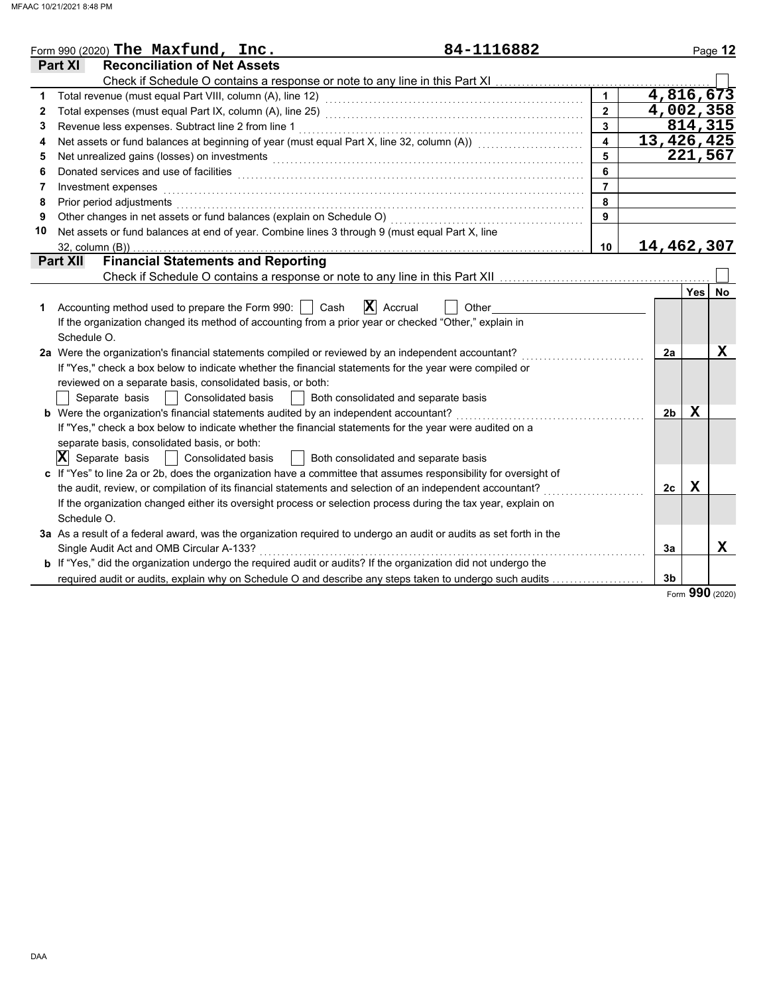|    | 84-1116882<br>Form 990 (2020) The Maxfund, $Inc.$                                                                           |                         |                         |   | Page 12              |
|----|-----------------------------------------------------------------------------------------------------------------------------|-------------------------|-------------------------|---|----------------------|
|    | Part XI<br><b>Reconciliation of Net Assets</b>                                                                              |                         |                         |   |                      |
|    | Check if Schedule O contains a response or note to any line in this Part XI                                                 |                         |                         |   |                      |
| 1  |                                                                                                                             | $\overline{1}$          | 4,816,673               |   |                      |
| 2  |                                                                                                                             | $\overline{2}$          | $\overline{4}$ ,002,358 |   |                      |
| 3  |                                                                                                                             | $\overline{\mathbf{3}}$ |                         |   | $\overline{814,315}$ |
| 4  | Net assets or fund balances at beginning of year (must equal Part X, line 32, column (A)) [[[[[[[[[[[[[[[[[[[               | $\overline{4}$          | 13,426,425              |   |                      |
| 5  | Net unrealized gains (losses) on investments [1] production in the contract of the contract of the contract of              | $\overline{5}$          |                         |   | 221,567              |
| 6  | Donated services and use of facilities <b>constructs</b> and a service of the service of the services and use of facilities | 6                       |                         |   |                      |
| 7  | Investment expenses                                                                                                         | $\overline{7}$          |                         |   |                      |
| 8  | Prior period adjustments                                                                                                    | 8                       |                         |   |                      |
| 9  | Other changes in net assets or fund balances (explain on Schedule O)                                                        | 9                       |                         |   |                      |
| 10 | Net assets or fund balances at end of year. Combine lines 3 through 9 (must equal Part X, line                              |                         |                         |   |                      |
|    | $32$ , column $(B)$ )                                                                                                       | 10 <sup>1</sup>         | 14,462,307              |   |                      |
|    | <b>Financial Statements and Reporting</b><br><b>Part XII</b>                                                                |                         |                         |   |                      |
|    |                                                                                                                             |                         |                         |   |                      |
|    |                                                                                                                             |                         |                         |   | Yes No               |
| 1  | $\mathbf{X}$ Accrual<br>Accounting method used to prepare the Form 990:<br>Cash<br>Other                                    |                         |                         |   |                      |
|    | If the organization changed its method of accounting from a prior year or checked "Other," explain in                       |                         |                         |   |                      |
|    | Schedule O.                                                                                                                 |                         |                         |   |                      |
|    | 2a Were the organization's financial statements compiled or reviewed by an independent accountant?                          |                         | 2a                      |   | $\mathbf x$          |
|    | If "Yes," check a box below to indicate whether the financial statements for the year were compiled or                      |                         |                         |   |                      |
|    | reviewed on a separate basis, consolidated basis, or both:                                                                  |                         |                         |   |                      |
|    | <b>Consolidated basis</b><br>Separate basis<br>Both consolidated and separate basis                                         |                         |                         |   |                      |
|    | b Were the organization's financial statements audited by an independent accountant?                                        |                         | 2 <sub>b</sub>          | X |                      |
|    | If "Yes," check a box below to indicate whether the financial statements for the year were audited on a                     |                         |                         |   |                      |
|    | separate basis, consolidated basis, or both:                                                                                |                         |                         |   |                      |
|    | $ \mathbf{X} $ Separate basis<br>  Consolidated basis<br>  Both consolidated and separate basis                             |                         |                         |   |                      |
|    | c If "Yes" to line 2a or 2b, does the organization have a committee that assumes responsibility for oversight of            |                         |                         |   |                      |
|    | the audit, review, or compilation of its financial statements and selection of an independent accountant?                   |                         | 2c                      | Х |                      |
|    | If the organization changed either its oversight process or selection process during the tax year, explain on               |                         |                         |   |                      |
|    | Schedule O.                                                                                                                 |                         |                         |   |                      |
|    | 3a As a result of a federal award, was the organization required to undergo an audit or audits as set forth in the          |                         |                         |   |                      |
|    | Single Audit Act and OMB Circular A-133?                                                                                    |                         | За                      |   | X                    |
|    | <b>b</b> If "Yes," did the organization undergo the required audit or audits? If the organization did not undergo the       |                         |                         |   |                      |
|    | required audit or audits, explain why on Schedule O and describe any steps taken to undergo such audits                     |                         | 3b                      |   |                      |

Form **990** (2020)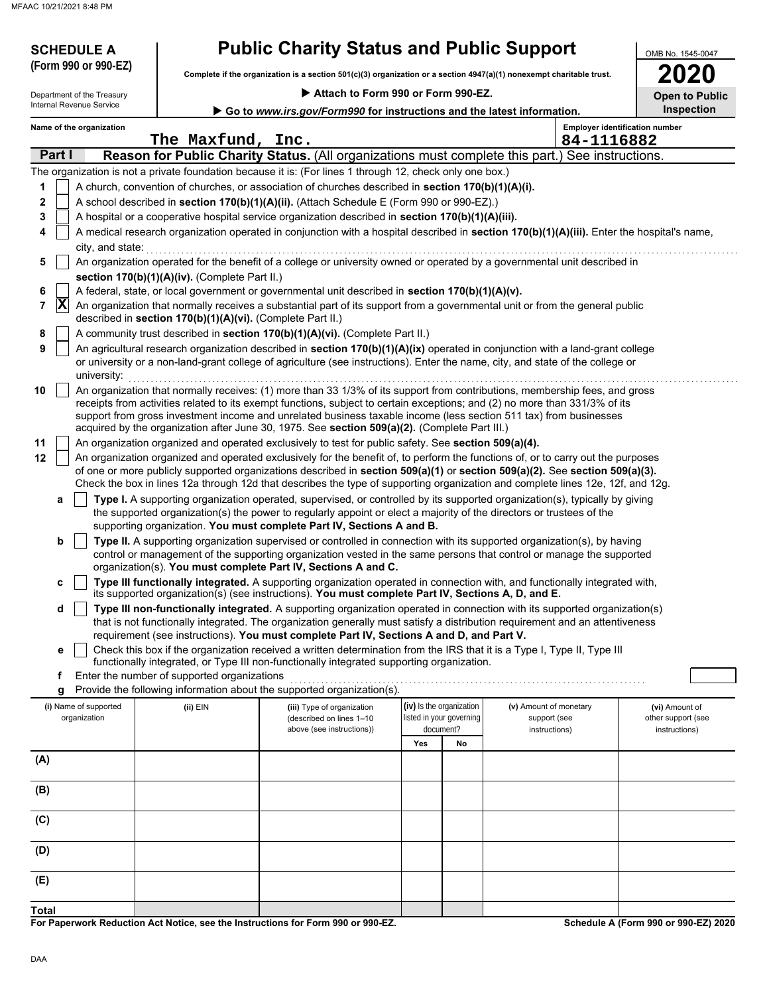Department of the Treasury

**SCHEDULE A** 

|  |  | <b>Public Charity Status and Public Support</b> |
|--|--|-------------------------------------------------|
|--|--|-------------------------------------------------|

**Complete if the organization is a section 501(c)(3) organization or a section 4947(a)(1) nonexempt charitable trust. (Form 990 or 990-EZ)**

|  |  |  |  |  |  |  | Attach to Form 990 or Form 990-EZ. |
|--|--|--|--|--|--|--|------------------------------------|
|--|--|--|--|--|--|--|------------------------------------|

| ∕ [ገ<br>ı |    |
|-----------|----|
| pen to P  | n. |

OMB No. 1545-0047

| Internal Revenue Service<br>Go to www.irs.gov/Form990 for instructions and the latest information. |                          |  |                                                            |                                                                                                                                                                                                                                                                                                                                                                                                                                                                                  |                          |    | Inspection             |            |                                       |
|----------------------------------------------------------------------------------------------------|--------------------------|--|------------------------------------------------------------|----------------------------------------------------------------------------------------------------------------------------------------------------------------------------------------------------------------------------------------------------------------------------------------------------------------------------------------------------------------------------------------------------------------------------------------------------------------------------------|--------------------------|----|------------------------|------------|---------------------------------------|
|                                                                                                    | Name of the organization |  | The Maxfund, Inc.                                          |                                                                                                                                                                                                                                                                                                                                                                                                                                                                                  |                          |    |                        | 84-1116882 | <b>Employer identification number</b> |
| Part I                                                                                             |                          |  |                                                            | Reason for Public Charity Status. (All organizations must complete this part.) See instructions.                                                                                                                                                                                                                                                                                                                                                                                 |                          |    |                        |            |                                       |
|                                                                                                    |                          |  |                                                            | The organization is not a private foundation because it is: (For lines 1 through 12, check only one box.)                                                                                                                                                                                                                                                                                                                                                                        |                          |    |                        |            |                                       |
| 1                                                                                                  |                          |  |                                                            | A church, convention of churches, or association of churches described in section 170(b)(1)(A)(i).                                                                                                                                                                                                                                                                                                                                                                               |                          |    |                        |            |                                       |
| 2                                                                                                  |                          |  |                                                            | A school described in section 170(b)(1)(A)(ii). (Attach Schedule E (Form 990 or 990-EZ).)                                                                                                                                                                                                                                                                                                                                                                                        |                          |    |                        |            |                                       |
| 3                                                                                                  |                          |  |                                                            | A hospital or a cooperative hospital service organization described in section 170(b)(1)(A)(iii).                                                                                                                                                                                                                                                                                                                                                                                |                          |    |                        |            |                                       |
| 4                                                                                                  | city, and state:         |  |                                                            | A medical research organization operated in conjunction with a hospital described in section 170(b)(1)(A)(iii). Enter the hospital's name,                                                                                                                                                                                                                                                                                                                                       |                          |    |                        |            |                                       |
| 5                                                                                                  |                          |  |                                                            | An organization operated for the benefit of a college or university owned or operated by a governmental unit described in                                                                                                                                                                                                                                                                                                                                                        |                          |    |                        |            |                                       |
|                                                                                                    |                          |  | section 170(b)(1)(A)(iv). (Complete Part II.)              |                                                                                                                                                                                                                                                                                                                                                                                                                                                                                  |                          |    |                        |            |                                       |
| 6                                                                                                  |                          |  |                                                            | A federal, state, or local government or governmental unit described in section 170(b)(1)(A)(v).                                                                                                                                                                                                                                                                                                                                                                                 |                          |    |                        |            |                                       |
| X<br>7                                                                                             |                          |  | described in section 170(b)(1)(A)(vi). (Complete Part II.) | An organization that normally receives a substantial part of its support from a governmental unit or from the general public                                                                                                                                                                                                                                                                                                                                                     |                          |    |                        |            |                                       |
| 8                                                                                                  |                          |  |                                                            | A community trust described in section 170(b)(1)(A)(vi). (Complete Part II.)                                                                                                                                                                                                                                                                                                                                                                                                     |                          |    |                        |            |                                       |
| 9                                                                                                  | university:              |  |                                                            | An agricultural research organization described in section 170(b)(1)(A)(ix) operated in conjunction with a land-grant college<br>or university or a non-land-grant college of agriculture (see instructions). Enter the name, city, and state of the college or                                                                                                                                                                                                                  |                          |    |                        |            |                                       |
| 10                                                                                                 |                          |  |                                                            | An organization that normally receives: (1) more than 33 1/3% of its support from contributions, membership fees, and gross<br>receipts from activities related to its exempt functions, subject to certain exceptions; and (2) no more than 331/3% of its<br>support from gross investment income and unrelated business taxable income (less section 511 tax) from businesses<br>acquired by the organization after June 30, 1975. See section 509(a)(2). (Complete Part III.) |                          |    |                        |            |                                       |
| 11                                                                                                 |                          |  |                                                            | An organization organized and operated exclusively to test for public safety. See section 509(a)(4).                                                                                                                                                                                                                                                                                                                                                                             |                          |    |                        |            |                                       |
| 12                                                                                                 |                          |  |                                                            | An organization organized and operated exclusively for the benefit of, to perform the functions of, or to carry out the purposes<br>of one or more publicly supported organizations described in section 509(a)(1) or section 509(a)(2). See section 509(a)(3).<br>Check the box in lines 12a through 12d that describes the type of supporting organization and complete lines 12e, 12f, and 12g.                                                                               |                          |    |                        |            |                                       |
| a                                                                                                  |                          |  |                                                            | Type I. A supporting organization operated, supervised, or controlled by its supported organization(s), typically by giving                                                                                                                                                                                                                                                                                                                                                      |                          |    |                        |            |                                       |
|                                                                                                    |                          |  |                                                            | the supported organization(s) the power to regularly appoint or elect a majority of the directors or trustees of the                                                                                                                                                                                                                                                                                                                                                             |                          |    |                        |            |                                       |
|                                                                                                    |                          |  |                                                            | supporting organization. You must complete Part IV, Sections A and B.                                                                                                                                                                                                                                                                                                                                                                                                            |                          |    |                        |            |                                       |
| b                                                                                                  |                          |  |                                                            | Type II. A supporting organization supervised or controlled in connection with its supported organization(s), by having                                                                                                                                                                                                                                                                                                                                                          |                          |    |                        |            |                                       |
|                                                                                                    |                          |  |                                                            | control or management of the supporting organization vested in the same persons that control or manage the supported<br>organization(s). You must complete Part IV, Sections A and C.                                                                                                                                                                                                                                                                                            |                          |    |                        |            |                                       |
| c                                                                                                  |                          |  |                                                            | Type III functionally integrated. A supporting organization operated in connection with, and functionally integrated with,<br>its supported organization(s) (see instructions). You must complete Part IV, Sections A, D, and E.                                                                                                                                                                                                                                                 |                          |    |                        |            |                                       |
| d                                                                                                  |                          |  |                                                            | Type III non-functionally integrated. A supporting organization operated in connection with its supported organization(s)                                                                                                                                                                                                                                                                                                                                                        |                          |    |                        |            |                                       |
|                                                                                                    |                          |  |                                                            | that is not functionally integrated. The organization generally must satisfy a distribution requirement and an attentiveness                                                                                                                                                                                                                                                                                                                                                     |                          |    |                        |            |                                       |
|                                                                                                    |                          |  |                                                            | requirement (see instructions). You must complete Part IV, Sections A and D, and Part V.                                                                                                                                                                                                                                                                                                                                                                                         |                          |    |                        |            |                                       |
| е                                                                                                  |                          |  |                                                            | Check this box if the organization received a written determination from the IRS that it is a Type I, Type II, Type III                                                                                                                                                                                                                                                                                                                                                          |                          |    |                        |            |                                       |
|                                                                                                    |                          |  |                                                            | functionally integrated, or Type III non-functionally integrated supporting organization.                                                                                                                                                                                                                                                                                                                                                                                        |                          |    |                        |            |                                       |
| f                                                                                                  |                          |  | Enter the number of supported organizations                | Provide the following information about the supported organization(s).                                                                                                                                                                                                                                                                                                                                                                                                           |                          |    |                        |            |                                       |
| g                                                                                                  | (i) Name of supported    |  | (ii) EIN                                                   | (iii) Type of organization                                                                                                                                                                                                                                                                                                                                                                                                                                                       | (iv) Is the organization |    | (v) Amount of monetary |            | (vi) Amount of                        |
|                                                                                                    | organization             |  |                                                            | (described on lines 1-10                                                                                                                                                                                                                                                                                                                                                                                                                                                         | listed in your governing |    | support (see           |            | other support (see                    |
|                                                                                                    |                          |  |                                                            | above (see instructions))                                                                                                                                                                                                                                                                                                                                                                                                                                                        | document?                |    | instructions)          |            | instructions)                         |
|                                                                                                    |                          |  |                                                            |                                                                                                                                                                                                                                                                                                                                                                                                                                                                                  | Yes                      | No |                        |            |                                       |
| (A)                                                                                                |                          |  |                                                            |                                                                                                                                                                                                                                                                                                                                                                                                                                                                                  |                          |    |                        |            |                                       |
| (B)                                                                                                |                          |  |                                                            |                                                                                                                                                                                                                                                                                                                                                                                                                                                                                  |                          |    |                        |            |                                       |
| (C)                                                                                                |                          |  |                                                            |                                                                                                                                                                                                                                                                                                                                                                                                                                                                                  |                          |    |                        |            |                                       |
| (D)                                                                                                |                          |  |                                                            |                                                                                                                                                                                                                                                                                                                                                                                                                                                                                  |                          |    |                        |            |                                       |
| (E)                                                                                                |                          |  |                                                            |                                                                                                                                                                                                                                                                                                                                                                                                                                                                                  |                          |    |                        |            |                                       |
| Total                                                                                              |                          |  |                                                            |                                                                                                                                                                                                                                                                                                                                                                                                                                                                                  |                          |    |                        |            |                                       |

**For Paperwork Reduction Act Notice, see the Instructions for Form 990 or 990-EZ.**

**Schedule A (Form 990 or 990-EZ) 2020**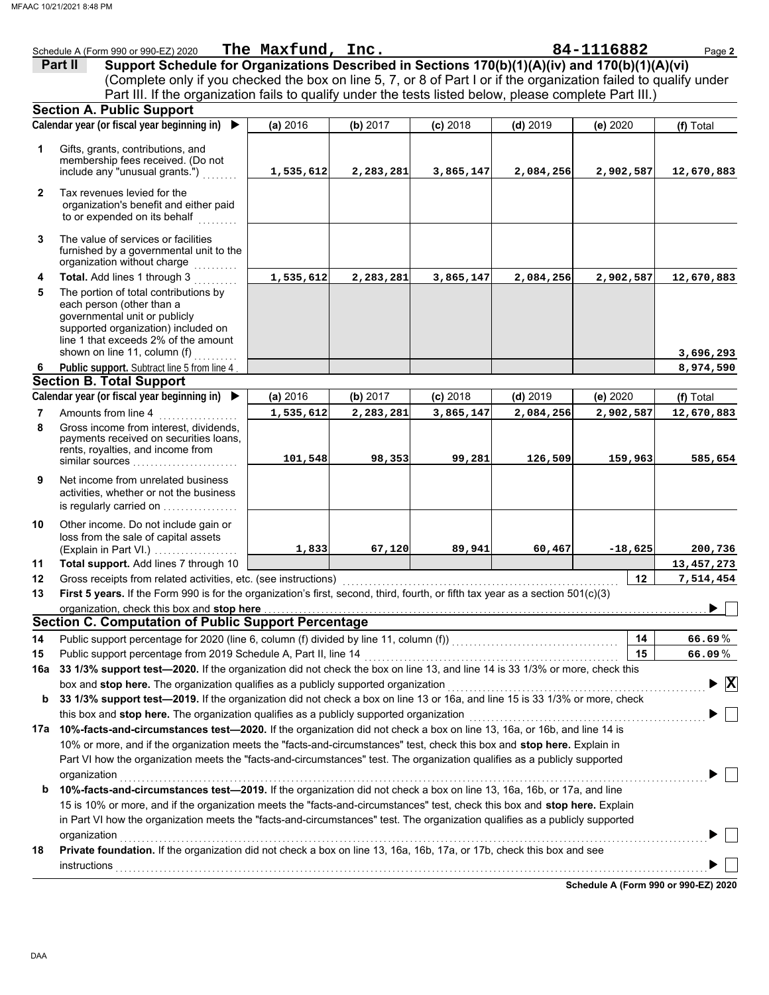|                                                                                                                   | Schedule A (Form 990 or 990-EZ) 2020                                                                                            | The Maxfund, Inc. |           |            |            | 84-1116882 | Page 2                             |
|-------------------------------------------------------------------------------------------------------------------|---------------------------------------------------------------------------------------------------------------------------------|-------------------|-----------|------------|------------|------------|------------------------------------|
|                                                                                                                   | Support Schedule for Organizations Described in Sections 170(b)(1)(A)(iv) and 170(b)(1)(A)(vi)<br>Part II                       |                   |           |            |            |            |                                    |
| (Complete only if you checked the box on line 5, 7, or 8 of Part I or if the organization failed to qualify under |                                                                                                                                 |                   |           |            |            |            |                                    |
|                                                                                                                   | Part III. If the organization fails to qualify under the tests listed below, please complete Part III.)                         |                   |           |            |            |            |                                    |
|                                                                                                                   | <b>Section A. Public Support</b>                                                                                                |                   |           |            |            |            |                                    |
|                                                                                                                   | Calendar year (or fiscal year beginning in)<br>$\blacktriangleright$                                                            | (a) 2016          | (b) 2017  | $(c)$ 2018 | $(d)$ 2019 | (e) 2020   | (f) Total                          |
| 1                                                                                                                 | Gifts, grants, contributions, and                                                                                               |                   |           |            |            |            |                                    |
|                                                                                                                   | membership fees received. (Do not                                                                                               |                   |           |            |            |            |                                    |
|                                                                                                                   | include any "unusual grants.")                                                                                                  | 1,535,612         | 2,283,281 | 3,865,147  | 2,084,256  | 2,902,587  | 12,670,883                         |
| $\mathbf{2}$                                                                                                      | Tax revenues levied for the                                                                                                     |                   |           |            |            |            |                                    |
|                                                                                                                   | organization's benefit and either paid<br>to or expended on its behalf                                                          |                   |           |            |            |            |                                    |
|                                                                                                                   |                                                                                                                                 |                   |           |            |            |            |                                    |
| 3                                                                                                                 | The value of services or facilities<br>furnished by a governmental unit to the<br>organization without charge                   |                   |           |            |            |            |                                    |
| 4                                                                                                                 | Total. Add lines 1 through 3                                                                                                    | 1,535,612         | 2,283,281 | 3,865,147  | 2,084,256  | 2,902,587  | 12,670,883                         |
| 5                                                                                                                 | The portion of total contributions by                                                                                           |                   |           |            |            |            |                                    |
|                                                                                                                   | each person (other than a                                                                                                       |                   |           |            |            |            |                                    |
|                                                                                                                   | governmental unit or publicly<br>supported organization) included on                                                            |                   |           |            |            |            |                                    |
|                                                                                                                   | line 1 that exceeds 2% of the amount                                                                                            |                   |           |            |            |            |                                    |
|                                                                                                                   | shown on line 11, column (f)                                                                                                    |                   |           |            |            |            | 3,696,293                          |
| 6                                                                                                                 | Public support. Subtract line 5 from line 4                                                                                     |                   |           |            |            |            | 8,974,590                          |
|                                                                                                                   | <b>Section B. Total Support</b>                                                                                                 |                   |           |            |            |            |                                    |
|                                                                                                                   | Calendar year (or fiscal year beginning in)                                                                                     | (a) 2016          | (b) 2017  | $(c)$ 2018 | $(d)$ 2019 | (e) 2020   | (f) Total                          |
| 7                                                                                                                 | Amounts from line 4                                                                                                             | 1,535,612         | 2,283,281 | 3,865,147  | 2,084,256  | 2,902,587  | 12,670,883                         |
| 8                                                                                                                 | Gross income from interest, dividends,                                                                                          |                   |           |            |            |            |                                    |
|                                                                                                                   | payments received on securities loans,                                                                                          |                   |           |            |            |            |                                    |
|                                                                                                                   | rents, royalties, and income from<br>similar sources                                                                            | 101,548           | 98,353    | 99,281     | 126,509    | 159,963    | 585,654                            |
| 9                                                                                                                 | Net income from unrelated business                                                                                              |                   |           |            |            |            |                                    |
|                                                                                                                   | activities, whether or not the business                                                                                         |                   |           |            |            |            |                                    |
|                                                                                                                   | is regularly carried on                                                                                                         |                   |           |            |            |            |                                    |
| 10                                                                                                                | Other income. Do not include gain or                                                                                            |                   |           |            |            |            |                                    |
|                                                                                                                   | loss from the sale of capital assets                                                                                            |                   |           |            |            |            |                                    |
|                                                                                                                   | (Explain in Part VI.)                                                                                                           | 1,833             | 67,120    | 89,941     | 60,467     | $-18,625$  | 200,736                            |
| 11                                                                                                                | Total support. Add lines 7 through 10                                                                                           |                   |           |            |            |            | 13,457,273                         |
| 12                                                                                                                | Gross receipts from related activities, etc. (see instructions)                                                                 |                   |           |            |            | 12         | 7,514,454                          |
| 13                                                                                                                | First 5 years. If the Form 990 is for the organization's first, second, third, fourth, or fifth tax year as a section 501(c)(3) |                   |           |            |            |            |                                    |
|                                                                                                                   | organization, che <u>ck this box and <b>stop here</b>,…………………………………………………………………………………………</u>                                    |                   |           |            |            |            | $\blacksquare$                     |
|                                                                                                                   | <b>Section C. Computation of Public Support Percentage</b>                                                                      |                   |           |            |            |            |                                    |
| 14                                                                                                                | Public support percentage for 2020 (line 6, column (f) divided by line 11, column (f)) [[[[[[[[[[[[[[[[[[[[[[                   |                   |           |            |            | 14         | 66.69%                             |
| 15                                                                                                                | Public support percentage from 2019 Schedule A, Part II, line 14                                                                |                   |           |            |            | 15         | 66.09%                             |
| 16a                                                                                                               | 33 1/3% support test-2020. If the organization did not check the box on line 13, and line 14 is 33 1/3% or more, check this     |                   |           |            |            |            |                                    |
|                                                                                                                   | box and stop here. The organization qualifies as a publicly supported organization                                              |                   |           |            |            |            | $\blacktriangleright$ $\mathbf{X}$ |
| b                                                                                                                 | 33 1/3% support test-2019. If the organization did not check a box on line 13 or 16a, and line 15 is 33 1/3% or more, check     |                   |           |            |            |            |                                    |
|                                                                                                                   | this box and stop here. The organization qualifies as a publicly supported organization                                         |                   |           |            |            |            |                                    |
|                                                                                                                   | 17a 10%-facts-and-circumstances test-2020. If the organization did not check a box on line 13, 16a, or 16b, and line 14 is      |                   |           |            |            |            |                                    |
|                                                                                                                   | 10% or more, and if the organization meets the "facts-and-circumstances" test, check this box and stop here. Explain in         |                   |           |            |            |            |                                    |
|                                                                                                                   | Part VI how the organization meets the "facts-and-circumstances" test. The organization qualifies as a publicly supported       |                   |           |            |            |            |                                    |
|                                                                                                                   | organization                                                                                                                    |                   |           |            |            |            |                                    |
| b                                                                                                                 | 10%-facts-and-circumstances test-2019. If the organization did not check a box on line 13, 16a, 16b, or 17a, and line           |                   |           |            |            |            |                                    |
|                                                                                                                   | 15 is 10% or more, and if the organization meets the "facts-and-circumstances" test, check this box and stop here. Explain      |                   |           |            |            |            |                                    |
|                                                                                                                   | in Part VI how the organization meets the "facts-and-circumstances" test. The organization qualifies as a publicly supported    |                   |           |            |            |            |                                    |
|                                                                                                                   | organization                                                                                                                    |                   |           |            |            |            |                                    |
| 18                                                                                                                | Private foundation. If the organization did not check a box on line 13, 16a, 16b, 17a, or 17b, check this box and see           |                   |           |            |            |            |                                    |
|                                                                                                                   | instructions                                                                                                                    |                   |           |            |            |            |                                    |

**Schedule A (Form 990 or 990-EZ) 2020**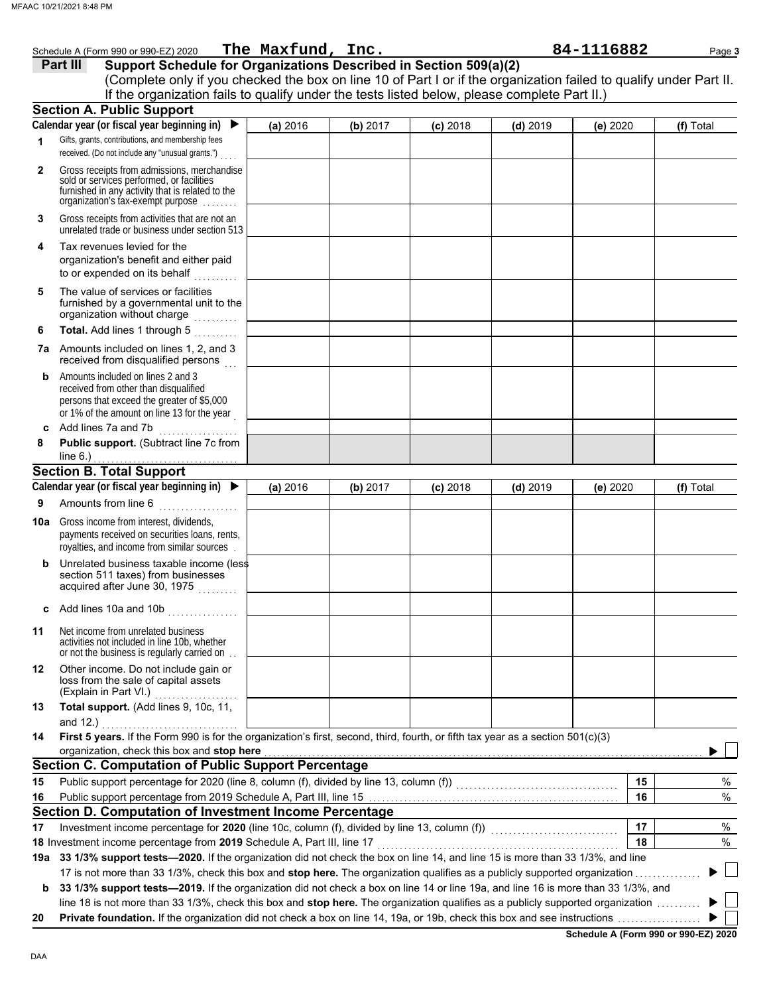|              | Schedule A (Form 990 or 990-EZ) 2020 The Maxfund, Inc.                                                                                                                                                                                                               |          |          |            |            | 84-1116882 | Page 3    |
|--------------|----------------------------------------------------------------------------------------------------------------------------------------------------------------------------------------------------------------------------------------------------------------------|----------|----------|------------|------------|------------|-----------|
|              | Support Schedule for Organizations Described in Section 509(a)(2)<br>Part III                                                                                                                                                                                        |          |          |            |            |            |           |
|              | (Complete only if you checked the box on line 10 of Part I or if the organization failed to qualify under Part II.                                                                                                                                                   |          |          |            |            |            |           |
|              | If the organization fails to qualify under the tests listed below, please complete Part II.)                                                                                                                                                                         |          |          |            |            |            |           |
|              | <b>Section A. Public Support</b>                                                                                                                                                                                                                                     |          |          |            |            |            |           |
|              | Calendar year (or fiscal year beginning in)                                                                                                                                                                                                                          | (a) 2016 | (b) 2017 | $(c)$ 2018 | $(d)$ 2019 | (e) 2020   | (f) Total |
| 1            | Gifts, grants, contributions, and membership fees<br>received. (Do not include any "unusual grants.")                                                                                                                                                                |          |          |            |            |            |           |
| $\mathbf{2}$ | Gross receipts from admissions, merchandise<br>sold or services performed, or facilities<br>furnished in any activity that is related to the<br>organization's tax-exempt purpose                                                                                    |          |          |            |            |            |           |
| 3            | Gross receipts from activities that are not an<br>unrelated trade or business under section 513                                                                                                                                                                      |          |          |            |            |            |           |
| 4            | Tax revenues levied for the<br>organization's benefit and either paid<br>to or expended on its behalf<br><u>.</u><br>. <b>.</b> .                                                                                                                                    |          |          |            |            |            |           |
| 5            | The value of services or facilities<br>furnished by a governmental unit to the<br>organization without charge                                                                                                                                                        |          |          |            |            |            |           |
| 6            | Total. Add lines 1 through 5<br>.                                                                                                                                                                                                                                    |          |          |            |            |            |           |
| 7а           | Amounts included on lines 1, 2, and 3<br>received from disqualified persons                                                                                                                                                                                          |          |          |            |            |            |           |
| b            | Amounts included on lines 2 and 3<br>received from other than disqualified<br>persons that exceed the greater of \$5,000<br>or 1% of the amount on line 13 for the year                                                                                              |          |          |            |            |            |           |
| c            | Add lines 7a and 7b                                                                                                                                                                                                                                                  |          |          |            |            |            |           |
| 8            | Public support. (Subtract line 7c from                                                                                                                                                                                                                               |          |          |            |            |            |           |
|              | line $6.$ )<br><b>Section B. Total Support</b>                                                                                                                                                                                                                       |          |          |            |            |            |           |
|              | Calendar year (or fiscal year beginning in)                                                                                                                                                                                                                          | (a) 2016 | (b) 2017 | $(c)$ 2018 | $(d)$ 2019 | (e) 2020   | (f) Total |
| 9            | Amounts from line 6<br>.                                                                                                                                                                                                                                             |          |          |            |            |            |           |
| 10a          | Gross income from interest, dividends,<br>payments received on securities loans, rents,<br>royalties, and income from similar sources.                                                                                                                               |          |          |            |            |            |           |
| b            | Unrelated business taxable income (less<br>section 511 taxes) from businesses<br>acquired after June 30, 1975                                                                                                                                                        |          |          |            |            |            |           |
| с            | Add lines 10a and 10b                                                                                                                                                                                                                                                |          |          |            |            |            |           |
| 11           | Net income from unrelated business<br>activities not included in line 10b, whether<br>or not the business is regularly carried on                                                                                                                                    |          |          |            |            |            |           |
| 12           | Other income. Do not include gain or<br>loss from the sale of capital assets<br>(Explain in Part VI.)                                                                                                                                                                |          |          |            |            |            |           |
| 13           | Total support. (Add lines 9, 10c, 11,<br>and 12.)                                                                                                                                                                                                                    |          |          |            |            |            |           |
| 14           | First 5 years. If the Form 990 is for the organization's first, second, third, fourth, or fifth tax year as a section 501(c)(3)<br>organization, check this box and stop here                                                                                        |          |          |            |            |            |           |
|              | <b>Section C. Computation of Public Support Percentage</b>                                                                                                                                                                                                           |          |          |            |            |            |           |
| 15           |                                                                                                                                                                                                                                                                      |          |          |            |            | 15         | %         |
| 16           |                                                                                                                                                                                                                                                                      |          |          |            |            | 16         | %         |
|              | Section D. Computation of Investment Income Percentage                                                                                                                                                                                                               |          |          |            |            |            |           |
| 17           | Investment income percentage for 2020 (line 10c, column (f), divided by line 13, column (f)) [[[[[[[[[[[[[[[[                                                                                                                                                        |          |          |            |            | 17         | $\%$      |
|              | 18 Investment income percentage from 2019 Schedule A, Part III, line 17                                                                                                                                                                                              |          |          |            |            | 18         | %         |
|              | 19a 33 1/3% support tests-2020. If the organization did not check the box on line 14, and line 15 is more than 33 1/3%, and line                                                                                                                                     |          |          |            |            |            |           |
|              | 17 is not more than 33 1/3%, check this box and stop here. The organization qualifies as a publicly supported organization                                                                                                                                           |          |          |            |            |            |           |
| b            | 33 1/3% support tests-2019. If the organization did not check a box on line 14 or line 19a, and line 16 is more than 33 1/3%, and<br>line 18 is not more than 33 1/3%, check this box and stop here. The organization qualifies as a publicly supported organization |          |          |            |            |            |           |
| 20           |                                                                                                                                                                                                                                                                      |          |          |            |            |            |           |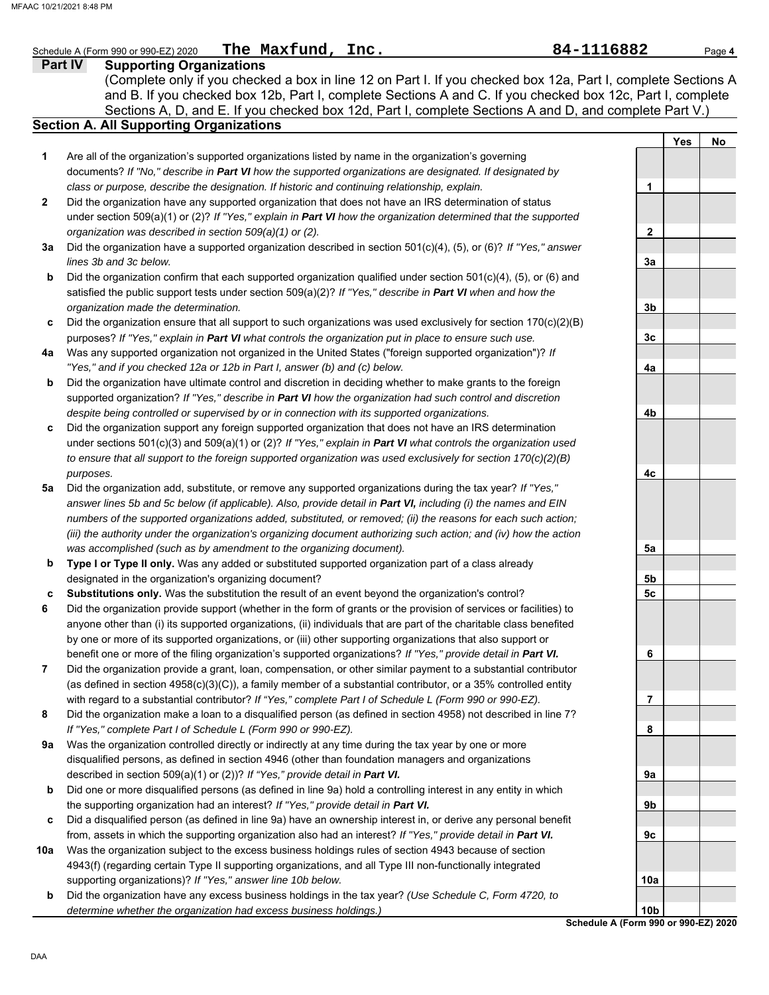|     | The Maxfund, Inc.<br>Schedule A (Form 990 or 990-EZ) 2020                                                                                                                                                                     | 84-1116882                                              |            | Page 4 |
|-----|-------------------------------------------------------------------------------------------------------------------------------------------------------------------------------------------------------------------------------|---------------------------------------------------------|------------|--------|
|     | Part IV<br><b>Supporting Organizations</b>                                                                                                                                                                                    |                                                         |            |        |
|     | (Complete only if you checked a box in line 12 on Part I. If you checked box 12a, Part I, complete Sections A<br>and B. If you checked box 12b, Part I, complete Sections A and C. If you checked box 12c, Part I, complete   |                                                         |            |        |
|     | Sections A, D, and E. If you checked box 12d, Part I, complete Sections A and D, and complete Part V.)<br><b>Section A. All Supporting Organizations</b>                                                                      |                                                         |            |        |
|     |                                                                                                                                                                                                                               |                                                         | <b>Yes</b> | No     |
| 1   | Are all of the organization's supported organizations listed by name in the organization's governing                                                                                                                          |                                                         |            |        |
|     | documents? If "No," describe in Part VI how the supported organizations are designated. If designated by                                                                                                                      |                                                         |            |        |
|     | class or purpose, describe the designation. If historic and continuing relationship, explain.                                                                                                                                 | 1                                                       |            |        |
| 2   | Did the organization have any supported organization that does not have an IRS determination of status                                                                                                                        |                                                         |            |        |
|     | under section $509(a)(1)$ or (2)? If "Yes," explain in Part VI how the organization determined that the supported                                                                                                             |                                                         |            |        |
|     | organization was described in section 509(a)(1) or (2).                                                                                                                                                                       | $\mathbf{2}$                                            |            |        |
| За  | Did the organization have a supported organization described in section $501(c)(4)$ , (5), or (6)? If "Yes," answer                                                                                                           |                                                         |            |        |
|     | lines 3b and 3c below.                                                                                                                                                                                                        | 3a                                                      |            |        |
| b   | Did the organization confirm that each supported organization qualified under section 501(c)(4), (5), or (6) and                                                                                                              |                                                         |            |        |
|     | satisfied the public support tests under section 509(a)(2)? If "Yes," describe in Part VI when and how the                                                                                                                    |                                                         |            |        |
|     | organization made the determination.                                                                                                                                                                                          | 3b                                                      |            |        |
| c   | Did the organization ensure that all support to such organizations was used exclusively for section 170(c)(2)(B)                                                                                                              |                                                         |            |        |
|     | purposes? If "Yes," explain in Part VI what controls the organization put in place to ensure such use.                                                                                                                        | 3c                                                      |            |        |
| 4a  | Was any supported organization not organized in the United States ("foreign supported organization")? If<br>"Yes," and if you checked 12a or 12b in Part I, answer (b) and (c) below.                                         | 4a                                                      |            |        |
| b   | Did the organization have ultimate control and discretion in deciding whether to make grants to the foreign                                                                                                                   |                                                         |            |        |
|     | supported organization? If "Yes," describe in Part VI how the organization had such control and discretion                                                                                                                    |                                                         |            |        |
|     | despite being controlled or supervised by or in connection with its supported organizations.                                                                                                                                  | 4b                                                      |            |        |
| c   | Did the organization support any foreign supported organization that does not have an IRS determination                                                                                                                       |                                                         |            |        |
|     | under sections 501(c)(3) and 509(a)(1) or (2)? If "Yes," explain in Part VI what controls the organization used                                                                                                               |                                                         |            |        |
|     | to ensure that all support to the foreign supported organization was used exclusively for section $170(c)(2)(B)$                                                                                                              |                                                         |            |        |
|     | purposes.                                                                                                                                                                                                                     | 4с                                                      |            |        |
| 5a  | Did the organization add, substitute, or remove any supported organizations during the tax year? If "Yes,"                                                                                                                    |                                                         |            |        |
|     | answer lines 5b and 5c below (if applicable). Also, provide detail in Part VI, including (i) the names and EIN                                                                                                                |                                                         |            |        |
|     | numbers of the supported organizations added, substituted, or removed; (ii) the reasons for each such action;                                                                                                                 |                                                         |            |        |
|     | (iii) the authority under the organization's organizing document authorizing such action; and (iv) how the action                                                                                                             |                                                         |            |        |
|     | was accomplished (such as by amendment to the organizing document).                                                                                                                                                           | 5a                                                      |            |        |
| b   | Type I or Type II only. Was any added or substituted supported organization part of a class already                                                                                                                           |                                                         |            |        |
|     | designated in the organization's organizing document?                                                                                                                                                                         | 5b                                                      |            |        |
| c   | Substitutions only. Was the substitution the result of an event beyond the organization's control?                                                                                                                            | 5 <sub>c</sub>                                          |            |        |
| 6   | Did the organization provide support (whether in the form of grants or the provision of services or facilities) to                                                                                                            |                                                         |            |        |
|     | anyone other than (i) its supported organizations, (ii) individuals that are part of the charitable class benefited                                                                                                           |                                                         |            |        |
|     | by one or more of its supported organizations, or (iii) other supporting organizations that also support or                                                                                                                   |                                                         |            |        |
|     | benefit one or more of the filing organization's supported organizations? If "Yes," provide detail in Part VI.                                                                                                                | 6                                                       |            |        |
| 7   | Did the organization provide a grant, loan, compensation, or other similar payment to a substantial contributor                                                                                                               |                                                         |            |        |
|     | (as defined in section $4958(c)(3)(C)$ ), a family member of a substantial contributor, or a 35% controlled entity<br>with regard to a substantial contributor? If "Yes," complete Part I of Schedule L (Form 990 or 990-EZ). | 7                                                       |            |        |
| 8   | Did the organization make a loan to a disqualified person (as defined in section 4958) not described in line 7?                                                                                                               |                                                         |            |        |
|     | If "Yes," complete Part I of Schedule L (Form 990 or 990-EZ).                                                                                                                                                                 | 8                                                       |            |        |
| 9а  | Was the organization controlled directly or indirectly at any time during the tax year by one or more                                                                                                                         |                                                         |            |        |
|     | disqualified persons, as defined in section 4946 (other than foundation managers and organizations                                                                                                                            |                                                         |            |        |
|     | described in section 509(a)(1) or (2))? If "Yes," provide detail in Part VI.                                                                                                                                                  | 9a                                                      |            |        |
| b   | Did one or more disqualified persons (as defined in line 9a) hold a controlling interest in any entity in which                                                                                                               |                                                         |            |        |
|     | the supporting organization had an interest? If "Yes," provide detail in Part VI.                                                                                                                                             | 9b                                                      |            |        |
| c   | Did a disqualified person (as defined in line 9a) have an ownership interest in, or derive any personal benefit                                                                                                               |                                                         |            |        |
|     | from, assets in which the supporting organization also had an interest? If "Yes," provide detail in Part VI.                                                                                                                  | 9c                                                      |            |        |
| 10a | Was the organization subject to the excess business holdings rules of section 4943 because of section                                                                                                                         |                                                         |            |        |
|     | 4943(f) (regarding certain Type II supporting organizations, and all Type III non-functionally integrated                                                                                                                     |                                                         |            |        |
|     | supporting organizations)? If "Yes," answer line 10b below.                                                                                                                                                                   | 10a                                                     |            |        |
| b   | Did the organization have any excess business holdings in the tax year? (Use Schedule C, Form 4720, to                                                                                                                        |                                                         |            |        |
|     | determine whether the organization had excess business holdings.)                                                                                                                                                             | 10 <sub>b</sub><br>Schedule A (Form 990 or 990-EZ) 2020 |            |        |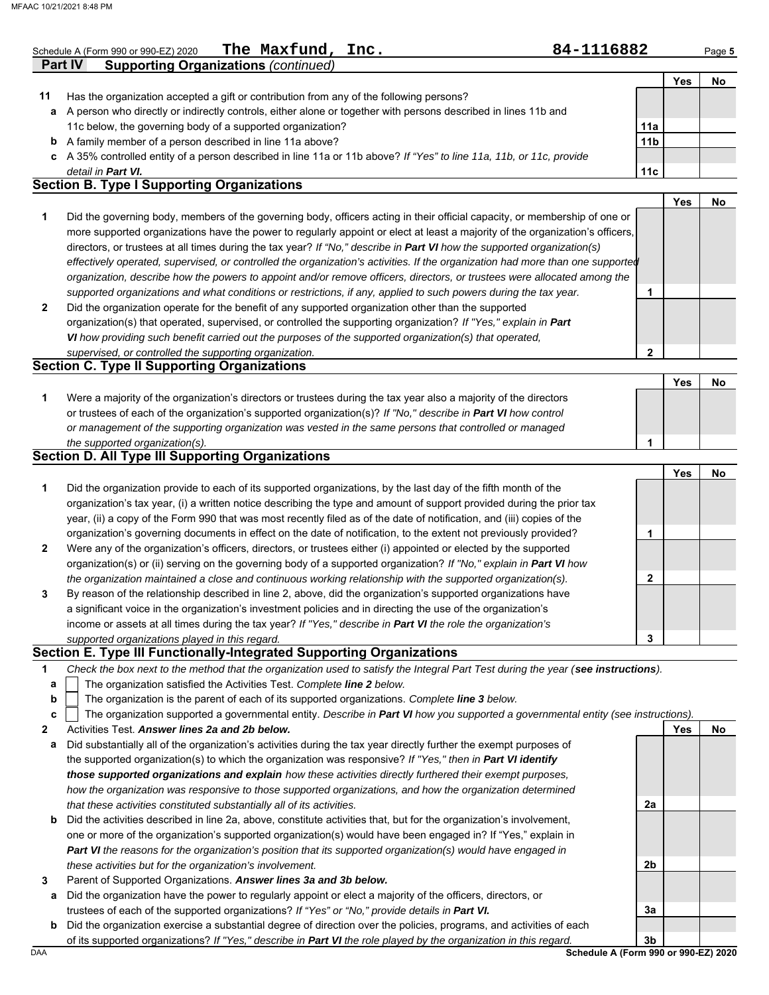| Schedule A (Form 990 or 990-EZ) 2020                                                                             | The Maxfund, Inc.                           | 84-1116882 |     | Page 5 |
|------------------------------------------------------------------------------------------------------------------|---------------------------------------------|------------|-----|--------|
| <b>Part IV</b>                                                                                                   | <b>Supporting Organizations (continued)</b> |            |     |        |
|                                                                                                                  |                                             |            | Yes | No     |
| Has the organization accepted a gift or contribution from any of the following persons?                          |                                             |            |     |        |
| a A person who directly or indirectly controls, either alone or together with persons described in lines 11b and |                                             |            |     |        |
| 11c below, the governing body of a supported organization?                                                       |                                             | 11a        |     |        |

**b** A family member of a person described in line 11a above?

**c** A 35% controlled entity of a person described in line 11a or 11b above? *If "Yes" to line 11a, 11b, or 11c, provide detail in Part VI.*

### **Section B. Type I Supporting Organizations**

**2 1** *supported organizations and what conditions or restrictions, if any, applied to such powers during the tax year. organization, describe how the powers to appoint and/or remove officers, directors, or trustees were allocated among the effectively operated, supervised, or controlled the organization's activities. If the organization had more than one supported* directors, or trustees at all times during the tax year? *If "No," describe in Part VI how the supported organization(s)* more supported organizations have the power to regularly appoint or elect at least a majority of the organization's officers, Did the governing body, members of the governing body, officers acting in their official capacity, or membership of one or Did the organization operate for the benefit of any supported organization other than the supported **1 Yes No**

organization(s) that operated, supervised, or controlled the supporting organization? *If "Yes," explain in Part VI how providing such benefit carried out the purposes of the supported organization(s) that operated,* 

#### *supervised, or controlled the supporting organization.* **Section C. Type II Supporting Organizations**

Were a majority of the organization's directors or trustees during the tax year also a majority of the directors or trustees of each of the organization's supported organization(s)? *If "No," describe in Part VI how control* **1** *or management of the supporting organization was vested in the same persons that controlled or managed the supported organization(s).* **Yes No 1**

#### **Section D. All Type III Supporting Organizations**

|                |                                                                                                                        |   | Yes | No |
|----------------|------------------------------------------------------------------------------------------------------------------------|---|-----|----|
| 1              | Did the organization provide to each of its supported organizations, by the last day of the fifth month of the         |   |     |    |
|                | organization's tax year, (i) a written notice describing the type and amount of support provided during the prior tax  |   |     |    |
|                | year, (ii) a copy of the Form 990 that was most recently filed as of the date of notification, and (iii) copies of the |   |     |    |
|                | organization's governing documents in effect on the date of notification, to the extent not previously provided?       |   |     |    |
| $\overline{2}$ | Were any of the organization's officers, directors, or trustees either (i) appointed or elected by the supported       |   |     |    |
|                | organization(s) or (ii) serving on the governing body of a supported organization? If "No," explain in Part VI how     |   |     |    |
|                | the organization maintained a close and continuous working relationship with the supported organization(s).            | 2 |     |    |
| $\mathbf{3}$   | By reason of the relationship described in line 2, above, did the organization's supported organizations have          |   |     |    |
|                | a significant voice in the organization's investment policies and in directing the use of the organization's           |   |     |    |
|                | income or assets at all times during the tax year? If "Yes," describe in Part VI the role the organization's           |   |     |    |
|                | supported organizations played in this regard.                                                                         | 3 |     |    |

#### **Section E. Type III Functionally-Integrated Supporting Organizations**

| Check the box next to the method that the organization used to satisfy the Integral Part Test during the year (see instructions). |  |
|-----------------------------------------------------------------------------------------------------------------------------------|--|
|                                                                                                                                   |  |

- The organization satisfied the Activities Test. *Complete line 2 below.* **a**
- The organization is the parent of each of its supported organizations. *Complete line 3 below.* **b**

| c $\vert$ The organization supported a governmental entity. Describe in Part VI how you supported a governmental entity (see instructions). |  |  |
|---------------------------------------------------------------------------------------------------------------------------------------------|--|--|
|                                                                                                                                             |  |  |

**2** Activities Test. *Answer lines 2a and 2b below.*

- **a** Did substantially all of the organization's activities during the tax year directly further the exempt purposes of the supported organization(s) to which the organization was responsive? *If "Yes," then in Part VI identify those supported organizations and explain how these activities directly furthered their exempt purposes, how the organization was responsive to those supported organizations, and how the organization determined that these activities constituted substantially all of its activities.*
- **b** Did the activities described in line 2a, above, constitute activities that, but for the organization's involvement, one or more of the organization's supported organization(s) would have been engaged in? If "Yes," explain in *Part VI the reasons for the organization's position that its supported organization(s) would have engaged in these activities but for the organization's involvement.*
- **3** Parent of Supported Organizations. *Answer lines 3a and 3b below.*
- **a** Did the organization have the power to regularly appoint or elect a majority of the officers, directors, or trustees of each of the supported organizations? *If "Yes" or "No," provide details in Part VI.*
- DAA **Schedule A (Form 990 or 990-EZ) 2020 b** Did the organization exercise a substantial degree of direction over the policies, programs, and activities of each of its supported organizations? *If "Yes," describe in Part VI the role played by the organization in this regard.*

**3b**

**2a**

**2b**

**3a**

**Yes No**

**11b**

**11c**

**2**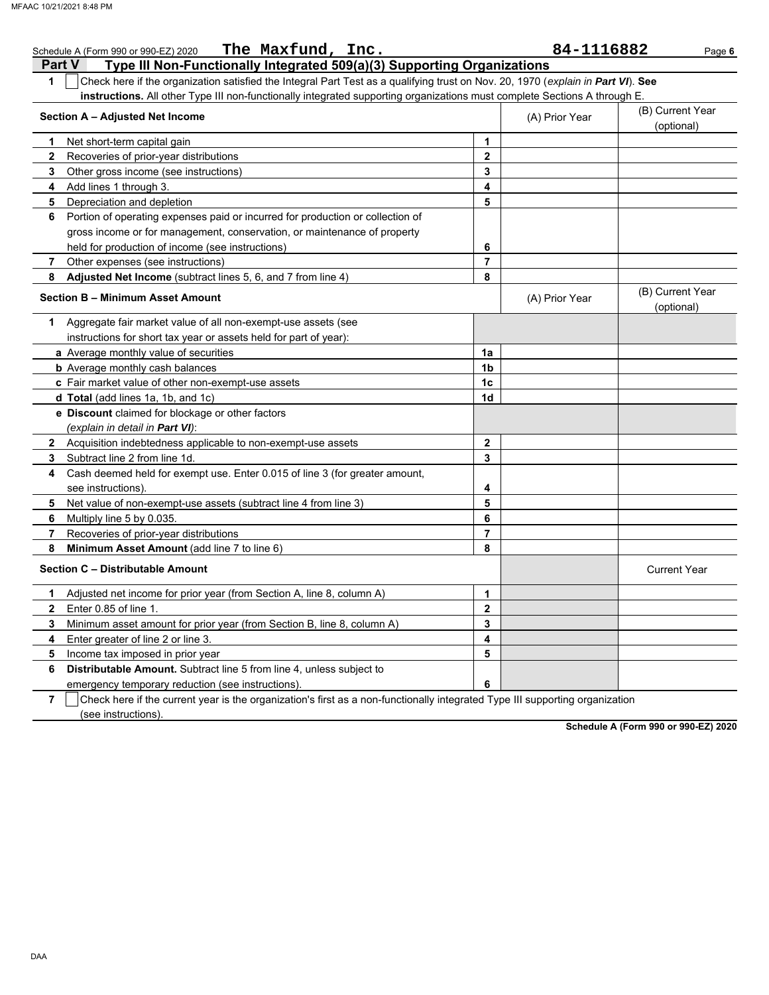|              | The Maxfund, Inc.<br>Schedule A (Form 990 or 990-EZ) 2020                                                                        |                | 84-1116882     | Page 6                         |
|--------------|----------------------------------------------------------------------------------------------------------------------------------|----------------|----------------|--------------------------------|
|              | Type III Non-Functionally Integrated 509(a)(3) Supporting Organizations<br><b>Part V</b>                                         |                |                |                                |
| $\mathbf{1}$ | Check here if the organization satisfied the Integral Part Test as a qualifying trust on Nov. 20, 1970 (explain in Part VI). See |                |                |                                |
|              | instructions. All other Type III non-functionally integrated supporting organizations must complete Sections A through E.        |                |                |                                |
|              | Section A - Adjusted Net Income                                                                                                  |                | (A) Prior Year | (B) Current Year               |
|              |                                                                                                                                  |                |                | (optional)                     |
| 1            | Net short-term capital gain                                                                                                      | 1              |                |                                |
| $\mathbf{2}$ | Recoveries of prior-year distributions                                                                                           | $\overline{2}$ |                |                                |
| 3            | Other gross income (see instructions)                                                                                            | 3              |                |                                |
| 4            | Add lines 1 through 3.                                                                                                           | 4              |                |                                |
| 5            | Depreciation and depletion                                                                                                       | 5              |                |                                |
| 6            | Portion of operating expenses paid or incurred for production or collection of                                                   |                |                |                                |
|              | gross income or for management, conservation, or maintenance of property                                                         |                |                |                                |
|              | held for production of income (see instructions)                                                                                 | 6              |                |                                |
| 7            | Other expenses (see instructions)                                                                                                | $\overline{7}$ |                |                                |
| 8            | Adjusted Net Income (subtract lines 5, 6, and 7 from line 4)                                                                     | 8              |                |                                |
|              | Section B - Minimum Asset Amount                                                                                                 |                | (A) Prior Year | (B) Current Year<br>(optional) |
| 1.           | Aggregate fair market value of all non-exempt-use assets (see                                                                    |                |                |                                |
|              | instructions for short tax year or assets held for part of year):                                                                |                |                |                                |
|              | a Average monthly value of securities                                                                                            | 1a             |                |                                |
|              | <b>b</b> Average monthly cash balances                                                                                           | 1b             |                |                                |
|              | c Fair market value of other non-exempt-use assets                                                                               | 1 <sub>c</sub> |                |                                |
|              | d Total (add lines 1a, 1b, and 1c)                                                                                               | 1d             |                |                                |
|              | e Discount claimed for blockage or other factors                                                                                 |                |                |                                |
|              | (explain in detail in <b>Part VI</b> ):                                                                                          |                |                |                                |
|              | 2 Acquisition indebtedness applicable to non-exempt-use assets                                                                   | $\mathbf{2}$   |                |                                |
| 3            | Subtract line 2 from line 1d.                                                                                                    | 3              |                |                                |
| 4            | Cash deemed held for exempt use. Enter 0.015 of line 3 (for greater amount,                                                      |                |                |                                |
|              | see instructions).                                                                                                               | 4              |                |                                |
| 5            | Net value of non-exempt-use assets (subtract line 4 from line 3)                                                                 | 5              |                |                                |
| 6            | Multiply line 5 by 0.035.                                                                                                        | 6              |                |                                |
| 7            | Recoveries of prior-year distributions                                                                                           | $\overline{7}$ |                |                                |
| 8            | Minimum Asset Amount (add line 7 to line 6)                                                                                      | 8              |                |                                |
|              | Section C - Distributable Amount                                                                                                 |                |                | <b>Current Year</b>            |
| 1            | Adjusted net income for prior year (from Section A, line 8, column A)                                                            | 1              |                |                                |
| $\mathbf{2}$ | Enter 0.85 of line 1.                                                                                                            | $\mathbf{2}$   |                |                                |
| 3            | Minimum asset amount for prior year (from Section B, line 8, column A)                                                           | 3              |                |                                |
| 4            | Enter greater of line 2 or line 3.                                                                                               | 4              |                |                                |
| 5            | Income tax imposed in prior year                                                                                                 | 5              |                |                                |
| 6            | Distributable Amount. Subtract line 5 from line 4, unless subject to                                                             |                |                |                                |
|              | emergency temporary reduction (see instructions).                                                                                | 6              |                |                                |
|              |                                                                                                                                  |                |                |                                |

**7**  $\Box$  Check here if the current year is the organization's first as a non-functionally integrated Type III supporting organization (see instructions).

**Schedule A (Form 990 or 990-EZ) 2020**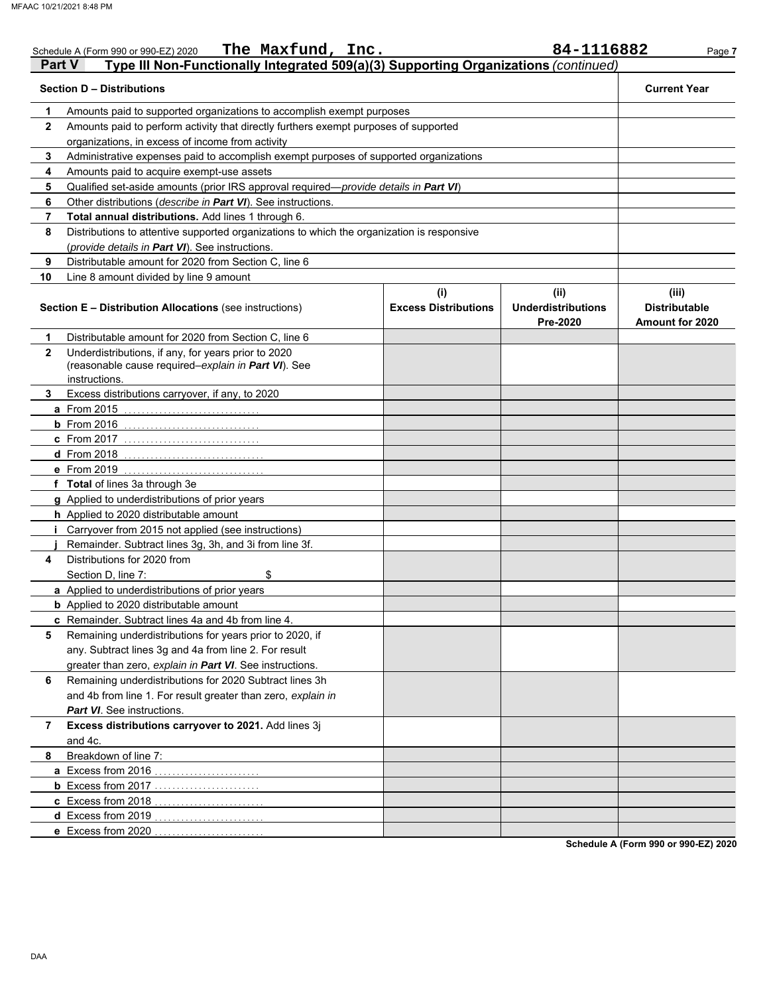|              | The Maxfund, Inc.<br>Schedule A (Form 990 or 990-EZ) 2020                                                  |                                    | 84-1116882                                    | Page 7                                           |
|--------------|------------------------------------------------------------------------------------------------------------|------------------------------------|-----------------------------------------------|--------------------------------------------------|
| Part V       | Type III Non-Functionally Integrated 509(a)(3) Supporting Organizations (continued)                        |                                    |                                               |                                                  |
|              | <b>Section D - Distributions</b>                                                                           |                                    |                                               | <b>Current Year</b>                              |
| 1            | Amounts paid to supported organizations to accomplish exempt purposes                                      |                                    |                                               |                                                  |
| $\mathbf{2}$ | Amounts paid to perform activity that directly furthers exempt purposes of supported                       |                                    |                                               |                                                  |
|              | organizations, in excess of income from activity                                                           |                                    |                                               |                                                  |
| 3            | Administrative expenses paid to accomplish exempt purposes of supported organizations                      |                                    |                                               |                                                  |
| 4            | Amounts paid to acquire exempt-use assets                                                                  |                                    |                                               |                                                  |
| 5            | Qualified set-aside amounts (prior IRS approval required-provide details in Part VI)                       |                                    |                                               |                                                  |
| 6            | Other distributions (describe in Part VI). See instructions.                                               |                                    |                                               |                                                  |
| 7            | Total annual distributions. Add lines 1 through 6.                                                         |                                    |                                               |                                                  |
| 8            | Distributions to attentive supported organizations to which the organization is responsive                 |                                    |                                               |                                                  |
|              | (provide details in Part VI). See instructions.                                                            |                                    |                                               |                                                  |
| 9            | Distributable amount for 2020 from Section C, line 6                                                       |                                    |                                               |                                                  |
| 10           | Line 8 amount divided by line 9 amount                                                                     |                                    |                                               |                                                  |
|              | <b>Section E - Distribution Allocations (see instructions)</b>                                             | (i)<br><b>Excess Distributions</b> | (ii)<br><b>Underdistributions</b><br>Pre-2020 | (iii)<br><b>Distributable</b><br>Amount for 2020 |
| 1            | Distributable amount for 2020 from Section C, line 6                                                       |                                    |                                               |                                                  |
| $\mathbf{2}$ | Underdistributions, if any, for years prior to 2020<br>(reasonable cause required-explain in Part VI). See |                                    |                                               |                                                  |
|              | instructions.                                                                                              |                                    |                                               |                                                  |
| 3            | Excess distributions carryover, if any, to 2020                                                            |                                    |                                               |                                                  |
|              | a From 2015                                                                                                |                                    |                                               |                                                  |
|              | $b$ From 2016                                                                                              |                                    |                                               |                                                  |
|              | c From 2017                                                                                                |                                    |                                               |                                                  |
|              | <b>d</b> From 2018                                                                                         |                                    |                                               |                                                  |
|              | e From 2019<br>. <u>.</u>                                                                                  |                                    |                                               |                                                  |
|              | f Total of lines 3a through 3e                                                                             |                                    |                                               |                                                  |
|              | g Applied to underdistributions of prior years                                                             |                                    |                                               |                                                  |
|              | h Applied to 2020 distributable amount                                                                     |                                    |                                               |                                                  |
|              | Carryover from 2015 not applied (see instructions)                                                         |                                    |                                               |                                                  |
| 4            | Remainder. Subtract lines 3g, 3h, and 3i from line 3f.<br>Distributions for 2020 from                      |                                    |                                               |                                                  |
|              | Section D. line 7:<br>\$                                                                                   |                                    |                                               |                                                  |
|              | a Applied to underdistributions of prior years                                                             |                                    |                                               |                                                  |
|              | <b>b</b> Applied to 2020 distributable amount                                                              |                                    |                                               |                                                  |
|              | c Remainder. Subtract lines 4a and 4b from line 4.                                                         |                                    |                                               |                                                  |
| 5            | Remaining underdistributions for years prior to 2020, if                                                   |                                    |                                               |                                                  |
|              | any. Subtract lines 3g and 4a from line 2. For result                                                      |                                    |                                               |                                                  |
|              | greater than zero, explain in Part VI. See instructions.                                                   |                                    |                                               |                                                  |
| 6            | Remaining underdistributions for 2020 Subtract lines 3h                                                    |                                    |                                               |                                                  |
|              | and 4b from line 1. For result greater than zero, explain in                                               |                                    |                                               |                                                  |
|              | Part VI. See instructions.                                                                                 |                                    |                                               |                                                  |
| 7            | Excess distributions carryover to 2021. Add lines 3j                                                       |                                    |                                               |                                                  |
|              | and 4c.                                                                                                    |                                    |                                               |                                                  |
| 8            | Breakdown of line 7:                                                                                       |                                    |                                               |                                                  |
|              | a Excess from 2016.                                                                                        |                                    |                                               |                                                  |
|              | <b>b</b> Excess from 2017                                                                                  |                                    |                                               |                                                  |
|              | c Excess from 2018.                                                                                        |                                    |                                               |                                                  |
|              | d Excess from 2019.                                                                                        |                                    |                                               |                                                  |
|              | e Excess from 2020                                                                                         |                                    |                                               |                                                  |
|              |                                                                                                            |                                    |                                               | $-0.005$ $-21.000$                               |

**Schedule A (Form 990 or 990-EZ) 2020**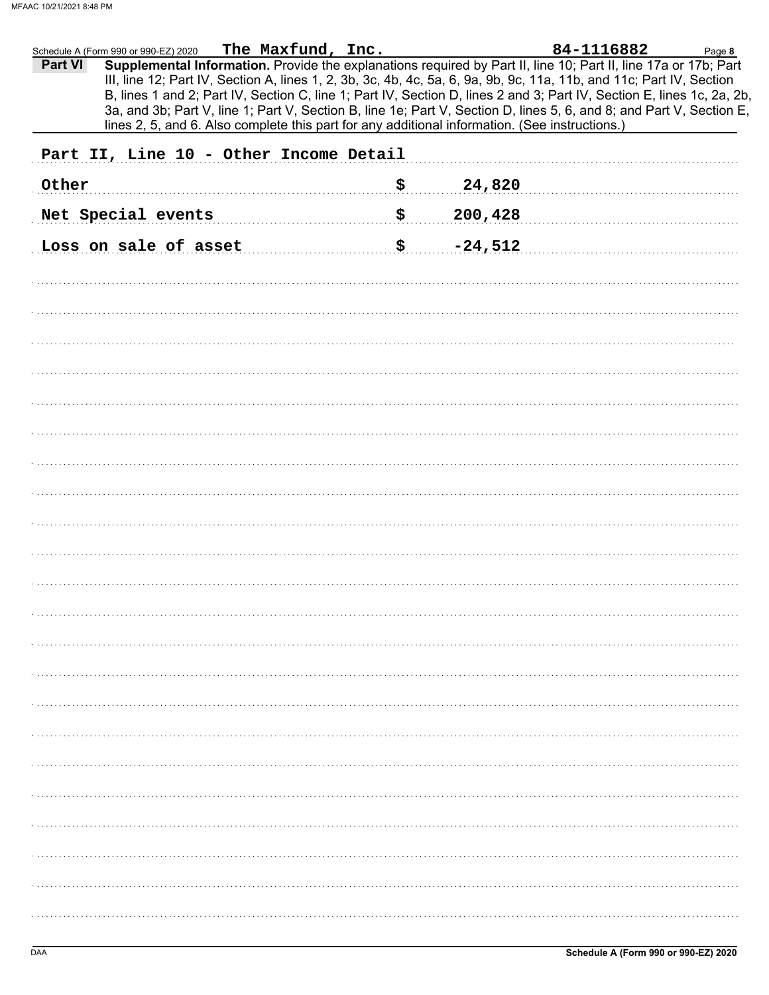|         | Schedule A (Form 990 or 990-EZ) 2020 | The Maxfund, Inc.                                                                              |                           |           | 84-1116882                                                                                                                                                                                                                                                                                                                                                                                                                                                                                | Page 8 |
|---------|--------------------------------------|------------------------------------------------------------------------------------------------|---------------------------|-----------|-------------------------------------------------------------------------------------------------------------------------------------------------------------------------------------------------------------------------------------------------------------------------------------------------------------------------------------------------------------------------------------------------------------------------------------------------------------------------------------------|--------|
| Part VI |                                      |                                                                                                |                           |           | Supplemental Information. Provide the explanations required by Part II, line 10; Part II, line 17a or 17b; Part<br>III, line 12; Part IV, Section A, lines 1, 2, 3b, 3c, 4b, 4c, 5a, 6, 9a, 9b, 9c, 11a, 11b, and 11c; Part IV, Section<br>B, lines 1 and 2; Part IV, Section C, line 1; Part IV, Section D, lines 2 and 3; Part IV, Section E, lines 1c, 2a, 2b,<br>3a, and 3b; Part V, line 1; Part V, Section B, line 1e; Part V, Section D, lines 5, 6, and 8; and Part V, Section E, |        |
|         |                                      | lines 2, 5, and 6. Also complete this part for any additional information. (See instructions.) |                           |           |                                                                                                                                                                                                                                                                                                                                                                                                                                                                                           |        |
|         |                                      | Part II, Line 10 - Other Income Detail                                                         |                           |           |                                                                                                                                                                                                                                                                                                                                                                                                                                                                                           |        |
| Other   |                                      |                                                                                                | \$.                       | 24,820    |                                                                                                                                                                                                                                                                                                                                                                                                                                                                                           |        |
|         | Net Special events                   |                                                                                                | $\boldsymbol{\mathsf{S}}$ | 200,428   |                                                                                                                                                                                                                                                                                                                                                                                                                                                                                           |        |
|         | Loss on sale of asset                |                                                                                                | \$                        | $-24,512$ |                                                                                                                                                                                                                                                                                                                                                                                                                                                                                           |        |
|         |                                      |                                                                                                |                           |           |                                                                                                                                                                                                                                                                                                                                                                                                                                                                                           |        |
|         |                                      |                                                                                                |                           |           |                                                                                                                                                                                                                                                                                                                                                                                                                                                                                           |        |
|         |                                      |                                                                                                |                           |           |                                                                                                                                                                                                                                                                                                                                                                                                                                                                                           |        |
|         |                                      |                                                                                                |                           |           |                                                                                                                                                                                                                                                                                                                                                                                                                                                                                           |        |
|         |                                      |                                                                                                |                           |           |                                                                                                                                                                                                                                                                                                                                                                                                                                                                                           |        |
|         |                                      |                                                                                                |                           |           |                                                                                                                                                                                                                                                                                                                                                                                                                                                                                           |        |
|         |                                      |                                                                                                |                           |           |                                                                                                                                                                                                                                                                                                                                                                                                                                                                                           |        |
|         |                                      |                                                                                                |                           |           |                                                                                                                                                                                                                                                                                                                                                                                                                                                                                           |        |
|         |                                      |                                                                                                |                           |           |                                                                                                                                                                                                                                                                                                                                                                                                                                                                                           |        |
|         |                                      |                                                                                                |                           |           |                                                                                                                                                                                                                                                                                                                                                                                                                                                                                           |        |
|         |                                      |                                                                                                |                           |           |                                                                                                                                                                                                                                                                                                                                                                                                                                                                                           |        |
|         |                                      |                                                                                                |                           |           |                                                                                                                                                                                                                                                                                                                                                                                                                                                                                           |        |
|         |                                      |                                                                                                |                           |           |                                                                                                                                                                                                                                                                                                                                                                                                                                                                                           |        |
|         |                                      |                                                                                                |                           |           |                                                                                                                                                                                                                                                                                                                                                                                                                                                                                           |        |
|         |                                      |                                                                                                |                           |           |                                                                                                                                                                                                                                                                                                                                                                                                                                                                                           |        |
|         |                                      |                                                                                                |                           |           |                                                                                                                                                                                                                                                                                                                                                                                                                                                                                           |        |
|         |                                      |                                                                                                |                           |           |                                                                                                                                                                                                                                                                                                                                                                                                                                                                                           |        |
|         |                                      |                                                                                                |                           |           |                                                                                                                                                                                                                                                                                                                                                                                                                                                                                           |        |
|         |                                      |                                                                                                |                           |           |                                                                                                                                                                                                                                                                                                                                                                                                                                                                                           |        |
|         |                                      |                                                                                                |                           |           |                                                                                                                                                                                                                                                                                                                                                                                                                                                                                           |        |
|         |                                      |                                                                                                |                           |           |                                                                                                                                                                                                                                                                                                                                                                                                                                                                                           |        |
|         |                                      |                                                                                                |                           |           |                                                                                                                                                                                                                                                                                                                                                                                                                                                                                           |        |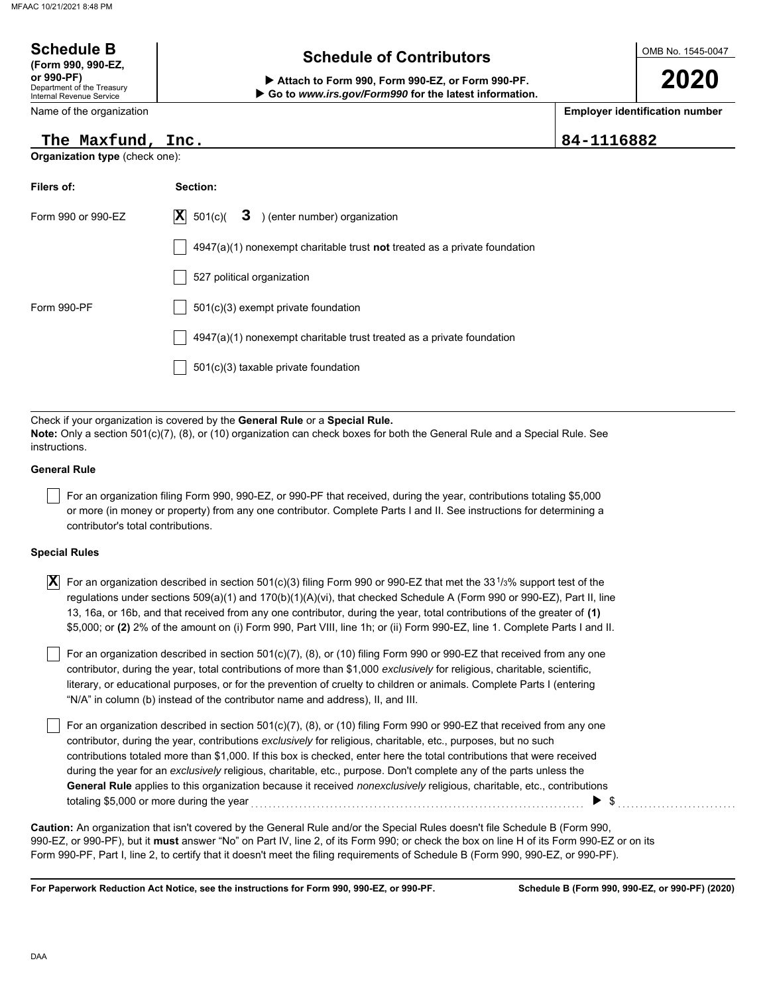| <b>Schedule B</b><br>(Form 990, 990-EZ,<br>or 990-PF)<br>Department of the Treasury<br>Internal Revenue Service | <b>Schedule of Contributors</b><br>Attach to Form 990, Form 990-EZ, or Form 990-PF.<br>Go to www.irs.gov/Form990 for the latest information. |            | OMB No. 1545-0047<br>2020             |
|-----------------------------------------------------------------------------------------------------------------|----------------------------------------------------------------------------------------------------------------------------------------------|------------|---------------------------------------|
| Name of the organization                                                                                        |                                                                                                                                              |            | <b>Employer identification number</b> |
| The Maxfund, Inc.                                                                                               |                                                                                                                                              | 84-1116882 |                                       |
| Organization type (check one):                                                                                  |                                                                                                                                              |            |                                       |
| Filers of:                                                                                                      | Section:                                                                                                                                     |            |                                       |
| Form 990 or 990-EZ                                                                                              | $ \mathbf{X} $<br>3 ) (enter number) organization<br>501(c)(                                                                                 |            |                                       |
|                                                                                                                 | $4947(a)(1)$ nonexempt charitable trust not treated as a private foundation                                                                  |            |                                       |
|                                                                                                                 | 527 political organization                                                                                                                   |            |                                       |
| Form 990-PF                                                                                                     | 501(c)(3) exempt private foundation                                                                                                          |            |                                       |
|                                                                                                                 | 4947(a)(1) nonexempt charitable trust treated as a private foundation                                                                        |            |                                       |
|                                                                                                                 | 501(c)(3) taxable private foundation                                                                                                         |            |                                       |
|                                                                                                                 |                                                                                                                                              |            |                                       |

Check if your organization is covered by the **General Rule** or a **Special Rule. Note:** Only a section 501(c)(7), (8), or (10) organization can check boxes for both the General Rule and a Special Rule. See instructions.

#### **General Rule**

For an organization filing Form 990, 990-EZ, or 990-PF that received, during the year, contributions totaling \$5,000 or more (in money or property) from any one contributor. Complete Parts I and II. See instructions for determining a contributor's total contributions.

#### **Special Rules**

| $\vert \overline{\textbf{X}} \vert$ For an organization described in section 501(c)(3) filing Form 990 or 990-EZ that met the 33 <sup>1</sup> /3% support test of the |
|-----------------------------------------------------------------------------------------------------------------------------------------------------------------------|
| regulations under sections 509(a)(1) and 170(b)(1)(A)(vi), that checked Schedule A (Form 990 or 990-EZ), Part II, line                                                |
| 13, 16a, or 16b, and that received from any one contributor, during the year, total contributions of the greater of (1)                                               |
| \$5,000; or (2) 2% of the amount on (i) Form 990, Part VIII, line 1h; or (ii) Form 990-EZ, line 1. Complete Parts I and II.                                           |

literary, or educational purposes, or for the prevention of cruelty to children or animals. Complete Parts I (entering For an organization described in section 501(c)(7), (8), or (10) filing Form 990 or 990-EZ that received from any one contributor, during the year, total contributions of more than \$1,000 *exclusively* for religious, charitable, scientific, "N/A" in column (b) instead of the contributor name and address), II, and III.

For an organization described in section 501(c)(7), (8), or (10) filing Form 990 or 990-EZ that received from any one contributor, during the year, contributions *exclusively* for religious, charitable, etc., purposes, but no such contributions totaled more than \$1,000. If this box is checked, enter here the total contributions that were received during the year for an *exclusively* religious, charitable, etc., purpose. Don't complete any of the parts unless the **General Rule** applies to this organization because it received *nonexclusively* religious, charitable, etc., contributions totaling \$5,000 or more during the year . . . . . . . . . . . . . . . . . . . . . . . . . . . . . . . . . . . . . . . . . . . . . . . . . . . . . . . . . . . . . . . . . . . . . . . . . . . . \$ . . . . . . . . . . . . . . . . . . . . . . . . . . .

990-EZ, or 990-PF), but it **must** answer "No" on Part IV, line 2, of its Form 990; or check the box on line H of its Form 990-EZ or on its Form 990-PF, Part I, line 2, to certify that it doesn't meet the filing requirements of Schedule B (Form 990, 990-EZ, or 990-PF). **Caution:** An organization that isn't covered by the General Rule and/or the Special Rules doesn't file Schedule B (Form 990,

**For Paperwork Reduction Act Notice, see the instructions for Form 990, 990-EZ, or 990-PF.**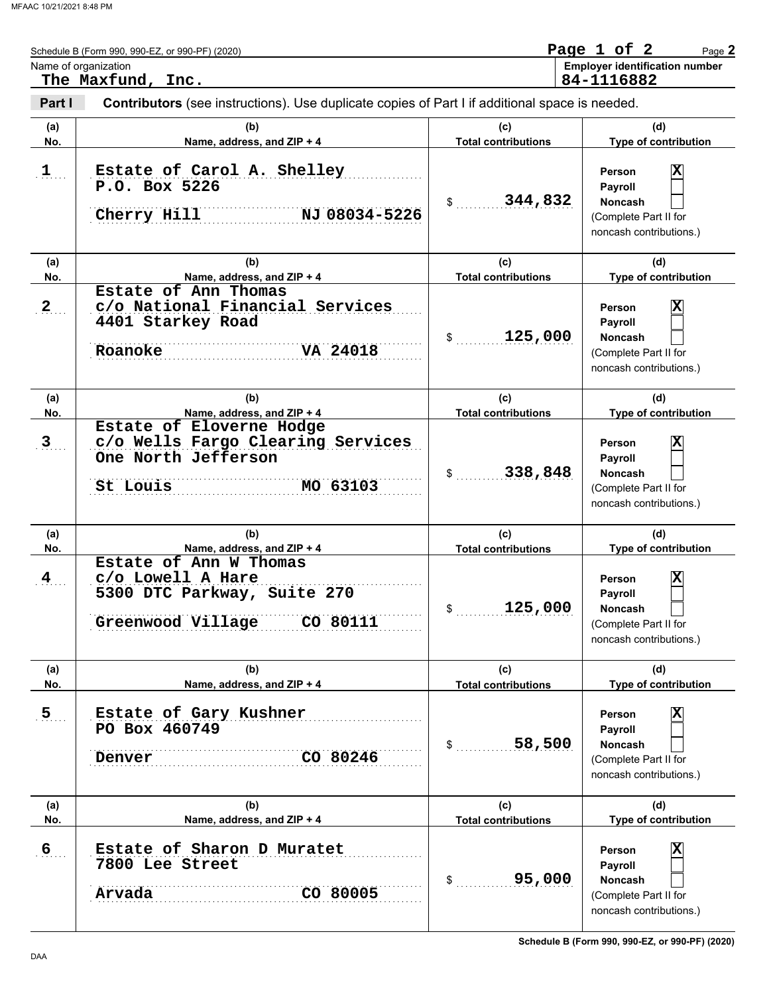|                      | Schedule B (Form 990, 990-EZ, or 990-PF) (2020)<br>Name of organization                                                                   |                                             | Page 1 of 2<br>Page 2<br><b>Employer identification number</b>                                                                             |
|----------------------|-------------------------------------------------------------------------------------------------------------------------------------------|---------------------------------------------|--------------------------------------------------------------------------------------------------------------------------------------------|
| Part I               | The Maxfund, Inc.<br>Contributors (see instructions). Use duplicate copies of Part I if additional space is needed.                       |                                             | 84-1116882                                                                                                                                 |
| (a)<br>No.           | (b)<br>Name, address, and ZIP + 4                                                                                                         | (c)<br><b>Total contributions</b>           | (d)<br>Type of contribution                                                                                                                |
| $\mathbf{1}$         | Estate of Carol A. Shelley<br>P.O. Box 5226<br>Cherry Hill<br>NJ 08034-5226                                                               | 344,832<br>$\frac{1}{2}$                    | $\overline{\mathbf{x}}$<br>Person<br>Payroll<br><b>Noncash</b><br>(Complete Part II for<br>noncash contributions.)                         |
| (a)<br>No.           | (b)<br>Name, address, and ZIP + 4                                                                                                         | (c)<br><b>Total contributions</b>           | (d)<br>Type of contribution                                                                                                                |
| $\mathbf{2}$         | Estate of Ann Thomas<br>c/o National Financial Services<br>4401 Starkey Road<br>VA 24018<br>Roanoke                                       | 125,000<br>\$                               | $\overline{\mathbf{x}}$<br>Person<br>Payroll<br><b>Noncash</b><br>(Complete Part II for<br>noncash contributions.)                         |
| (a)<br>No.           | (b)<br>Name, address, and ZIP + 4                                                                                                         | (c)<br><b>Total contributions</b>           | (d)<br>Type of contribution                                                                                                                |
| $\mathbf{3}$         | Estate of Eloverne Hodge<br>c/o Wells Fargo Clearing Services<br>One North Jefferson<br>MO 63103<br>St Louis                              | 338,848<br>\$                               | $\overline{\mathbf{x}}$<br>Person<br>Payroll<br><b>Noncash</b><br>(Complete Part II for<br>noncash contributions.)                         |
| (a)                  | (b)                                                                                                                                       | (c)                                         | (d)                                                                                                                                        |
| No.<br>$\frac{4}{3}$ | Name, address, and ZIP + 4<br>Estate of Ann W Thomas<br>c/o Lowell A Hare<br>5300 DTC Parkway, Suite 270<br>Greenwood Village<br>CO 80111 | <b>Total contributions</b><br>125,000<br>\$ | Type of contribution<br>$\overline{\mathbf{x}}$<br>Person<br>Payroll<br><b>Noncash</b><br>(Complete Part II for<br>noncash contributions.) |
| (a)<br>No.           | (b)<br>Name, address, and ZIP + 4                                                                                                         | (c)<br><b>Total contributions</b>           | (d)<br>Type of contribution                                                                                                                |
| $\overline{5}$       | Estate of Gary Kushner<br>PO Box 460749<br>CO 80246<br>Denver                                                                             | 58,500<br>\$                                | X<br>Person<br>Payroll<br><b>Noncash</b><br>(Complete Part II for<br>noncash contributions.)                                               |
| (a)<br>No.           | (b)<br>Name, address, and ZIP + 4                                                                                                         | (c)<br><b>Total contributions</b>           | (d)<br>Type of contribution                                                                                                                |
| $6 \overline{6}$     | Estate of Sharon D Muratet<br>7800 Lee Street<br>Arvada<br>CO 80005                                                                       | 95,000<br>\$                                | X<br>Person<br>Payroll<br><b>Noncash</b><br>(Complete Part II for<br>noncash contributions.)                                               |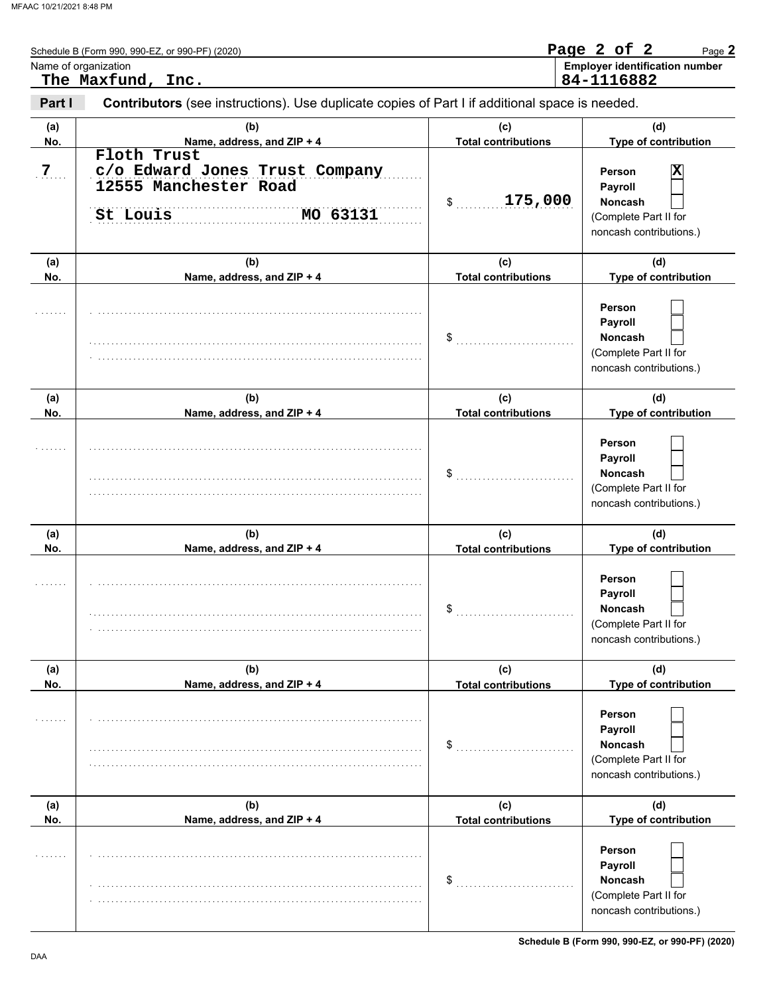|                | Schedule B (Form 990, 990-EZ, or 990-PF) (2020)                                                |                                   | Page 2 of 2<br>Page 2                                                                   |
|----------------|------------------------------------------------------------------------------------------------|-----------------------------------|-----------------------------------------------------------------------------------------|
|                | Name of organization<br>The Maxfund, Inc.                                                      |                                   | <b>Employer identification number</b><br>84-1116882                                     |
| Part I         | Contributors (see instructions). Use duplicate copies of Part I if additional space is needed. |                                   |                                                                                         |
| (a)<br>No.     | (b)<br>Name, address, and ZIP + 4                                                              | (c)<br><b>Total contributions</b> | (d)<br>Type of contribution                                                             |
| 7 <sub>1</sub> | Floth Trust<br>c/o Edward Jones Trust Company<br>12555 Manchester Road<br>MO 63131<br>St Louis | 175,000<br>\$                     | х<br>Person<br>Payroll<br>Noncash<br>(Complete Part II for<br>noncash contributions.)   |
| (a)<br>No.     | (b)<br>Name, address, and ZIP + 4                                                              | (c)<br><b>Total contributions</b> | (d)<br>Type of contribution                                                             |
|                |                                                                                                | \$                                | Person<br>Payroll<br>Noncash<br>(Complete Part II for<br>noncash contributions.)        |
| (a)<br>No.     | (b)<br>Name, address, and ZIP + 4                                                              | (c)<br><b>Total contributions</b> | (d)<br>Type of contribution                                                             |
|                |                                                                                                | \$                                | Person<br>Payroll<br>Noncash<br>(Complete Part II for<br>noncash contributions.)        |
| (a)<br>No.     | (b)<br>Name, address, and ZIP + 4                                                              | (c)<br><b>Total contributions</b> | (d)<br>Type of contribution                                                             |
|                |                                                                                                | \$                                | Person<br>Payroll<br>Noncash<br>(Complete Part II for<br>noncash contributions.)        |
| (a)<br>No.     | (b)<br>Name, address, and ZIP + 4                                                              | (c)<br><b>Total contributions</b> | (d)<br>Type of contribution                                                             |
|                |                                                                                                | \$                                | Person<br>Payroll<br><b>Noncash</b><br>(Complete Part II for<br>noncash contributions.) |
| (a)<br>No.     | (b)<br>Name, address, and ZIP + 4                                                              | (c)<br><b>Total contributions</b> | (d)<br>Type of contribution                                                             |
|                |                                                                                                | \$                                | Person<br>Payroll<br>Noncash<br>(Complete Part II for<br>noncash contributions.)        |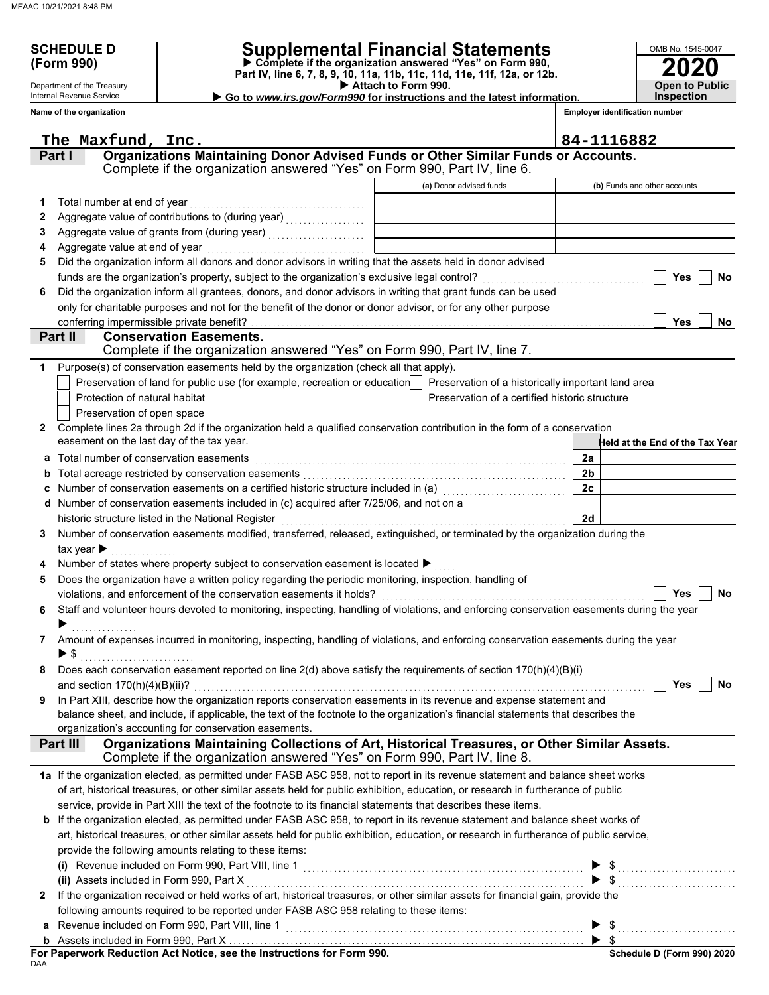Department of the Treasury

## **SCHEDULE D Supplemental Financial Statements**

 **Attach to Form 990. (Form 990) Part IV, line 6, 7, 8, 9, 10, 11a, 11b, 11c, 11d, 11e, 11f, 12a, or 12b. Complete if the organization answered "Yes" on Form 990,**

|   | Internal Revenue Service                  | $\triangleright$ Go to <i>www.irs.gov/Form990</i> for instructions and the latest information.                                                        |                                                    |                                       | Inspection                      |
|---|-------------------------------------------|-------------------------------------------------------------------------------------------------------------------------------------------------------|----------------------------------------------------|---------------------------------------|---------------------------------|
|   | Name of the organization                  |                                                                                                                                                       |                                                    | <b>Employer identification number</b> |                                 |
|   |                                           |                                                                                                                                                       |                                                    |                                       |                                 |
|   | The Maxfund, Inc.                         |                                                                                                                                                       |                                                    | 84-1116882                            |                                 |
|   | Part I                                    | Organizations Maintaining Donor Advised Funds or Other Similar Funds or Accounts.                                                                     |                                                    |                                       |                                 |
|   |                                           | Complete if the organization answered "Yes" on Form 990, Part IV, line 6.                                                                             |                                                    |                                       |                                 |
|   |                                           |                                                                                                                                                       | (a) Donor advised funds                            |                                       | (b) Funds and other accounts    |
| 1 | Total number at end of year               |                                                                                                                                                       |                                                    |                                       |                                 |
| 2 |                                           |                                                                                                                                                       |                                                    |                                       |                                 |
| 3 |                                           |                                                                                                                                                       |                                                    |                                       |                                 |
| 4 |                                           |                                                                                                                                                       |                                                    |                                       |                                 |
| 5 |                                           | Did the organization inform all donors and donor advisors in writing that the assets held in donor advised                                            |                                                    |                                       |                                 |
|   |                                           |                                                                                                                                                       |                                                    |                                       | Yes<br>No                       |
| 6 |                                           | Did the organization inform all grantees, donors, and donor advisors in writing that grant funds can be used                                          |                                                    |                                       |                                 |
|   |                                           | only for charitable purposes and not for the benefit of the donor or donor advisor, or for any other purpose                                          |                                                    |                                       | <b>Yes</b>                      |
|   | Part II                                   | <b>Conservation Easements.</b>                                                                                                                        |                                                    |                                       | No.                             |
|   |                                           | Complete if the organization answered "Yes" on Form 990, Part IV, line 7.                                                                             |                                                    |                                       |                                 |
| 1 |                                           | Purpose(s) of conservation easements held by the organization (check all that apply).                                                                 |                                                    |                                       |                                 |
|   |                                           | Preservation of land for public use (for example, recreation or education                                                                             | Preservation of a historically important land area |                                       |                                 |
|   | Protection of natural habitat             |                                                                                                                                                       | Preservation of a certified historic structure     |                                       |                                 |
|   | Preservation of open space                |                                                                                                                                                       |                                                    |                                       |                                 |
| 2 |                                           | Complete lines 2a through 2d if the organization held a qualified conservation contribution in the form of a conservation                             |                                                    |                                       |                                 |
|   | easement on the last day of the tax year. |                                                                                                                                                       |                                                    |                                       | Held at the End of the Tax Year |
| a | Total number of conservation easements    |                                                                                                                                                       |                                                    | 2a                                    |                                 |
| b |                                           |                                                                                                                                                       |                                                    | 2 <sub>b</sub>                        |                                 |
| c |                                           | Number of conservation easements on a certified historic structure included in (a) [11] Number of conservation                                        |                                                    | 2c                                    |                                 |
| d |                                           | Number of conservation easements included in (c) acquired after 7/25/06, and not on a                                                                 |                                                    |                                       |                                 |
|   |                                           | historic structure listed in the National Register                                                                                                    |                                                    | 2d                                    |                                 |
| 3 |                                           | Number of conservation easements modified, transferred, released, extinguished, or terminated by the organization during the                          |                                                    |                                       |                                 |
|   | tax year $\blacktriangleright$            |                                                                                                                                                       |                                                    |                                       |                                 |
|   |                                           | Number of states where property subject to conservation easement is located ▶                                                                         |                                                    |                                       |                                 |
| 5 |                                           | Does the organization have a written policy regarding the periodic monitoring, inspection, handling of                                                |                                                    |                                       |                                 |
|   |                                           | violations, and enforcement of the conservation easements it holds?                                                                                   |                                                    |                                       | Yes<br>No                       |
| 6 |                                           | Staff and volunteer hours devoted to monitoring, inspecting, handling of violations, and enforcing conservation easements during the year             |                                                    |                                       |                                 |
|   |                                           |                                                                                                                                                       |                                                    |                                       |                                 |
|   |                                           | Amount of expenses incurred in monitoring, inspecting, handling of violations, and enforcing conservation easements during the year                   |                                                    |                                       |                                 |
|   |                                           |                                                                                                                                                       |                                                    |                                       |                                 |
| 8 |                                           | Does each conservation easement reported on line 2(d) above satisfy the requirements of section 170(h)(4)(B)(i)                                       |                                                    |                                       |                                 |
|   |                                           |                                                                                                                                                       |                                                    |                                       | Yes<br>No                       |
| 9 |                                           | In Part XIII, describe how the organization reports conservation easements in its revenue and expense statement and                                   |                                                    |                                       |                                 |
|   |                                           | balance sheet, and include, if applicable, the text of the footnote to the organization's financial statements that describes the                     |                                                    |                                       |                                 |
|   | Part III                                  | organization's accounting for conservation easements.<br>Organizations Maintaining Collections of Art, Historical Treasures, or Other Similar Assets. |                                                    |                                       |                                 |
|   |                                           | Complete if the organization answered "Yes" on Form 990, Part IV, line 8.                                                                             |                                                    |                                       |                                 |
|   |                                           | 1a If the organization elected, as permitted under FASB ASC 958, not to report in its revenue statement and balance sheet works                       |                                                    |                                       |                                 |
|   |                                           | of art, historical treasures, or other similar assets held for public exhibition, education, or research in furtherance of public                     |                                                    |                                       |                                 |
|   |                                           | service, provide in Part XIII the text of the footnote to its financial statements that describes these items.                                        |                                                    |                                       |                                 |
|   |                                           | If the organization elected, as permitted under FASB ASC 958, to report in its revenue statement and balance sheet works of                           |                                                    |                                       |                                 |
|   |                                           | art, historical treasures, or other similar assets held for public exhibition, education, or research in furtherance of public service,               |                                                    |                                       |                                 |
|   |                                           | provide the following amounts relating to these items:                                                                                                |                                                    |                                       |                                 |
|   |                                           |                                                                                                                                                       |                                                    |                                       |                                 |
|   | (ii) Assets included in Form 990, Part X  |                                                                                                                                                       |                                                    |                                       |                                 |
| 2 |                                           | If the organization received or held works of art, historical treasures, or other similar assets for financial gain, provide the                      |                                                    |                                       |                                 |
|   |                                           | following amounts required to be reported under FASB ASC 958 relating to these items:                                                                 |                                                    |                                       |                                 |
| а |                                           |                                                                                                                                                       |                                                    |                                       |                                 |
|   |                                           |                                                                                                                                                       |                                                    |                                       |                                 |

**For Paperwork Reduction Act Notice, see the Instructions for Form 990.**

**2020**

**Open to Public**

OMB No. 1545-0047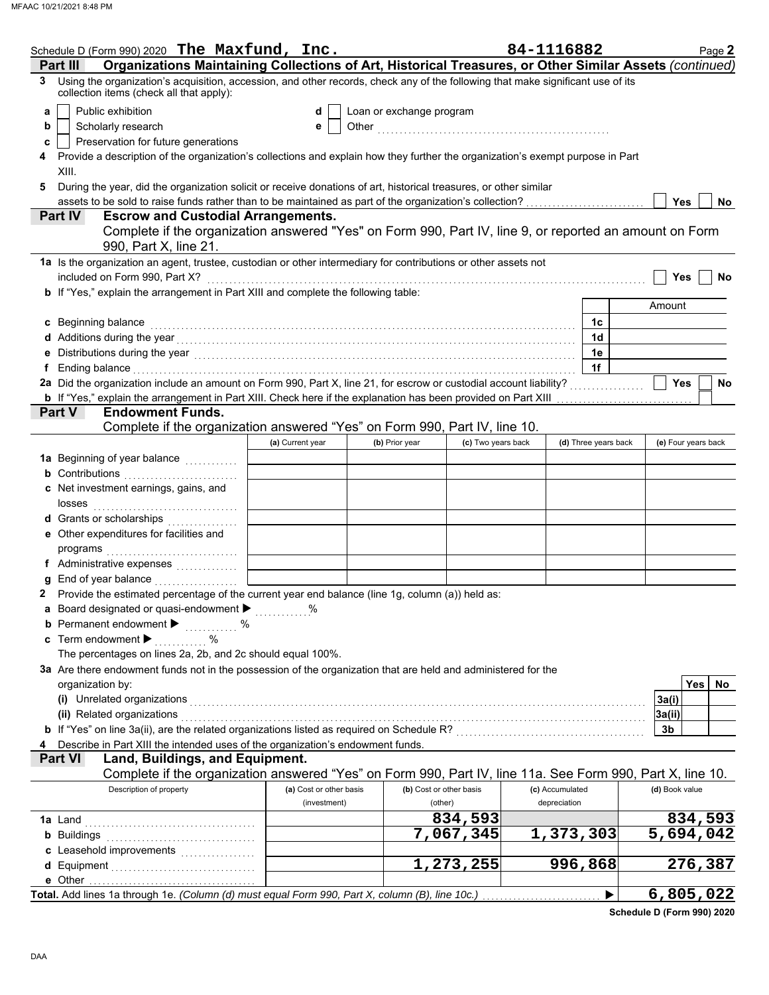|    | Schedule D (Form 990) 2020 The Maxfund, Inc.                                                                                                                                                                                        |                                         |                          |                                    | 84-1116882                      |                      |                | Page 2              |
|----|-------------------------------------------------------------------------------------------------------------------------------------------------------------------------------------------------------------------------------------|-----------------------------------------|--------------------------|------------------------------------|---------------------------------|----------------------|----------------|---------------------|
|    | Organizations Maintaining Collections of Art, Historical Treasures, or Other Similar Assets (continued)<br>Part III                                                                                                                 |                                         |                          |                                    |                                 |                      |                |                     |
| 3  | Using the organization's acquisition, accession, and other records, check any of the following that make significant use of its<br>collection items (check all that apply):                                                         |                                         |                          |                                    |                                 |                      |                |                     |
| a  | Public exhibition                                                                                                                                                                                                                   | d                                       | Loan or exchange program |                                    |                                 |                      |                |                     |
| b  | Scholarly research                                                                                                                                                                                                                  | е                                       |                          |                                    |                                 |                      |                |                     |
| c  | Preservation for future generations                                                                                                                                                                                                 |                                         |                          |                                    |                                 |                      |                |                     |
| 4  | Provide a description of the organization's collections and explain how they further the organization's exempt purpose in Part                                                                                                      |                                         |                          |                                    |                                 |                      |                |                     |
|    | XIII.                                                                                                                                                                                                                               |                                         |                          |                                    |                                 |                      |                |                     |
| 5  | During the year, did the organization solicit or receive donations of art, historical treasures, or other similar                                                                                                                   |                                         |                          |                                    |                                 |                      |                |                     |
|    | assets to be sold to raise funds rather than to be maintained as part of the organization's collection?                                                                                                                             |                                         |                          |                                    |                                 |                      | Yes            | <b>No</b>           |
|    | <b>Escrow and Custodial Arrangements.</b><br><b>Part IV</b>                                                                                                                                                                         |                                         |                          |                                    |                                 |                      |                |                     |
|    | Complete if the organization answered "Yes" on Form 990, Part IV, line 9, or reported an amount on Form<br>990, Part X, line 21.                                                                                                    |                                         |                          |                                    |                                 |                      |                |                     |
|    | 1a Is the organization an agent, trustee, custodian or other intermediary for contributions or other assets not                                                                                                                     |                                         |                          |                                    |                                 |                      |                |                     |
|    | included on Form 990, Part X?                                                                                                                                                                                                       |                                         |                          |                                    |                                 |                      | <b>Yes</b>     | <b>No</b>           |
|    | b If "Yes," explain the arrangement in Part XIII and complete the following table:                                                                                                                                                  |                                         |                          |                                    |                                 |                      |                |                     |
|    |                                                                                                                                                                                                                                     |                                         |                          |                                    |                                 |                      | Amount         |                     |
|    | c Beginning balance                                                                                                                                                                                                                 |                                         |                          |                                    |                                 | 1c                   |                |                     |
|    | d Additions during the year with the contract of the set of the set of the set of the set of the set of the set of the set of the set of the set of the set of the set of the set of the set of the set of the set of the set       |                                         |                          |                                    |                                 | 1d                   |                |                     |
|    |                                                                                                                                                                                                                                     |                                         |                          |                                    |                                 | 1e                   |                |                     |
| f. | Ending balance with a construction of the construction of the construction of the construction of the construction of the construction of the construction of the construction of the construction of the construction of the       |                                         |                          |                                    |                                 | 1f                   |                |                     |
|    | 2a Did the organization include an amount on Form 990, Part X, line 21, for escrow or custodial account liability?                                                                                                                  |                                         |                          |                                    |                                 |                      | Yes            | No                  |
|    |                                                                                                                                                                                                                                     |                                         |                          |                                    |                                 |                      |                |                     |
|    | <b>Endowment Funds.</b><br><b>Part V</b>                                                                                                                                                                                            |                                         |                          |                                    |                                 |                      |                |                     |
|    | Complete if the organization answered "Yes" on Form 990, Part IV, line 10.                                                                                                                                                          |                                         |                          |                                    |                                 |                      |                |                     |
|    |                                                                                                                                                                                                                                     | (a) Current year                        | (b) Prior year           | (c) Two years back                 |                                 | (d) Three years back |                | (e) Four years back |
|    | 1a Beginning of year balance <i>minimizing</i>                                                                                                                                                                                      |                                         |                          |                                    |                                 |                      |                |                     |
|    | <b>b</b> Contributions <b>contributions</b>                                                                                                                                                                                         |                                         |                          |                                    |                                 |                      |                |                     |
|    | c Net investment earnings, gains, and                                                                                                                                                                                               |                                         |                          |                                    |                                 |                      |                |                     |
|    |                                                                                                                                                                                                                                     |                                         |                          |                                    |                                 |                      |                |                     |
|    | d Grants or scholarships                                                                                                                                                                                                            |                                         |                          |                                    |                                 |                      |                |                     |
|    | e Other expenditures for facilities and                                                                                                                                                                                             |                                         |                          |                                    |                                 |                      |                |                     |
|    |                                                                                                                                                                                                                                     |                                         |                          |                                    |                                 |                      |                |                     |
|    | f Administrative expenses                                                                                                                                                                                                           |                                         |                          |                                    |                                 |                      |                |                     |
| g  | End of year balance                                                                                                                                                                                                                 |                                         |                          |                                    |                                 |                      |                |                     |
|    | Provide the estimated percentage of the current year end balance (line 1g, column (a)) held as:                                                                                                                                     |                                         |                          |                                    |                                 |                      |                |                     |
|    | a Board designated or quasi-endowment >                                                                                                                                                                                             |                                         |                          |                                    |                                 |                      |                |                     |
|    | <b>b</b> Permanent endowment <b>&gt;</b> %                                                                                                                                                                                          |                                         |                          |                                    |                                 |                      |                |                     |
|    | c Term endowment $\blacktriangleright$<br>$\sim$ $\sim$ $\sim$ $\sim$                                                                                                                                                               |                                         |                          |                                    |                                 |                      |                |                     |
|    | The percentages on lines 2a, 2b, and 2c should equal 100%.                                                                                                                                                                          |                                         |                          |                                    |                                 |                      |                |                     |
|    | 3a Are there endowment funds not in the possession of the organization that are held and administered for the                                                                                                                       |                                         |                          |                                    |                                 |                      |                |                     |
|    | organization by:                                                                                                                                                                                                                    |                                         |                          |                                    |                                 |                      |                | Yes  <br>No         |
|    | (i) Unrelated organizations <b>contracts</b> and contracts are contracted as a contract of the contract of the contract of the contract of the contract of the contract of the contract of the contract of the contract of the cont |                                         |                          |                                    |                                 |                      | 3a(i)          |                     |
|    | (ii) Related organizations                                                                                                                                                                                                          |                                         |                          |                                    |                                 |                      | 3a(ii)         |                     |
|    | <b>b</b> If "Yes" on line 3a(ii), are the related organizations listed as required on Schedule R?                                                                                                                                   |                                         |                          |                                    |                                 |                      | 3b             |                     |
| 4  | Describe in Part XIII the intended uses of the organization's endowment funds.                                                                                                                                                      |                                         |                          |                                    |                                 |                      |                |                     |
|    | Land, Buildings, and Equipment.<br><b>Part VI</b>                                                                                                                                                                                   |                                         |                          |                                    |                                 |                      |                |                     |
|    | Complete if the organization answered "Yes" on Form 990, Part IV, line 11a. See Form 990, Part X, line 10.                                                                                                                          |                                         |                          |                                    |                                 |                      |                |                     |
|    | Description of property                                                                                                                                                                                                             | (a) Cost or other basis<br>(investment) |                          | (b) Cost or other basis<br>(other) | (c) Accumulated<br>depreciation |                      | (d) Book value |                     |
|    |                                                                                                                                                                                                                                     |                                         |                          | 834,593                            |                                 |                      |                | 834,593             |
|    | <b>1a</b> Land                                                                                                                                                                                                                      |                                         |                          | 7,067,345                          | 1,373,303                       |                      |                | 5,694,042           |
|    | c Leasehold improvements                                                                                                                                                                                                            |                                         |                          |                                    |                                 |                      |                |                     |
|    |                                                                                                                                                                                                                                     |                                         |                          | 1,273,255                          |                                 | 996,868              |                | 276,387             |
|    |                                                                                                                                                                                                                                     |                                         |                          |                                    |                                 |                      |                |                     |
|    | Total. Add lines 1a through 1e. (Column (d) must equal Form 990, Part X, column (B), line 10c.)                                                                                                                                     |                                         |                          |                                    |                                 | ▶                    |                | 6,805,022           |
|    |                                                                                                                                                                                                                                     |                                         |                          |                                    |                                 |                      |                |                     |

**Schedule D (Form 990) 2020**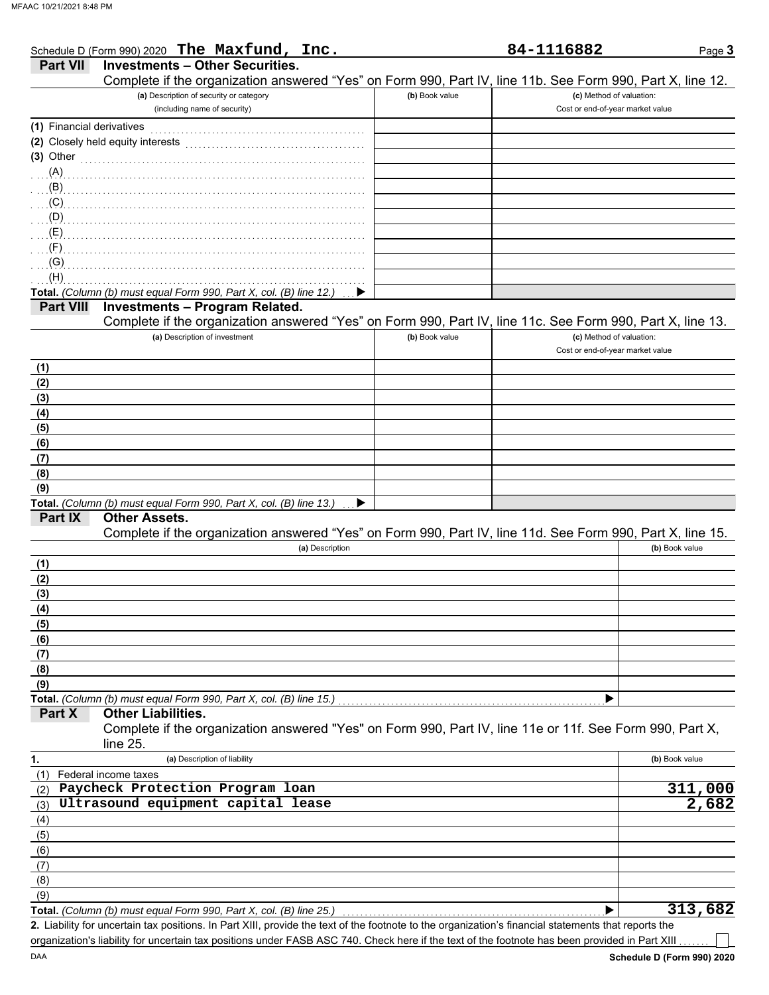|                           | Schedule D (Form 990) 2020 The Maxfund, Inc.                                                               |                | 84-1116882                       | Page 3         |
|---------------------------|------------------------------------------------------------------------------------------------------------|----------------|----------------------------------|----------------|
| <b>Part VII</b>           | <b>Investments - Other Securities.</b>                                                                     |                |                                  |                |
|                           | Complete if the organization answered "Yes" on Form 990, Part IV, line 11b. See Form 990, Part X, line 12. |                |                                  |                |
|                           | (a) Description of security or category                                                                    | (b) Book value | (c) Method of valuation:         |                |
|                           | (including name of security)                                                                               |                | Cost or end-of-year market value |                |
| (1) Financial derivatives |                                                                                                            |                |                                  |                |
|                           |                                                                                                            |                |                                  |                |
|                           | (2) Closely held equity interests                                                                          |                |                                  |                |
| $(3)$ Other               |                                                                                                            |                |                                  |                |
| (A)                       |                                                                                                            |                |                                  |                |
| (B)                       |                                                                                                            |                |                                  |                |
| (C)                       |                                                                                                            |                |                                  |                |
| (D)                       |                                                                                                            |                |                                  |                |
| (E)                       |                                                                                                            |                |                                  |                |
| (F)                       |                                                                                                            |                |                                  |                |
|                           |                                                                                                            |                |                                  |                |
| (G)                       |                                                                                                            |                |                                  |                |
| (H)                       |                                                                                                            |                |                                  |                |
|                           | Total. (Column (b) must equal Form 990, Part X, col. (B) line 12.)                                         |                |                                  |                |
| <b>Part VIII</b>          | <b>Investments - Program Related.</b>                                                                      |                |                                  |                |
|                           | Complete if the organization answered "Yes" on Form 990, Part IV, line 11c. See Form 990, Part X, line 13. |                |                                  |                |
|                           | (a) Description of investment                                                                              | (b) Book value | (c) Method of valuation:         |                |
|                           |                                                                                                            |                | Cost or end-of-year market value |                |
| (1)                       |                                                                                                            |                |                                  |                |
|                           |                                                                                                            |                |                                  |                |
| (2)                       |                                                                                                            |                |                                  |                |
| (3)                       |                                                                                                            |                |                                  |                |
| (4)                       |                                                                                                            |                |                                  |                |
| (5)                       |                                                                                                            |                |                                  |                |
| (6)                       |                                                                                                            |                |                                  |                |
| (7)                       |                                                                                                            |                |                                  |                |
| (8)                       |                                                                                                            |                |                                  |                |
| (9)                       |                                                                                                            |                |                                  |                |
|                           | ▶                                                                                                          |                |                                  |                |
| Part IX                   | Total. (Column (b) must equal Form 990, Part X, col. (B) line 13.)<br><b>Other Assets.</b>                 |                |                                  |                |
|                           |                                                                                                            |                |                                  |                |
|                           | Complete if the organization answered "Yes" on Form 990, Part IV, line 11d. See Form 990, Part X, line 15. |                |                                  |                |
|                           | (a) Description                                                                                            |                |                                  | (b) Book value |
| (1)                       |                                                                                                            |                |                                  |                |
| (2)                       |                                                                                                            |                |                                  |                |
| (3)                       |                                                                                                            |                |                                  |                |
| (4)                       |                                                                                                            |                |                                  |                |
| (5)                       |                                                                                                            |                |                                  |                |
|                           |                                                                                                            |                |                                  |                |
| (6)                       |                                                                                                            |                |                                  |                |
| (7)                       |                                                                                                            |                |                                  |                |
| (8)                       |                                                                                                            |                |                                  |                |
| (9)                       |                                                                                                            |                |                                  |                |
|                           | Total. (Column (b) must equal Form 990, Part X, col. (B) line 15.)                                         |                |                                  |                |
| Part X                    | <b>Other Liabilities.</b>                                                                                  |                |                                  |                |
|                           | Complete if the organization answered "Yes" on Form 990, Part IV, line 11e or 11f. See Form 990, Part X,   |                |                                  |                |
|                           | line 25.                                                                                                   |                |                                  |                |
| 1.                        | (a) Description of liability                                                                               |                |                                  | (b) Book value |
| (1)                       | Federal income taxes                                                                                       |                |                                  |                |
|                           | Paycheck Protection Program loan                                                                           |                |                                  | 311,000        |
| (2)                       |                                                                                                            |                |                                  |                |
| (3)                       | Ultrasound equipment capital lease                                                                         |                |                                  | 2,682          |
| (4)                       |                                                                                                            |                |                                  |                |
| (5)                       |                                                                                                            |                |                                  |                |
| (6)                       |                                                                                                            |                |                                  |                |
| (7)                       |                                                                                                            |                |                                  |                |
|                           |                                                                                                            |                |                                  |                |
|                           |                                                                                                            |                |                                  |                |
| (8)                       |                                                                                                            |                |                                  |                |
| (9)                       | Total. (Column (b) must equal Form 990, Part X, col. (B) line 25.)                                         |                |                                  | 313,682        |

organization's liability for uncertain tax positions under FASB ASC 740. Check here if the text of the footnote has been provided in Part XIII

┐

Page 3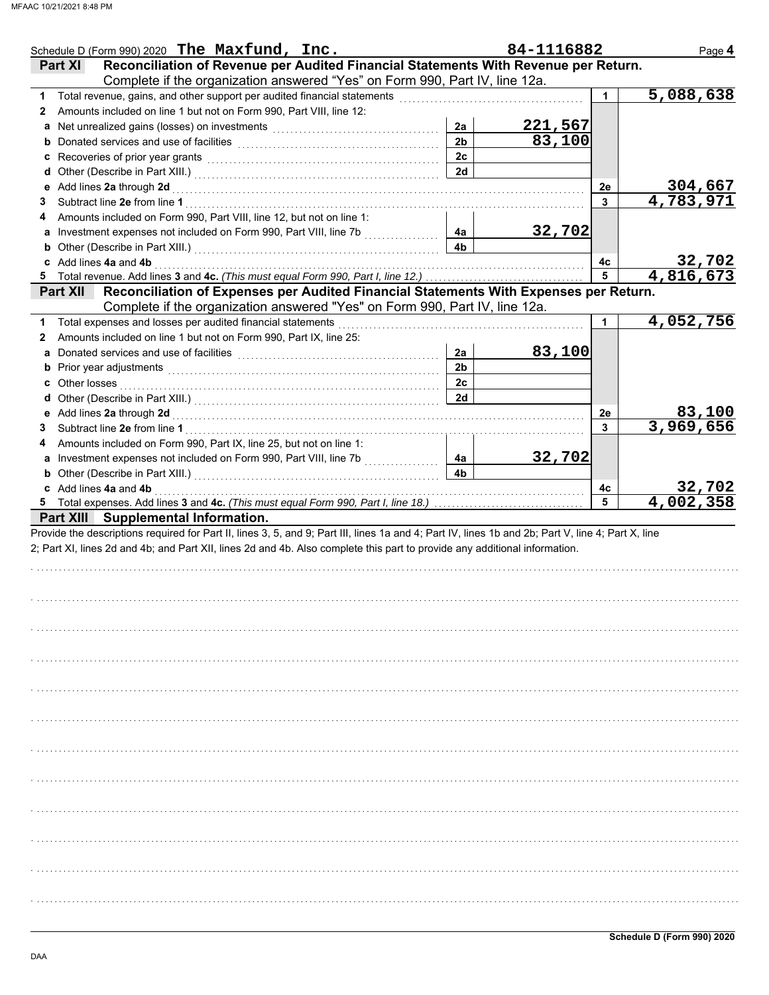| Schedule D (Form 990) 2020 The Maxfund, Inc.                                                                                                                                                             |                | 84-1116882 |    | Page 4                     |
|----------------------------------------------------------------------------------------------------------------------------------------------------------------------------------------------------------|----------------|------------|----|----------------------------|
| Reconciliation of Revenue per Audited Financial Statements With Revenue per Return.<br><b>Part XI</b>                                                                                                    |                |            |    |                            |
| Complete if the organization answered "Yes" on Form 990, Part IV, line 12a.                                                                                                                              |                |            |    |                            |
| Total revenue, gains, and other support per audited financial statements<br>1.                                                                                                                           |                |            | 1  | 5,088,638                  |
| Amounts included on line 1 but not on Form 990, Part VIII, line 12:<br>2                                                                                                                                 |                |            |    |                            |
|                                                                                                                                                                                                          | 2a             | 221,567    |    |                            |
|                                                                                                                                                                                                          | 2 <sub>b</sub> | 83,100     |    |                            |
| c Recoveries of prior year grants [11] Recovering the Recoveries of prior year grants [11] Recoveries of prior                                                                                           | 2c             |            |    |                            |
|                                                                                                                                                                                                          | 2d             |            |    |                            |
| e Add lines 2a through 2d                                                                                                                                                                                |                |            | 2e | 304,667                    |
| 3                                                                                                                                                                                                        |                |            | 3  | 4,783,971                  |
| Amounts included on Form 990, Part VIII, line 12, but not on line 1:<br>4                                                                                                                                |                |            |    |                            |
|                                                                                                                                                                                                          | 4a             | 32,702     |    |                            |
| <b>b</b> Other (Describe in Part XIII.) <b>CONSIDENT DESCRIPTION DESCRIPTION DESCRIPTION DESCRIPTION DESCRIPTION DESCRIPTION DESCRIPTION DESCRIPTION DESCRIPTION DESCRIPTION DESCRIPTION DESCRIPTION</b> | 4b             |            |    |                            |
| c Add lines 4a and 4b                                                                                                                                                                                    |                |            | 4с |                            |
|                                                                                                                                                                                                          |                |            | 5  | 32,702<br>4,816,673        |
|                                                                                                                                                                                                          |                |            |    |                            |
| Part XII Reconciliation of Expenses per Audited Financial Statements With Expenses per Return.                                                                                                           |                |            |    |                            |
| Complete if the organization answered "Yes" on Form 990, Part IV, line 12a.                                                                                                                              |                |            |    |                            |
| Total expenses and losses per audited financial statements<br>1.                                                                                                                                         |                |            | 1  | 4,052,756                  |
| Amounts included on line 1 but not on Form 990, Part IX, line 25:<br>2                                                                                                                                   |                |            |    |                            |
| a                                                                                                                                                                                                        | 2a             | 83,100     |    |                            |
|                                                                                                                                                                                                          | 2 <sub>b</sub> |            |    |                            |
| <b>c</b> Other losses                                                                                                                                                                                    | 2c             |            |    |                            |
|                                                                                                                                                                                                          | 2d             |            |    |                            |
|                                                                                                                                                                                                          |                |            | 2e | 83,100                     |
| 3                                                                                                                                                                                                        |                |            | 3  | 3,969,656                  |
| Amounts included on Form 990, Part IX, line 25, but not on line 1:<br>4                                                                                                                                  |                |            |    |                            |
|                                                                                                                                                                                                          | 4a             | 32,702     |    |                            |
|                                                                                                                                                                                                          |                |            |    |                            |
|                                                                                                                                                                                                          | 4b             |            |    |                            |
| <b>b</b> Other (Describe in Part XIII.) <b>CONSERVING (2014)</b> Other (Described: 2014)<br>c Add lines 4a and 4b                                                                                        |                |            | 4c |                            |
|                                                                                                                                                                                                          |                |            | 5  | $\frac{32,702}{4,002,358}$ |
| Part XIII Supplemental Information.                                                                                                                                                                      |                |            |    |                            |
| Provide the descriptions required for Part II, lines 3, 5, and 9; Part III, lines 1a and 4; Part IV, lines 1b and 2b; Part V, line 4; Part X, line                                                       |                |            |    |                            |
| 2; Part XI, lines 2d and 4b; and Part XII, lines 2d and 4b. Also complete this part to provide any additional information.                                                                               |                |            |    |                            |
|                                                                                                                                                                                                          |                |            |    |                            |
|                                                                                                                                                                                                          |                |            |    |                            |
|                                                                                                                                                                                                          |                |            |    |                            |
|                                                                                                                                                                                                          |                |            |    |                            |
|                                                                                                                                                                                                          |                |            |    |                            |
|                                                                                                                                                                                                          |                |            |    |                            |
|                                                                                                                                                                                                          |                |            |    |                            |
|                                                                                                                                                                                                          |                |            |    |                            |
|                                                                                                                                                                                                          |                |            |    |                            |
|                                                                                                                                                                                                          |                |            |    |                            |
|                                                                                                                                                                                                          |                |            |    |                            |
|                                                                                                                                                                                                          |                |            |    |                            |
|                                                                                                                                                                                                          |                |            |    |                            |
|                                                                                                                                                                                                          |                |            |    |                            |
|                                                                                                                                                                                                          |                |            |    |                            |
|                                                                                                                                                                                                          |                |            |    |                            |
|                                                                                                                                                                                                          |                |            |    |                            |
|                                                                                                                                                                                                          |                |            |    |                            |
|                                                                                                                                                                                                          |                |            |    |                            |
|                                                                                                                                                                                                          |                |            |    |                            |
|                                                                                                                                                                                                          |                |            |    |                            |
|                                                                                                                                                                                                          |                |            |    |                            |
|                                                                                                                                                                                                          |                |            |    |                            |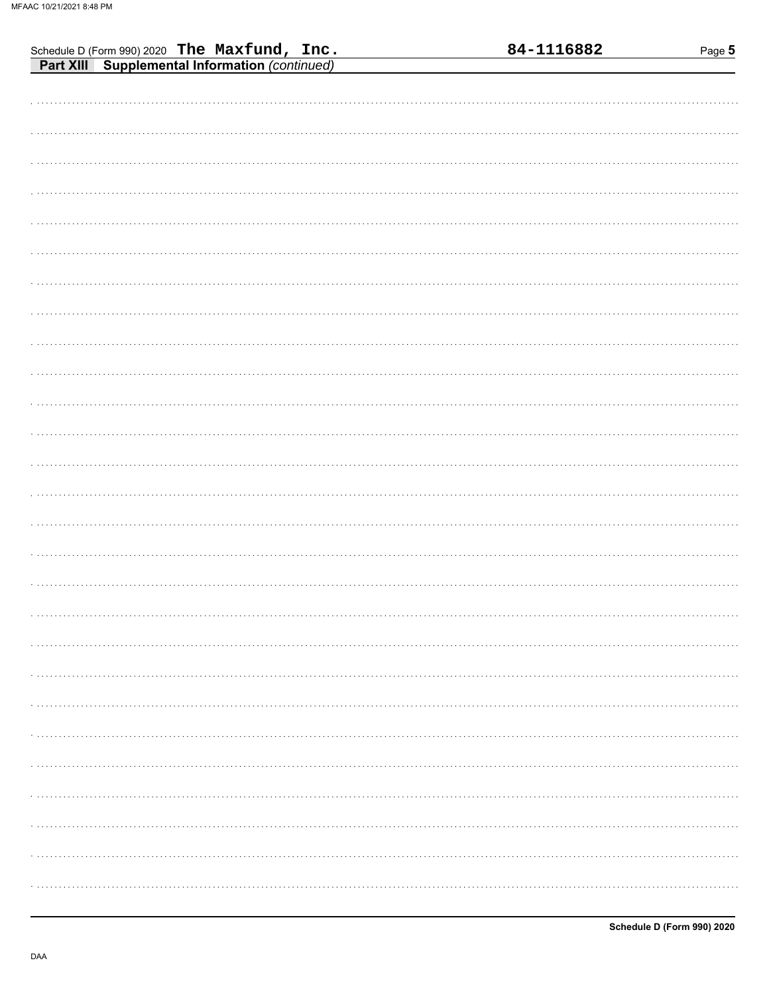| Schedule D (Form 990) 2020 The Maxfund, Inc.<br>Part XIII Supplemental Information (continued) | 84-1116882 | Page 5 |
|------------------------------------------------------------------------------------------------|------------|--------|
|                                                                                                |            |        |
|                                                                                                |            |        |
|                                                                                                |            |        |
|                                                                                                |            |        |
|                                                                                                |            |        |
|                                                                                                |            |        |
|                                                                                                |            |        |
|                                                                                                |            |        |
|                                                                                                |            |        |
|                                                                                                |            |        |
|                                                                                                |            |        |
|                                                                                                |            |        |
|                                                                                                |            |        |
|                                                                                                |            |        |
|                                                                                                |            |        |
|                                                                                                |            |        |
|                                                                                                |            |        |
|                                                                                                |            |        |
|                                                                                                |            |        |
|                                                                                                |            |        |
|                                                                                                |            |        |
|                                                                                                |            |        |
|                                                                                                |            |        |
|                                                                                                |            |        |
|                                                                                                |            |        |
|                                                                                                |            |        |
|                                                                                                |            |        |
|                                                                                                |            |        |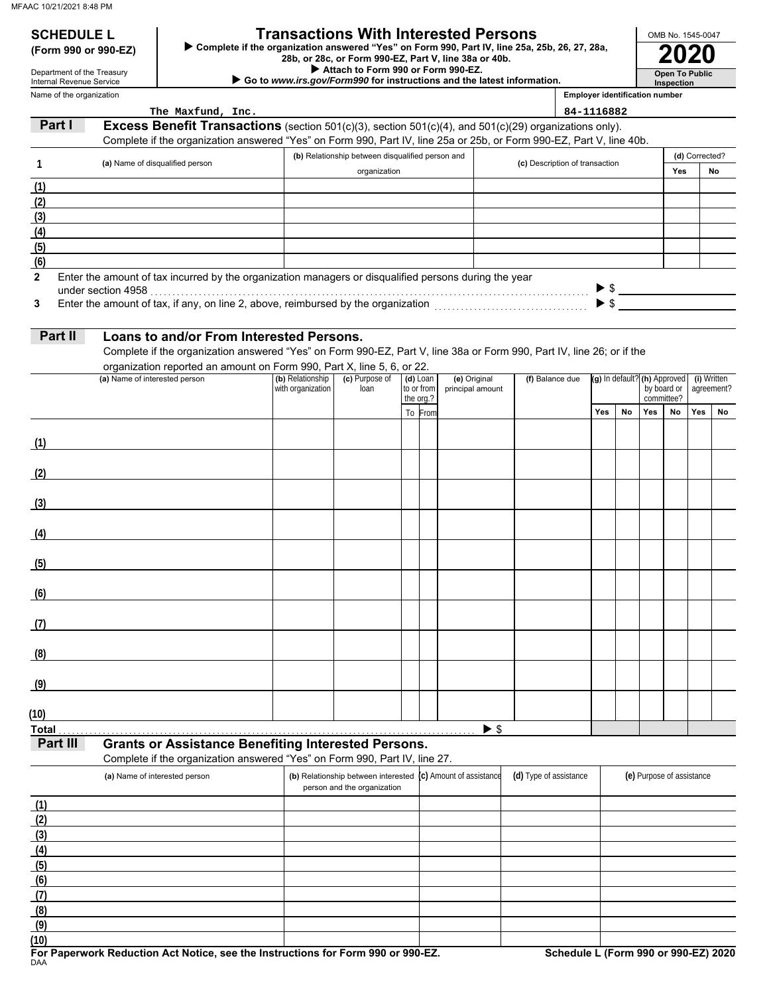### **SCHEDULE L Transactions With Interested Persons**

**(Form 990 or 990-EZ) ►** Complete if the organization answered "Yes" on Form 990, Part IV, line 25a, 25b, 26, 27, 28a,<br>28b, or 28c, or Form 990-EZ, Part V, line 38a or 40b.<br>2020

 **Attach to Form 990 or Form 990-EZ.**

 **Go to** *www.irs.gov/Form990* **for instructions and the latest information.**

Name of the organization Department of the Treasury Internal Revenue Service

| <b>Inspection</b>                     |
|---------------------------------------|
| <b>Employer identification number</b> |

**Open To Public**

OMB No. 1545-0047

|                                               | The Maxfund, Inc.                                                                                                     |                   |                                                              |                      |                  |                          |                                | 84-1116882 |                              |     |                           |                |                     |
|-----------------------------------------------|-----------------------------------------------------------------------------------------------------------------------|-------------------|--------------------------------------------------------------|----------------------|------------------|--------------------------|--------------------------------|------------|------------------------------|-----|---------------------------|----------------|---------------------|
| Part I                                        | <b>Excess Benefit Transactions</b> (section $501(c)(3)$ , section $501(c)(4)$ , and $501(c)(29)$ organizations only). |                   |                                                              |                      |                  |                          |                                |            |                              |     |                           |                |                     |
|                                               | Complete if the organization answered "Yes" on Form 990, Part IV, line 25a or 25b, or Form 990-EZ, Part V, line 40b.  |                   |                                                              |                      |                  |                          |                                |            |                              |     |                           |                |                     |
| 1                                             | (a) Name of disqualified person                                                                                       |                   | (b) Relationship between disqualified person and             |                      |                  |                          | (c) Description of transaction |            |                              |     |                           | (d) Corrected? |                     |
|                                               |                                                                                                                       |                   | organization                                                 |                      |                  |                          |                                |            |                              |     | Yes                       |                | No                  |
| (1)                                           |                                                                                                                       |                   |                                                              |                      |                  |                          |                                |            |                              |     |                           |                |                     |
|                                               |                                                                                                                       |                   |                                                              |                      |                  |                          |                                |            |                              |     |                           |                |                     |
|                                               |                                                                                                                       |                   |                                                              |                      |                  |                          |                                |            |                              |     |                           |                |                     |
|                                               |                                                                                                                       |                   |                                                              |                      |                  |                          |                                |            |                              |     |                           |                |                     |
| $\frac{(2)}{(3)}$<br>(4)<br>(6)<br>(6)        |                                                                                                                       |                   |                                                              |                      |                  |                          |                                |            |                              |     |                           |                |                     |
| $\mathbf{2}$                                  | Enter the amount of tax incurred by the organization managers or disqualified persons during the year                 |                   |                                                              |                      |                  |                          |                                |            |                              |     |                           |                |                     |
|                                               | under section 4958                                                                                                    |                   |                                                              |                      |                  |                          |                                |            |                              |     |                           |                | $\triangleright$ \$ |
| 3                                             |                                                                                                                       |                   |                                                              |                      |                  |                          |                                |            |                              |     |                           |                |                     |
|                                               |                                                                                                                       |                   |                                                              |                      |                  |                          |                                |            |                              |     |                           |                |                     |
| Part II                                       | Loans to and/or From Interested Persons.                                                                              |                   |                                                              |                      |                  |                          |                                |            |                              |     |                           |                |                     |
|                                               | Complete if the organization answered "Yes" on Form 990-EZ, Part V, line 38a or Form 990, Part IV, line 26; or if the |                   |                                                              |                      |                  |                          |                                |            |                              |     |                           |                |                     |
|                                               | organization reported an amount on Form 990, Part X, line 5, 6, or 22.<br>(a) Name of interested person               | (b) Relationship  | (c) Purpose of                                               | $(d)$ Loan           | (e) Original     |                          | (f) Balance due                |            |                              |     |                           |                | (i) Written         |
|                                               |                                                                                                                       | with organization | loan                                                         | to or from           | principal amount |                          |                                |            | (g) In default? (h) Approved |     | by board or<br>agreement? |                |                     |
|                                               |                                                                                                                       |                   |                                                              | the org.?<br>To From |                  |                          |                                | Yes        | No                           | Yes | committee?<br>No          | Yes            | No                  |
|                                               |                                                                                                                       |                   |                                                              |                      |                  |                          |                                |            |                              |     |                           |                |                     |
| (1)                                           |                                                                                                                       |                   |                                                              |                      |                  |                          |                                |            |                              |     |                           |                |                     |
|                                               |                                                                                                                       |                   |                                                              |                      |                  |                          |                                |            |                              |     |                           |                |                     |
| (2)                                           |                                                                                                                       |                   |                                                              |                      |                  |                          |                                |            |                              |     |                           |                |                     |
|                                               |                                                                                                                       |                   |                                                              |                      |                  |                          |                                |            |                              |     |                           |                |                     |
| (3)                                           |                                                                                                                       |                   |                                                              |                      |                  |                          |                                |            |                              |     |                           |                |                     |
|                                               |                                                                                                                       |                   |                                                              |                      |                  |                          |                                |            |                              |     |                           |                |                     |
| (4)                                           |                                                                                                                       |                   |                                                              |                      |                  |                          |                                |            |                              |     |                           |                |                     |
|                                               |                                                                                                                       |                   |                                                              |                      |                  |                          |                                |            |                              |     |                           |                |                     |
| (5)                                           |                                                                                                                       |                   |                                                              |                      |                  |                          |                                |            |                              |     |                           |                |                     |
| (6)                                           |                                                                                                                       |                   |                                                              |                      |                  |                          |                                |            |                              |     |                           |                |                     |
|                                               |                                                                                                                       |                   |                                                              |                      |                  |                          |                                |            |                              |     |                           |                |                     |
| (7)                                           |                                                                                                                       |                   |                                                              |                      |                  |                          |                                |            |                              |     |                           |                |                     |
|                                               |                                                                                                                       |                   |                                                              |                      |                  |                          |                                |            |                              |     |                           |                |                     |
| (8)                                           |                                                                                                                       |                   |                                                              |                      |                  |                          |                                |            |                              |     |                           |                |                     |
|                                               |                                                                                                                       |                   |                                                              |                      |                  |                          |                                |            |                              |     |                           |                |                     |
| (9)                                           |                                                                                                                       |                   |                                                              |                      |                  |                          |                                |            |                              |     |                           |                |                     |
|                                               |                                                                                                                       |                   |                                                              |                      |                  |                          |                                |            |                              |     |                           |                |                     |
| (10)                                          |                                                                                                                       |                   |                                                              |                      |                  |                          |                                |            |                              |     |                           |                |                     |
| <b>Total</b><br>Part III                      | <b>Grants or Assistance Benefiting Interested Persons.</b>                                                            |                   |                                                              |                      |                  | $\blacktriangleright$ \$ |                                |            |                              |     |                           |                |                     |
|                                               | Complete if the organization answered "Yes" on Form 990, Part IV, line 27.                                            |                   |                                                              |                      |                  |                          |                                |            |                              |     |                           |                |                     |
|                                               | (a) Name of interested person                                                                                         |                   | (b) Relationship between interested (c) Amount of assistance |                      |                  |                          | (d) Type of assistance         |            |                              |     | (e) Purpose of assistance |                |                     |
|                                               |                                                                                                                       |                   | person and the organization                                  |                      |                  |                          |                                |            |                              |     |                           |                |                     |
| (1)                                           |                                                                                                                       |                   |                                                              |                      |                  |                          |                                |            |                              |     |                           |                |                     |
|                                               |                                                                                                                       |                   |                                                              |                      |                  |                          |                                |            |                              |     |                           |                |                     |
| $\frac{(2)}{(3)}$<br>(4)<br>(5)<br>(6)<br>(7) |                                                                                                                       |                   |                                                              |                      |                  |                          |                                |            |                              |     |                           |                |                     |
|                                               |                                                                                                                       |                   |                                                              |                      |                  |                          |                                |            |                              |     |                           |                |                     |
|                                               |                                                                                                                       |                   |                                                              |                      |                  |                          |                                |            |                              |     |                           |                |                     |
|                                               |                                                                                                                       |                   |                                                              |                      |                  |                          |                                |            |                              |     |                           |                |                     |
|                                               |                                                                                                                       |                   |                                                              |                      |                  |                          |                                |            |                              |     |                           |                |                     |
| (8)                                           |                                                                                                                       |                   |                                                              |                      |                  |                          |                                |            |                              |     |                           |                |                     |

**(9)**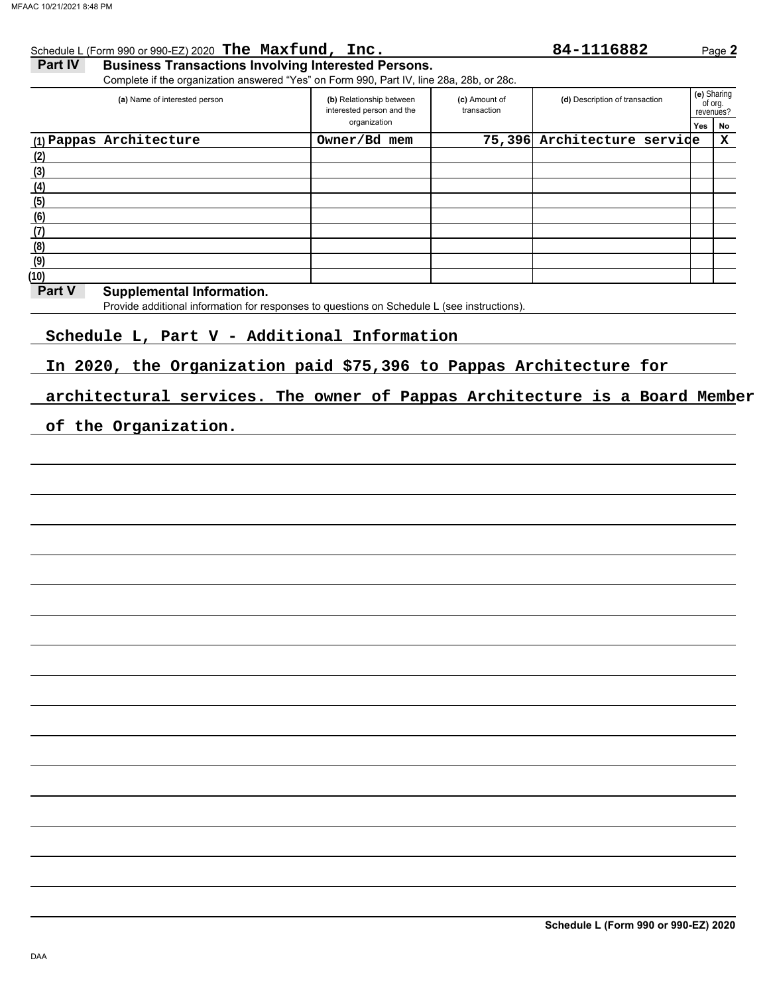|                   | (a) Name of interested person                                                                                                                                                  | (b) Relationship between<br>interested person and the<br>organization | (c) Amount of<br>transaction | (d) Description of transaction | (e) Sharing<br>of org.<br>revenues? |         |
|-------------------|--------------------------------------------------------------------------------------------------------------------------------------------------------------------------------|-----------------------------------------------------------------------|------------------------------|--------------------------------|-------------------------------------|---------|
|                   | (1) Pappas Architecture                                                                                                                                                        | Owner/Bd mem                                                          |                              | 75,396 Architecture servide    | Yes                                 | No<br>x |
| (2)               |                                                                                                                                                                                |                                                                       |                              |                                |                                     |         |
|                   |                                                                                                                                                                                |                                                                       |                              |                                |                                     |         |
| (3)<br>(4)        |                                                                                                                                                                                |                                                                       |                              |                                |                                     |         |
|                   |                                                                                                                                                                                |                                                                       |                              |                                |                                     |         |
| (6)               |                                                                                                                                                                                |                                                                       |                              |                                |                                     |         |
| $\frac{(7)}{(8)}$ |                                                                                                                                                                                |                                                                       |                              |                                |                                     |         |
|                   |                                                                                                                                                                                |                                                                       |                              |                                |                                     |         |
| (9)               |                                                                                                                                                                                |                                                                       |                              |                                |                                     |         |
| (10)<br>Part V    |                                                                                                                                                                                |                                                                       |                              |                                |                                     |         |
|                   | <b>Supplemental Information.</b><br>Provide additional information for responses to questions on Schedule L (see instructions).<br>Schedule L, Part V - Additional Information |                                                                       |                              |                                |                                     |         |
|                   | In 2020, the Organization paid \$75,396 to Pappas Architecture for                                                                                                             |                                                                       |                              |                                |                                     |         |
|                   | architectural services. The owner of Pappas Architecture is a Board Member                                                                                                     |                                                                       |                              |                                |                                     |         |
|                   | of the Organization.                                                                                                                                                           |                                                                       |                              |                                |                                     |         |

**Schedule L (Form 990 or 990-EZ) 2020**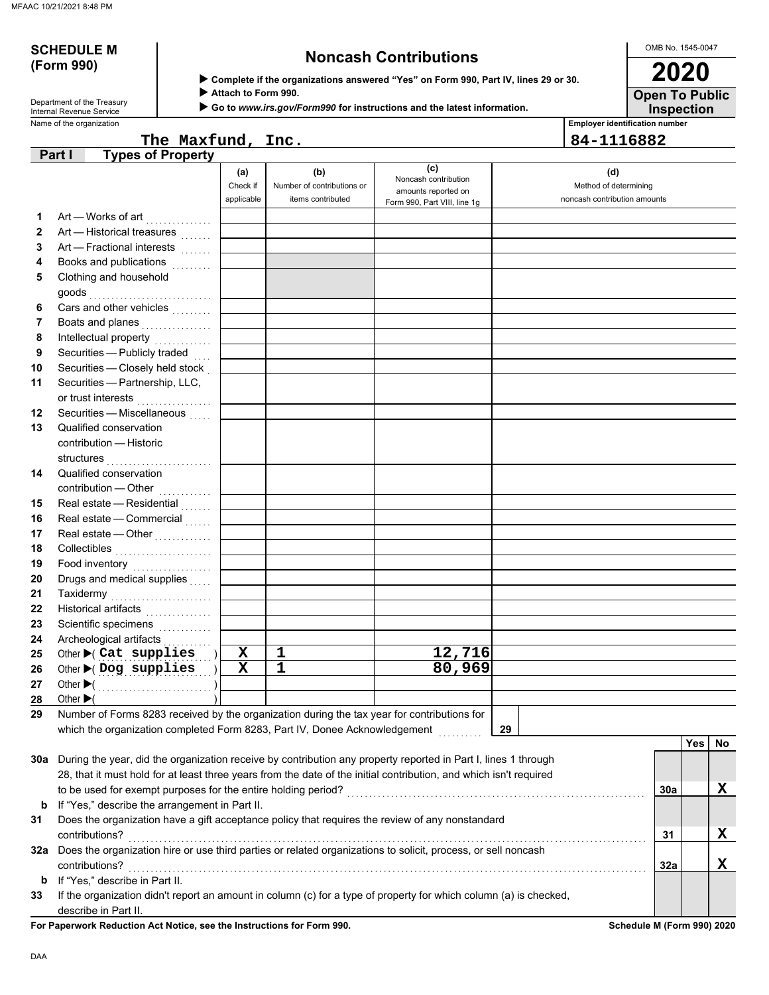# **(Form 990)**

# **SCHEDULE M Noncash Contributions**

OMB No. 1545-0047

| Department of the Treasury |
|----------------------------|
| Internal Revenue Service   |

 **Complete if the organizations answered "Yes" on Form 990, Part IV, lines 29 or 30.**

 **Attach to Form 990.**

 **Go to** *www.irs.gov/Form990* **for instructions and the latest information.**

Name of the organization **Employer identification number Inspection Open To Public 2020**

**The Maxfund, Inc. 84-1116882**

|          | <b>Types of Property</b><br>Part I                                                                                 |                               |                                                        |                                                    |                                                              |     |            |     |
|----------|--------------------------------------------------------------------------------------------------------------------|-------------------------------|--------------------------------------------------------|----------------------------------------------------|--------------------------------------------------------------|-----|------------|-----|
|          |                                                                                                                    | (a)<br>Check if<br>applicable | (b)<br>Number of contributions or<br>items contributed | (c)<br>Noncash contribution<br>amounts reported on | (d)<br>Method of determining<br>noncash contribution amounts |     |            |     |
|          |                                                                                                                    |                               |                                                        | Form 990, Part VIII, line 1g                       |                                                              |     |            |     |
| 1        | Art - Works of art                                                                                                 |                               |                                                        |                                                    |                                                              |     |            |     |
| 2        | Art - Historical treasures                                                                                         |                               |                                                        |                                                    |                                                              |     |            |     |
| 3        | Art - Fractional interests                                                                                         |                               |                                                        |                                                    |                                                              |     |            |     |
| 4        | Books and publications                                                                                             |                               |                                                        |                                                    |                                                              |     |            |     |
| 5        | Clothing and household                                                                                             |                               |                                                        |                                                    |                                                              |     |            |     |
|          | goods                                                                                                              |                               |                                                        |                                                    |                                                              |     |            |     |
| 6        | Cars and other vehicles                                                                                            |                               |                                                        |                                                    |                                                              |     |            |     |
| 7        | Boats and planes                                                                                                   |                               |                                                        |                                                    |                                                              |     |            |     |
| 8        |                                                                                                                    |                               |                                                        |                                                    |                                                              |     |            |     |
| 9        | Securities - Publicly traded                                                                                       |                               |                                                        |                                                    |                                                              |     |            |     |
| 10       | Securities - Closely held stock                                                                                    |                               |                                                        |                                                    |                                                              |     |            |     |
| 11       | Securities - Partnership, LLC,                                                                                     |                               |                                                        |                                                    |                                                              |     |            |     |
|          | or trust interests                                                                                                 |                               |                                                        |                                                    |                                                              |     |            |     |
| 12       | Securities - Miscellaneous                                                                                         |                               |                                                        |                                                    |                                                              |     |            |     |
| 13       | Qualified conservation                                                                                             |                               |                                                        |                                                    |                                                              |     |            |     |
|          | contribution - Historic                                                                                            |                               |                                                        |                                                    |                                                              |     |            |     |
|          | structures                                                                                                         |                               |                                                        |                                                    |                                                              |     |            |     |
| 14       | Qualified conservation                                                                                             |                               |                                                        |                                                    |                                                              |     |            |     |
|          | contribution - Other                                                                                               |                               |                                                        |                                                    |                                                              |     |            |     |
| 15       | Real estate - Residential                                                                                          |                               |                                                        |                                                    |                                                              |     |            |     |
| 16       | Real estate - Commercial                                                                                           |                               |                                                        |                                                    |                                                              |     |            |     |
| 17       | Real estate - Other                                                                                                |                               |                                                        |                                                    |                                                              |     |            |     |
| 18       | Collectibles                                                                                                       |                               |                                                        |                                                    |                                                              |     |            |     |
| 19<br>20 | Food inventory                                                                                                     |                               |                                                        |                                                    |                                                              |     |            |     |
| 21       | Drugs and medical supplies                                                                                         |                               |                                                        |                                                    |                                                              |     |            |     |
| 22       | Taxidermy<br>Historical artifacts                                                                                  |                               |                                                        |                                                    |                                                              |     |            |     |
| 23       | .<br>Scientific specimens                                                                                          |                               |                                                        |                                                    |                                                              |     |            |     |
| 24       | .<br>Archeological artifacts                                                                                       |                               |                                                        |                                                    |                                                              |     |            |     |
| 25       | Other $\blacktriangleright$ ( Cat supplies                                                                         | $\mathbf x$                   | $\mathbf{1}$                                           | <u>12,716</u>                                      |                                                              |     |            |     |
| 26       | Other > (Dog supplies                                                                                              | $\mathbf x$                   | $\mathbf{1}$                                           | 80,969                                             |                                                              |     |            |     |
| 27       |                                                                                                                    |                               |                                                        |                                                    |                                                              |     |            |     |
| 28       | Other $\blacktriangleright$ (                                                                                      |                               |                                                        |                                                    |                                                              |     |            |     |
|          | Number of Forms 8283 received by the organization during the tax year for contributions for                        |                               |                                                        |                                                    |                                                              |     |            |     |
|          | which the organization completed Form 8283, Part IV, Donee Acknowledgement                                         |                               |                                                        |                                                    | 29                                                           |     |            |     |
|          |                                                                                                                    |                               |                                                        |                                                    |                                                              |     | <b>Yes</b> | No. |
|          | 30a During the year, did the organization receive by contribution any property reported in Part I, lines 1 through |                               |                                                        |                                                    |                                                              |     |            |     |
|          | 28, that it must hold for at least three years from the date of the initial contribution, and which isn't required |                               |                                                        |                                                    |                                                              |     |            |     |
|          | to be used for exempt purposes for the entire holding period?                                                      |                               |                                                        |                                                    |                                                              | 30a |            | X   |
| b        | If "Yes," describe the arrangement in Part II.                                                                     |                               |                                                        |                                                    |                                                              |     |            |     |
| 31       | Does the organization have a gift acceptance policy that requires the review of any nonstandard                    |                               |                                                        |                                                    |                                                              |     |            |     |
|          | contributions?                                                                                                     |                               |                                                        |                                                    |                                                              | 31  |            | X   |
|          | 32a Does the organization hire or use third parties or related organizations to solicit, process, or sell noncash  |                               |                                                        |                                                    |                                                              |     |            |     |
|          | contributions?                                                                                                     |                               |                                                        |                                                    |                                                              | 32a |            | X   |
| b        | If "Yes," describe in Part II.                                                                                     |                               |                                                        |                                                    |                                                              |     |            |     |
| 33       | If the organization didn't report an amount in column (c) for a type of property for which column (a) is checked,  |                               |                                                        |                                                    |                                                              |     |            |     |
|          | describe in Part II.                                                                                               |                               |                                                        |                                                    |                                                              |     |            |     |
|          |                                                                                                                    |                               |                                                        |                                                    |                                                              |     |            |     |

**For Paperwork Reduction Act Notice, see the Instructions for Form 990. Schedule M (Form 990) 2020**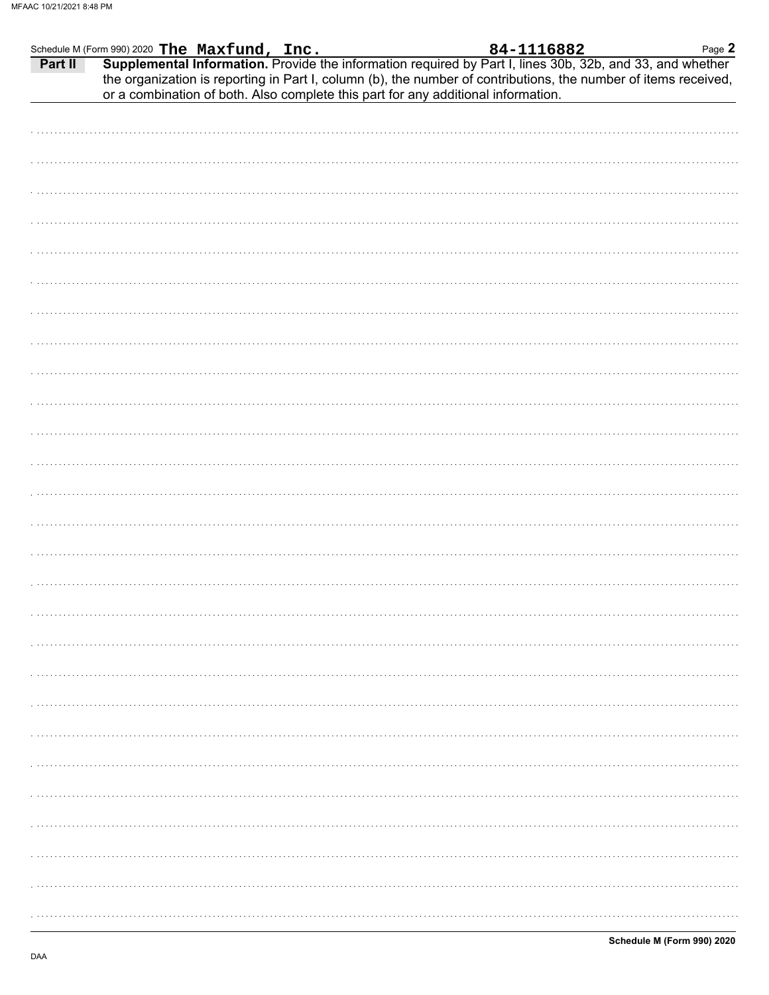|         | Schedule M (Form 990) 2020 The Maxfund, Inc.                                      | 84-1116882<br>Page 2                                                                                                                                                                                                         |
|---------|-----------------------------------------------------------------------------------|------------------------------------------------------------------------------------------------------------------------------------------------------------------------------------------------------------------------------|
| Part II | or a combination of both. Also complete this part for any additional information. | Supplemental Information. Provide the information required by Part I, lines 30b, 32b, and 33, and whether<br>the organization is reporting in Part I, column (b), the number of contributions, the number of items received, |
|         |                                                                                   |                                                                                                                                                                                                                              |
|         |                                                                                   |                                                                                                                                                                                                                              |
|         |                                                                                   |                                                                                                                                                                                                                              |
|         |                                                                                   |                                                                                                                                                                                                                              |
|         |                                                                                   |                                                                                                                                                                                                                              |
|         |                                                                                   |                                                                                                                                                                                                                              |
|         |                                                                                   |                                                                                                                                                                                                                              |
|         |                                                                                   |                                                                                                                                                                                                                              |
|         |                                                                                   |                                                                                                                                                                                                                              |
|         |                                                                                   |                                                                                                                                                                                                                              |
|         |                                                                                   |                                                                                                                                                                                                                              |
|         |                                                                                   |                                                                                                                                                                                                                              |
|         |                                                                                   |                                                                                                                                                                                                                              |
|         |                                                                                   |                                                                                                                                                                                                                              |
|         |                                                                                   |                                                                                                                                                                                                                              |
|         |                                                                                   |                                                                                                                                                                                                                              |
|         |                                                                                   |                                                                                                                                                                                                                              |
|         |                                                                                   |                                                                                                                                                                                                                              |
|         |                                                                                   |                                                                                                                                                                                                                              |
|         |                                                                                   |                                                                                                                                                                                                                              |
|         |                                                                                   |                                                                                                                                                                                                                              |
|         |                                                                                   |                                                                                                                                                                                                                              |
|         |                                                                                   |                                                                                                                                                                                                                              |
|         |                                                                                   |                                                                                                                                                                                                                              |
|         |                                                                                   |                                                                                                                                                                                                                              |
|         |                                                                                   |                                                                                                                                                                                                                              |
|         |                                                                                   |                                                                                                                                                                                                                              |
|         |                                                                                   |                                                                                                                                                                                                                              |
|         |                                                                                   |                                                                                                                                                                                                                              |
|         |                                                                                   |                                                                                                                                                                                                                              |
|         |                                                                                   |                                                                                                                                                                                                                              |
|         |                                                                                   |                                                                                                                                                                                                                              |
|         |                                                                                   |                                                                                                                                                                                                                              |
|         |                                                                                   |                                                                                                                                                                                                                              |
|         |                                                                                   |                                                                                                                                                                                                                              |
|         |                                                                                   |                                                                                                                                                                                                                              |
|         |                                                                                   |                                                                                                                                                                                                                              |
|         |                                                                                   |                                                                                                                                                                                                                              |
|         |                                                                                   |                                                                                                                                                                                                                              |
|         |                                                                                   |                                                                                                                                                                                                                              |
|         |                                                                                   |                                                                                                                                                                                                                              |